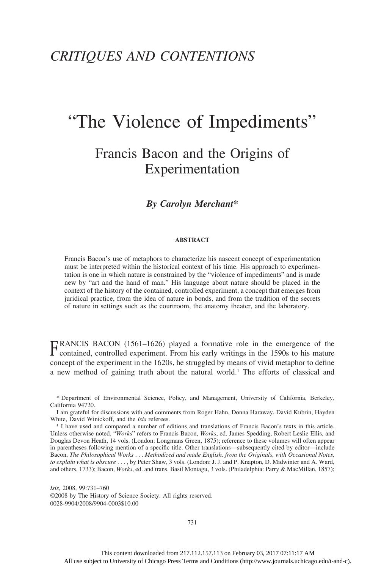## *CRITIQUES AND CONTENTIONS*

# "The Violence of Impediments"

## Francis Bacon and the Origins of Experimentation

## *By Carolyn Merchant\**

### **ABSTRACT**

Francis Bacon's use of metaphors to characterize his nascent concept of experimentation must be interpreted within the historical context of his time. His approach to experimentation is one in which nature is constrained by the "violence of impediments" and is made new by "art and the hand of man." His language about nature should be placed in the context of the history of the contained, controlled experiment, a concept that emerges from juridical practice, from the idea of nature in bonds, and from the tradition of the secrets of nature in settings such as the courtroom, the anatomy theater, and the laboratory.

F RANCIS BACON (1561–1626) played a formative role in the emergence of the contained, controlled experiment. From his early writings in the 1590s to his mature concept of the experiment in the 1620s, he struggled by means of vivid metaphor to define a new method of gaining truth about the natural world.<sup>1</sup> The efforts of classical and

\* Department of Environmental Science, Policy, and Management, University of California, Berkeley, California 94720.

I am grateful for discussions with and comments from Roger Hahn, Donna Haraway, David Kubrin, Hayden White, David Winickoff, and the *Isis* referees.

<sup>1</sup> I have used and compared a number of editions and translations of Francis Bacon's texts in this article. Unless otherwise noted, "*Works*" refers to Francis Bacon, *Works*, ed. James Spedding, Robert Leslie Ellis, and Douglas Devon Heath, 14 vols. (London: Longmans Green, 1875); reference to these volumes will often appear in parentheses following mention of a specific title. Other translations—subsequently cited by editor—include Bacon, *The Philosophical Works* ... *Methodized and made English, from the Originals, with Occasional Notes, to explain what is obscure* . . . , by Peter Shaw, 3 vols. (London: J. J. and P. Knapton, D. Midwinter and A. Ward, and others, 1733); Bacon, *Works*, ed. and trans. Basil Montagu, 3 vols. (Philadelphia: Parry & MacMillan, 1857);

*Isis,* 2008, 99:731–760 ©2008 by The History of Science Society. All rights reserved. 0028-9904/2008/9904-0003\$10.00

731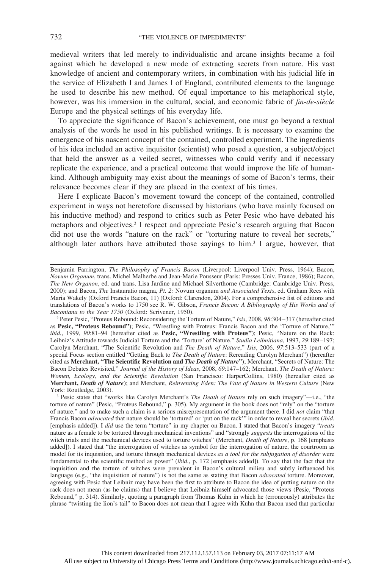medieval writers that led merely to individualistic and arcane insights became a foil against which he developed a new mode of extracting secrets from nature. His vast knowledge of ancient and contemporary writers, in combination with his judicial life in the service of Elizabeth I and James I of England, contributed elements to the language he used to describe his new method. Of equal importance to his metaphorical style, however, was his immersion in the cultural, social, and economic fabric of *fin-de-siècle* Europe and the physical settings of his everyday life.

To appreciate the significance of Bacon's achievement, one must go beyond a textual analysis of the words he used in his published writings. It is necessary to examine the emergence of his nascent concept of the contained, controlled experiment. The ingredients of his idea included an active inquisitor (scientist) who posed a question, a subject/object that held the answer as a veiled secret, witnesses who could verify and if necessary replicate the experience, and a practical outcome that would improve the life of humankind. Although ambiguity may exist about the meanings of some of Bacon's terms, their relevance becomes clear if they are placed in the context of his times.

Here I explicate Bacon's movement toward the concept of the contained, controlled experiment in ways not heretofore discussed by historians (who have mainly focused on his inductive method) and respond to critics such as Peter Pesic who have debated his metaphors and objectives.2 I respect and appreciate Pesic's research arguing that Bacon did not use the words "nature on the rack" or "torturing nature to reveal her secrets," although later authors have attributed those sayings to him.3 I argue, however, that

<sup>2</sup> Peter Pesic, "Proteus Rebound: Reconsidering the Torture of Nature," *Isis*, 2008, *98*:304–317 (hereafter cited as **Pesic, "Proteus Rebound"**); Pesic, "Wrestling with Proteus: Francis Bacon and the 'Torture of Nature,'" *ibid.*, 1999, *90*:81–94 (hereafter cited as **Pesic, "Wrestling with Proteus"**); Pesic, "Nature on the Rack: Leibniz's Attitude towards Judicial Torture and the 'Torture' of Nature," *Studia Leibnitiana*, 1997, *29*:189–197; Carolyn Merchant, "The Scientific Revolution and *The Death of Nature*," *Isis*, 2006, *97*:513–533 (part of a special Focus section entitled "Getting Back to *The Death of Nature*: Rereading Carolyn Merchant") (hereafter cited as **Merchant, "The Scientific Revolution and** *The Death of Nature***"**); Merchant, "Secrets of Nature: The Bacon Debates Revisited," *Journal of the History of Ideas*, 2008, *69*:147–162; Merchant, *The Death of Nature: Women, Ecology, and the Scientific Revolution* (San Francisco: HarperCollins, 1980) (hereafter cited as **Merchant,** *Death of Nature*); and Merchant, *Reinventing Eden: The Fate of Nature in Western Culture* (New York: Routledge, 2003).

<sup>3</sup> Pesic states that "works like Carolyn Merchant's *The Death of Nature* rely on such imagery"—i.e., "the torture of nature" (Pesic, "Proteus Rebound," p. 305). My argument in the book does not "rely" on the "torture of nature," and to make such a claim is a serious misrepresentation of the argument there. I did *not* claim "that Francis Bacon *advocated* that nature should be 'tortured' or 'put on the rack'" in order to reveal her secrets (*ibid.* [emphasis added]). I *did* use the term "torture" in my chapter on Bacon. I stated that Bacon's imagery "*treats* nature as a female to be tortured through mechanical inventions" and "strongly *suggests* the interrogations of the witch trials and the mechanical devices used to torture witches" (Merchant, *Death of Nature*, p. 168 [emphasis added]). I stated that "the interrogation of witches as symbol for the interrogation of nature, the courtroom as model for its inquisition, and torture through mechanical devices *as a tool for the subjugation of disorder* were fundamental to the scientific method as power" (*ibid.*, p. 172 [emphasis added]). To say that the fact that the inquisition and the torture of witches were prevalent in Bacon's cultural milieu and subtly influenced his language (e.g., "the inquisition of nature") is not the same as stating that Bacon *advocated* torture. Moreover, agreeing with Pesic that Leibniz may have been the first to attribute to Bacon the idea of putting nature on the rack does not mean (as he claims) that I believe that Leibniz himself advocated those views (Pesic, "Proteus Rebound," p. 314). Similarly, quoting a paragraph from Thomas Kuhn in which he (erroneously) attributes the phrase "twisting the lion's tail" to Bacon does not mean that I agree with Kuhn that Bacon used that particular

Benjamin Farrington, *The Philosophy of Francis Bacon* (Liverpool: Liverpool Univ. Press, 1964); Bacon, *Novum Organum*, trans. Michel Malherbe and Jean-Marie Pousseur (Paris: Presses Univ. France, 1986); Bacon, *The New Organon*, ed. and trans. Lisa Jardine and Michael Silverthorne (Cambridge: Cambridge Univ. Press, 2000); and Bacon, *The* Instauratio magna, *Pt. 2:* Novum organum *and Associated Texts*, ed. Graham Rees with Maria Wakely (Oxford Francis Bacon, 11) (Oxford: Clarendon, 2004). For a comprehensive list of editions and translations of Bacon's works to 1750 see R. W. Gibson, *Francis Bacon: A Bibliography of His Works and of Baconiana to the Year 1750* (Oxford: Scrivener, 1950).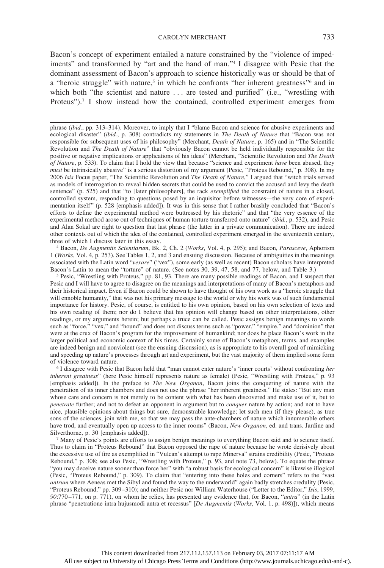Bacon's concept of experiment entailed a nature constrained by the "violence of impediments" and transformed by "art and the hand of man."4 I disagree with Pesic that the dominant assessment of Bacon's approach to science historically was or should be that of a "heroic struggle" with nature,<sup>5</sup> in which he confronts "her inherent greatness"<sup>6</sup> and in which both "the scientist and nature ... are tested and purified" (i.e., "wrestling with Proteus").<sup>7</sup> I show instead how the contained, controlled experiment emerges from

phrase (*ibid.*, pp. 313–314). Moreover, to imply that I "blame Bacon and science for abusive experiments and ecological disaster" (*ibid.*, p. 308) contradicts my statements in *The Death of Nature* that "Bacon was not responsible for subsequent uses of his philosophy" (Merchant, *Death of Nature*, p. 165) and in "The Scientific Revolution and *The Death of Nature*" that "obviously Bacon cannot be held individually responsible for the positive or negative implications or applications of his ideas" (Merchant, "Scientific Revolution and *The Death of Nature*, p. 533). To claim that I hold the view that because "science and experiment *have* been abused, they *must* be intrinsically abusive" is a serious distortion of my argument (Pesic, "Proteus Rebound," p. 308). In my 2006 *Isis* Focus paper, "The Scientific Revolution and *The Death of Nature*," I argued that "witch trials served as models of interrogation to reveal hidden secrets that could be used to convict the accused and levy the death sentence" (p. 525) and that "to [later philosophers], the rack *exemplified* the constraint of nature in a closed, controlled system, responding to questions posed by an inquisitor before witnesses—the very core of experimentation itself" (p. 528 [emphasis added]). It was in this sense that I rather brashly concluded that "Bacon's efforts to define the experimental method were buttressed by his rhetoric" and that "the very essence of the experimental method arose out of techniques of human torture transferred onto nature" (*ibid.*, p. 532), and Pesic and Alan Sokal are right to question that last phrase (the latter in a private communication). There are indeed other contexts out of which the idea of the contained, controlled experiment emerged in the seventeenth century, three of which I discuss later in this essay.

<sup>4</sup> Bacon, *De Augmentis Scientiarum*, Bk. 2, Ch. 2 (*Works*, Vol. 4, p. 295); and Bacon, *Parasceve*, Aphorism 1 (*Works*, Vol. 4, p. 253). See Tables 1, 2, and 3 and ensuing discussion. Because of ambiguities in the meanings associated with the Latin word "*vexare*" ("vex"), some early (as well as recent) Bacon scholars have interpreted Bacon's Latin to mean the "torture" of nature. (See notes 30, 39, 47, 58, and 77, below, and Table 3.)

<sup>5</sup> Pesic, "Wrestling with Proteus," pp. 81, 93. There are many possible readings of Bacon, and I suspect that Pesic and I will have to agree to disagree on the meanings and interpretations of many of Bacon's metaphors and their historical impact. Even if Bacon could be shown to have thought of his own work as a "heroic struggle that will ennoble humanity," that was not his primary message to the world or why his work was of such fundamental importance for history. Pesic, of course, is entitled to his own opinion, based on his own selection of texts and his own reading of them; nor do I believe that his opinion will change based on other interpretations, other readings, or my arguments herein; but perhaps a truce can be called. Pesic assigns benign meanings to words such as "force," "vex," and "hound" and does not discuss terms such as "power," "empire," and "dominion" that were at the crux of Bacon's program for the improvement of humankind; nor does he place Bacon's work in the larger political and economic context of his times. Certainly some of Bacon's metaphors, terms, and examples are indeed benign and nonviolent (see the ensuing discussion), as is appropriate to his overall goal of mimicking and speeding up nature's processes through art and experiment, but the vast majority of them implied some form of violence toward nature.

<sup>6</sup> I disagree with Pesic that Bacon held that "man cannot enter nature's 'inner courts' without confronting *her inherent greatness*" (here Pesic himself represents nature as female) (Pesic, "Wrestling with Proteus," p. 93 [emphasis added]). In the preface to *The New Organon*, Bacon joins the conquering of nature with the penetration of its inner chambers and does not use the phrase "her inherent greatness." He states: "But any man whose care and concern is not merely to be content with what has been discovered and make use of it, but to *penetrate* further; and not to defeat an opponent in argument but to *conquer* nature by action; and not to have nice, plausible opinions about things but sure, demonstrable knowledge; let such men (if they please), as true sons of the sciences, join with me, so that we may pass the ante-chambers of nature which innumerable others have trod, and eventually open up access to the inner rooms" (Bacon, *New Organon*, ed. and trans. Jardine and Silverthorne, p. 30 [emphasis added]).

<sup>7</sup> Many of Pesic's points are efforts to assign benign meanings to everything Bacon said and to science itself. Thus to claim in "Proteus Rebound" that Bacon opposed the rape of nature because he wrote derisively about the excessive use of fire as exemplified in "Vulcan's attempt to rape Minerva" strains credibility (Pesic, "Proteus Rebound," p. 308; see also Pesic, "Wrestling with Proteus," p. 93, and note 73, below). To equate the phrase "you may deceive nature sooner than force her" with "a robust basis for ecological concern" is likewise illogical (Pesic, "Proteus Rebound," p. 309). To claim that "entering into these holes and corners" refers to the "vast *antrum* where Aeneas met the Sibyl and found the way to the underworld" again badly stretches credulity (Pesic, "Proteus Rebound," pp. 309–310); and neither Pesic nor William Waterhouse ("Letter to the Editor," *Isis*, 1999, *90*:770–771, on p. 771), on whom he relies, has presented any evidence that, for Bacon, "*antra*" (in the Latin phrase "penetratione intra hujusmodi antra et recessus" [*De Augmentis* (*Works*, Vol. 1, p. 498)]), which means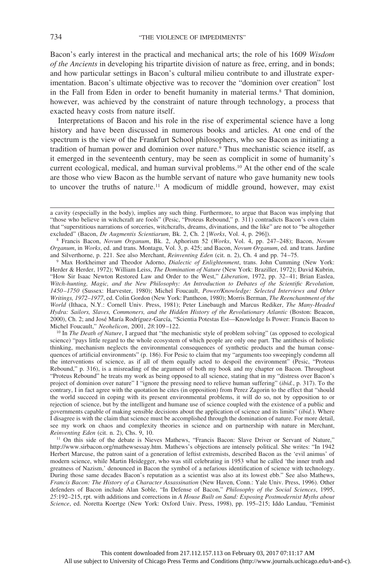Bacon's early interest in the practical and mechanical arts; the role of his 1609 *Wisdom of the Ancients* in developing his tripartite division of nature as free, erring, and in bonds; and how particular settings in Bacon's cultural milieu contribute to and illustrate experimentation. Bacon's ultimate objective was to recover the "dominion over creation" lost in the Fall from Eden in order to benefit humanity in material terms.<sup>8</sup> That dominion, however, was achieved by the constraint of nature through technology, a process that exacted heavy costs from nature itself.

Interpretations of Bacon and his role in the rise of experimental science have a long history and have been discussed in numerous books and articles. At one end of the spectrum is the view of the Frankfurt School philosophers, who see Bacon as initiating a tradition of human power and dominion over nature.<sup>9</sup> Thus mechanistic science itself, as it emerged in the seventeenth century, may be seen as complicit in some of humanity's current ecological, medical, and human survival problems.10 At the other end of the scale are those who view Bacon as the humble servant of nature who gave humanity new tools to uncover the truths of nature.<sup>11</sup> A modicum of middle ground, however, may exist

<sup>9</sup> Max Horkheimer and Theodor Adorno, *Dialectic of Enlightenment*, trans. John Cumming (New York: Herder & Herder, 1972); William Leiss, *The Domination of Nature* (New York: Braziller, 1972); David Kubrin, "How Sir Isaac Newton Restored Law and Order to the West," *Liberation*, 1972, pp. 32–41; Brian Easlea, *Witch-hunting, Magic, and the New Philosophy: An Introduction to Debates of the Scientific Revolution, 1450 –1750* (Sussex: Harvester, 1980); Michel Foucault, *Power/Knowledge: Selected Interviews and Other Writings, 1972–1977*, ed. Colin Gordon (New York: Pantheon, 1980); Morris Berman, *The Reenchantment of the World* (Ithaca, N.Y.: Cornell Univ. Press, 1981); Peter Linebaugh and Marcus Rediker, *The Many-Headed Hydra: Sailors, Slaves, Commoners, and the Hidden History of the Revolutionary Atlantic* (Boston: Beacon, 2000), Ch. 2; and Jose´ Marı´a Rodrı´guez-Garcı´a, "Scientia Potestas Est—Knowledge Is Power: Francis Bacon to Michel Foucault," *Neohelicon*, 2001, *28*:109–122.

<sup>10</sup> In *The Death of Nature*, I argued that "the mechanistic style of problem solving" (as opposed to ecological science) "pays little regard to the whole ecosystem of which people are only one part. The antithesis of holistic thinking, mechanism neglects the environmental consequences of synthetic products and the human consequences of artificial environments" (p. 186). For Pesic to claim that my "arguments too sweepingly condemn all the interventions of science, as if all of them equally acted to despoil the environment" (Pesic, "Proteus Rebound," p. 316), is a misreading of the argument of both my book and my chapter on Bacon. Throughout "Proteus Rebound" he treats my work as being opposed to all science, stating that in my "distress over Bacon's project of dominion over nature" I "ignore the pressing need to relieve human suffering" (*ibid.*, p. 317). To the contrary, I in fact agree with the quotation he cites (in opposition) from Perez Zagorin to the effect that "should the world succeed in coping with its present environmental problems, it will do so, not by opposition to or rejection of science, but by the intelligent and humane use of science coupled with the existence of a public and governments capable of making sensible decisions about the application of science and its limits" (*ibid.*). Where I disagree is with the claim that science must be accomplished through the domination of nature. For more detail, see my work on chaos and complexity theories in science and on partnership with nature in Merchant, *Reinventing Eden* (cit. n. 2), Chs. 9, 10.

<sup>11</sup> On this side of the debate is Nieves Mathews, "Francis Bacon: Slave Driver or Servant of Nature," http://www.sirbacon.org/mathewsessay.htm. Mathews's objections are intensely political. She writes: "In 1942 Herbert Marcuse, the patron saint of a generation of leftist extremists, described Bacon as the 'evil animus' of modern science, while Martin Heidegger, who was still celebrating in 1953 what he called 'the inner truth and greatness of Nazism,' denounced in Bacon the symbol of a nefarious identification of science with technology. During those same decades Bacon's reputation as a scientist was also at its lowest ebb." See also Mathews, *Francis Bacon: The History of a Character Assassination* (New Haven, Conn.: Yale Univ. Press, 1996). Other defenders of Bacon include Alan Soble, "In Defense of Bacon," *Philosophy of the Social Sciences*, 1995, *25*:192–215, rpt. with additions and corrections in *A House Built on Sand: Exposing Postmodernist Myths about Science*, ed. Noretta Koertge (New York: Oxford Univ. Press, 1998), pp. 195–215; Iddo Landau, "Feminist

a cavity (especially in the body), implies any such thing. Furthermore, to argue that Bacon was implying that "those who believe in witchcraft are fools" (Pesic, "Proteus Rebound," p. 311) contradicts Bacon's own claim that "superstitious narrations of sorceries, witchcrafts, dreams, divinations, and the like" are not to "be altogether excluded" (Bacon, *De Augmentis Scientiarum*, Bk. 2, Ch. 2 [*Works*, Vol. 4, p. 296]).

<sup>8</sup> Francis Bacon, *Novum Organum*, Bk. 2, Aphorism 52 (*Works*, Vol. 4, pp. 247–248); Bacon, *Novum Organum*, in *Works*, ed. and trans. Montagu, Vol. 3, p. 425; and Bacon, *Novum Organum*, ed. and trans. Jardine and Silverthorne, p. 221. See also Merchant, *Reinventing Eden* (cit. n. 2), Ch. 4 and pp. 74–75.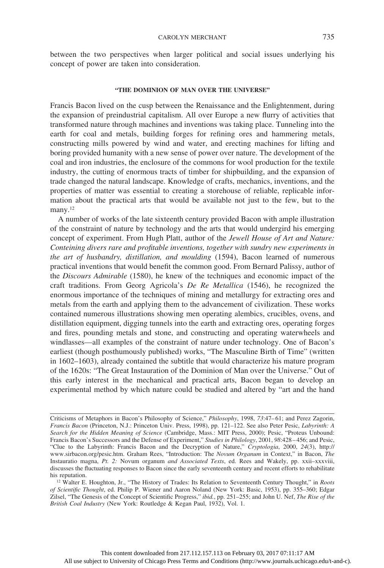between the two perspectives when larger political and social issues underlying his concept of power are taken into consideration.

## **"THE DOMINION OF MAN OVER THE UNIVERSE"**

Francis Bacon lived on the cusp between the Renaissance and the Enlightenment, during the expansion of preindustrial capitalism. All over Europe a new flurry of activities that transformed nature through machines and inventions was taking place. Tunneling into the earth for coal and metals, building forges for refining ores and hammering metals, constructing mills powered by wind and water, and erecting machines for lifting and boring provided humanity with a new sense of power over nature. The development of the coal and iron industries, the enclosure of the commons for wool production for the textile industry, the cutting of enormous tracts of timber for shipbuilding, and the expansion of trade changed the natural landscape. Knowledge of crafts, mechanics, inventions, and the properties of matter was essential to creating a storehouse of reliable, replicable information about the practical arts that would be available not just to the few, but to the many.<sup>12</sup>

A number of works of the late sixteenth century provided Bacon with ample illustration of the constraint of nature by technology and the arts that would undergird his emerging concept of experiment. From Hugh Platt, author of the *Jewell House of Art and Nature: Conteining divers rare and profitable inventions, together with sundry new experiments in the art of husbandry, distillation, and moulding* (1594), Bacon learned of numerous practical inventions that would benefit the common good. From Bernard Palissy, author of the *Discours Admirable* (1580), he knew of the techniques and economic impact of the craft traditions. From Georg Agricola's *De Re Metallica* (1546), he recognized the enormous importance of the techniques of mining and metallurgy for extracting ores and metals from the earth and applying them to the advancement of civilization. These works contained numerous illustrations showing men operating alembics, crucibles, ovens, and distillation equipment, digging tunnels into the earth and extracting ores, operating forges and fires, pounding metals and stone, and constructing and operating waterwheels and windlasses—all examples of the constraint of nature under technology. One of Bacon's earliest (though posthumously published) works, "The Masculine Birth of Time" (written in 1602–1603), already contained the subtitle that would characterize his mature program of the 1620s: "The Great Instauration of the Dominion of Man over the Universe." Out of this early interest in the mechanical and practical arts, Bacon began to develop an experimental method by which nature could be studied and altered by "art and the hand

Criticisms of Metaphors in Bacon's Philosophy of Science," *Philosophy*, 1998, *73*:47–61; and Perez Zagorin, *Francis Bacon* (Princeton, N.J.: Princeton Univ. Press, 1998), pp. 121–122. See also Peter Pesic, *Labyrinth: A Search for the Hidden Meaning of Science* (Cambridge, Mass.: MIT Press, 2000); Pesic, "Proteus Unbound: Francis Bacon's Successors and the Defense of Experiment," *Studies in Philology*, 2001, *98*:428–456; and Pesic, "Clue to the Labyrinth: Francis Bacon and the Decryption of Nature," *Cryptologia*, 2000, *24*(3), http:// www.sirbacon.org/pesic.htm. Graham Rees, "Introduction: The *Novum Organum* in Context," in Bacon, *The* Instauratio magna, *Pt. 2:* Novum organum *and Associated Texts*, ed. Rees and Wakely, pp. xxii–xxxviii, discusses the fluctuating responses to Bacon since the early seventeenth century and recent efforts to rehabilitate his reputation.

<sup>12</sup> Walter E. Houghton, Jr., "The History of Trades: Its Relation to Seventeenth Century Thought," in *Roots of Scientific Thought*, ed. Philip P. Wiener and Aaron Noland (New York: Basic, 1953), pp. 355–360; Edgar Zilsel, "The Genesis of the Concept of Scientific Progress," *ibid.*, pp. 251–255; and John U. Nef, *The Rise of the British Coal Industry* (New York: Routledge & Kegan Paul, 1932), Vol. 1.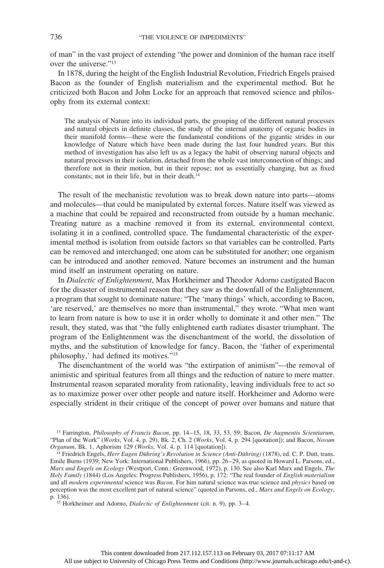of man" in the vast project of extending "the power and dominion of the human race itself over the universe."<sup>13</sup>

In 1878, during the height of the English Industrial Revolution, Friedrich Engels praised Bacon as the founder of English materialism and the experimental method. But he criticized both Bacon and John Locke for an approach that removed science and philosophy from its external context:

The analysis of Nature into its individual parts, the grouping of the different natural processes and natural objects in definite classes, the study of the internal anatomy of organic bodies in their manifold forms—these were the fundamental conditions of the gigantic strides in our knowledge of Nature which have been made during the last four hundred years. But this method of investigation has also left us as a legacy the habit of observing natural objects and natural processes in their isolation, detached from the whole vast interconnection of things; and therefore not in their motion, but in their repose; not as essentially changing, but as fixed constants; not in their life, but in their death.<sup>14</sup>

The result of the mechanistic revolution was to break down nature into parts—atoms and molecules—that could be manipulated by external forces. Nature itself was viewed as a machine that could be repaired and reconstructed from outside by a human mechanic. Treating nature as a machine removed it from its external, environmental context, isolating it in a confined, controlled space. The fundamental characteristic of the experimental method is isolation from outside factors so that variables can be controlled. Parts can be removed and interchanged; one atom can be substituted for another; one organism can be introduced and another removed. Nature becomes an instrument and the human mind itself an instrument operating on nature.

In *Dialectic of Enlightenment*, Max Horkheimer and Theodor Adorno castigated Bacon for the disaster of instrumental reason that they saw as the downfall of the Enlightenment, a program that sought to dominate nature: "The 'many things' which, according to Bacon, 'are reserved,' are themselves no more than instrumental," they wrote. "What men want to learn from nature is how to use it in order wholly to dominate it and other men." The result, they stated, was that "the fully enlightened earth radiates disaster triumphant. The program of the Enlightenment was the disenchantment of the world, the dissolution of myths, and the substitution of knowledge for fancy. Bacon, the 'father of experimental philosophy,' had defined its motives."15

The disenchantment of the world was "the extirpation of animism"—the removal of animistic and spiritual features from all things and the reduction of nature to mere matter. Instrumental reason separated morality from rationality, leaving individuals free to act so as to maximize power over other people and nature itself. Horkheimer and Adorno were especially strident in their critique of the concept of power over humans and nature that

<sup>13</sup> Farrington, *Philosophy of Francis Bacon*, pp. 14–15, 18, 33, 53, 59; Bacon, *De Augmentis Scientiarum*, "Plan of the Work" (*Works*, Vol. 4, p. 29), Bk. 2, Ch. 2 (*Works*, Vol. 4, p. 294 [quotation]); and Bacon, *Novum Organum*, Bk. 1, Aphorism 129 (*Works*, Vol. 4, p. 114 [quotation]).

<sup>&</sup>lt;sup>14</sup> Friedrich Engels, *Herr Eugen Dühring's Revolution in Science (Anti-Dühring)* (1878), ed. C. P. Dutt, trans. Emile Burns (1939; New York: International Publishers, 1966), pp. 26–29, as quoted in Howard L. Parsons, ed., *Marx and Engels on Ecology* (Westport, Conn.: Greenwood, 1972), p. 130. See also Karl Marx and Engels, *The Holy Family* (1844) (Los Angeles: Progress Publishers, 1956), p. 172: "The real founder of *English materialism* and all *modern experimental* science was *Bacon*. For him natural science was true science and *physics* based on perception was the most excellent part of natural science" (quoted in Parsons, ed., *Marx and Engels on Ecology*, p. 136).

<sup>15</sup> Horkheimer and Adorno, *Dialectic of Enlightenment* (cit. n. 9), pp. 3–4.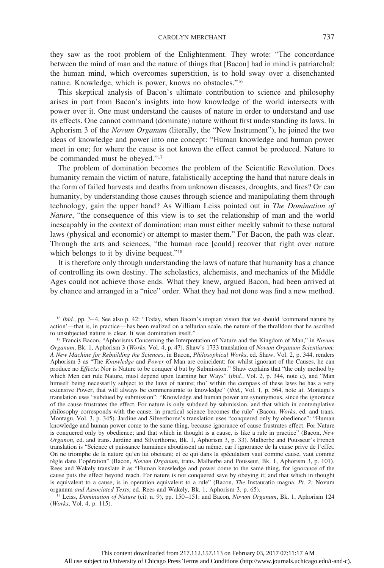they saw as the root problem of the Enlightenment. They wrote: "The concordance between the mind of man and the nature of things that [Bacon] had in mind is patriarchal: the human mind, which overcomes superstition, is to hold sway over a disenchanted nature. Knowledge, which is power, knows no obstacles."16

This skeptical analysis of Bacon's ultimate contribution to science and philosophy arises in part from Bacon's insights into how knowledge of the world intersects with power over it. One must understand the causes of nature in order to understand and use its effects. One cannot command (dominate) nature without first understanding its laws. In Aphorism 3 of the *Novum Organum* (literally, the "New Instrument"), he joined the two ideas of knowledge and power into one concept: "Human knowledge and human power meet in one; for where the cause is not known the effect cannot be produced. Nature to be commanded must be obeyed."17

The problem of domination becomes the problem of the Scientific Revolution. Does humanity remain the victim of nature, fatalistically accepting the hand that nature deals in the form of failed harvests and deaths from unknown diseases, droughts, and fires? Or can humanity, by understanding those causes through science and manipulating them through technology, gain the upper hand? As William Leiss pointed out in *The Domination of Nature*, "the consequence of this view is to set the relationship of man and the world inescapably in the context of domination: man must either meekly submit to these natural laws (physical and economic) or attempt to master them." For Bacon, the path was clear. Through the arts and sciences, "the human race [could] recover that right over nature which belongs to it by divine bequest."<sup>18</sup>

It is therefore only through understanding the laws of nature that humanity has a chance of controlling its own destiny. The scholastics, alchemists, and mechanics of the Middle Ages could not achieve those ends. What they knew, argued Bacon, had been arrived at by chance and arranged in a "nice" order. What they had not done was find a new method.

<sup>18</sup> Leiss, *Domination of Nature* (cit. n. 9), pp. 150–151; and Bacon, *Novum Organum*, Bk. 1, Aphorism 124 (*Works*, Vol. 4, p. 115).

<sup>16</sup> *Ibid.*, pp. 3–4. See also p. 42: "Today, when Bacon's utopian vision that we should 'command nature by action'—that is, in practice—has been realized on a tellurian scale, the nature of the thralldom that he ascribed to unsubjected nature is clear. It was domination itself."

<sup>17</sup> Francis Bacon, "Aphorisms Concerning the Interpretation of Nature and the Kingdom of Man," in *Novum Organum*, Bk. 1, Aphorism 3 (*Works*, Vol. 4, p. 47). Shaw's 1733 translation of *Novum Organum Scientiarum: A New Machine for Rebuilding the Sciences*, in Bacon, *Philosophical Works*, ed. Shaw, Vol. 2, p. 344, renders Aphorism 3 as "The *Knowledge* and *Power* of Man are coincident: for whilst ignorant of the Causes, he can produce no *Effects*: Nor is Nature to be conquer'd but by Submission." Shaw explains that "the only method by which Men can rule Nature, must depend upon learning her Ways" (*ibid.*, Vol. 2, p. 344, note c), and "Man himself being necessarily subject to the laws of nature; tho' within the compass of these laws he has a very extensive Power, that will always be commensurate to knowledge" (*ibid.*, Vol. 1, p. 564, note a). Montagu's translation uses "subdued by submission": "Knowledge and human power are synonymous, since the ignorance of the cause frustrates the effect. For nature is only subdued by submission, and that which in contemplative philosophy corresponds with the cause, in practical science becomes the rule" (Bacon, *Works*, ed. and trans. Montagu, Vol. 3, p. 345). Jardine and Silverthorne's translation uses "conquered only by obedience": "Human knowledge and human power come to the same thing, because ignorance of cause frustrates effect. For Nature is conquered only by obedience; and that which in thought is a cause, is like a rule in practice" (Bacon, *New Organon*, ed. and trans. Jardine and Silverthorne, Bk. 1, Aphorism 3, p. 33). Malherbe and Pousseur's French translation is "Science et puissance humaines aboutissent au même, car l'ignorance de la cause prive de l'effet. On ne triomphe de la nature qu'en lui obeisant; et ce qui dans la spéculation vaut comme cause, vaut comme règle dans l'opération" (Bacon, *Novum Organum*, trans. Malherbe and Pousseur, Bk. 1, Aphorism 3, p. 101). Rees and Wakely translate it as "Human knowledge and power come to the same thing, for ignorance of the cause puts the effect beyond reach. For nature is not conquered save by obeying it; and that which in thought is equivalent to a cause, is in operation equivalent to a rule" (Bacon, *The* Instauratio magna, *Pt. 2:* Novum organum *and Associated Texts*, ed. Rees and Wakely, Bk. 1, Aphorism 3, p. 65).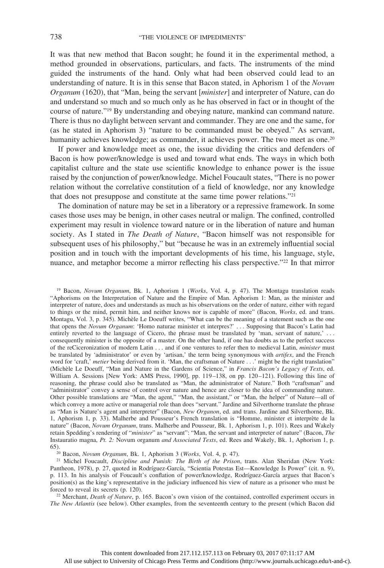It was that new method that Bacon sought; he found it in the experimental method, a method grounded in observations, particulars, and facts. The instruments of the mind guided the instruments of the hand. Only what had been observed could lead to an understanding of nature. It is in this sense that Bacon stated, in Aphorism 1 of the *Novum Organum* (1620), that "Man, being the servant [*minister*] and interpreter of Nature, can do and understand so much and so much only as he has observed in fact or in thought of the course of nature."19 By understanding and obeying nature, mankind can command nature. There is thus no daylight between servant and commander. They are one and the same, for (as he stated in Aphorism 3) "nature to be commanded must be obeyed." As servant, humanity achieves knowledge; as commander, it achieves power. The two meet as one.<sup>20</sup>

If power and knowledge meet as one, the issue dividing the critics and defenders of Bacon is how power/knowledge is used and toward what ends. The ways in which both capitalist culture and the state use scientific knowledge to enhance power is the issue raised by the conjunction of power/knowledge. Michel Foucault states, "There is no power relation without the correlative constitution of a field of knowledge, nor any knowledge that does not presuppose and constitute at the same time power relations."21

The domination of nature may be set in a liberatory or a repressive framework. In some cases those uses may be benign, in other cases neutral or malign. The confined, controlled experiment may result in violence toward nature or in the liberation of nature and human society. As I stated in *The Death of Nature*, "Bacon himself was not responsible for subsequent uses of his philosophy," but "because he was in an extremely influential social position and in touch with the important developments of his time, his language, style, nuance, and metaphor become a mirror reflecting his class perspective."22 In that mirror

<sup>19</sup> Bacon, *Novum Organum*, Bk. 1, Aphorism 1 (*Works*, Vol. 4, p. 47). The Montagu translation reads "Aphorisms on the Interpretation of Nature and the Empire of Man. Aphorism 1: Man, as the minister and interpreter of nature, does and understands as much as his observations on the order of nature, either with regard to things or the mind, permit him, and neither knows nor is capable of more" (Bacon, *Works*, ed. and trans. Montagu, Vol. 3, p. 345). Michèle Le Doeuff writes, "What can be the meaning of a statement such as the one that opens the *Novum Organum*: 'Homo naturae minister et interpres?' . . . Supposing that Bacon's Latin had entirely reverted to the language of Cicero, the phrase must be translated by 'man, servant of nature,' ... consequently minister is the opposite of a master. On the other hand, if one has doubts as to the perfect success of the reCiceronization of modern Latin . . . and if one ventures to refer then to medieval Latin, *minister* must be translated by 'administrator' or even by 'artisan,' the term being synonymous with *artifex*, and the French word for 'craft,' *metier* being derived from it. 'Man, the craftsman of Nature . . .' might be the right translation" (Michèle Le Doeuff, "Man and Nature in the Gardens of Science," in *Francis Bacon's Legacy of Texts*, ed. William A. Sessions [New York: AMS Press, 1990], pp. 119–138, on pp. 120–121). Following this line of reasoning, the phrase could also be translated as "Man, the administrator of Nature." Both "craftsman" and "administrator" convey a sense of control over nature and hence are closer to the idea of commanding nature. Other possible translations are "Man, the agent," "Man, the assistant," or "Man, the helper" of Nature—all of which convey a more active or managerial role than does "servant." Jardine and Silverthorne translate the phrase as "Man is Nature's agent and interpreter" (Bacon, *New Organon*, ed. and trans. Jardine and Silverthorne, Bk. 1, Aphorism 1, p. 33). Malherbe and Pousseur's French translation is "Homme, minister et interprète de la nature" (Bacon, *Novum Organum*, trans. Malherbe and Pousseur, Bk. 1, Aphorism 1, p. 101). Rees and Wakely retain Spedding's rendering of "*minister*" as "servant": "Man, the servant and interpreter of nature" (Bacon, *The* Instauratio magna, *Pt. 2:* Novum organum *and Associated Texts*, ed. Rees and Wakely, Bk. 1, Aphorism 1, p. 65).

<sup>20</sup> Bacon, *Novum Organum*, Bk. 1, Aphorism 3 (*Works*, Vol. 4, p. 47).

<sup>21</sup> Michel Foucault, *Discipline and Punish: The Birth of the Prison*, trans. Alan Sheridan (New York: Pantheon, 1978), p. 27, quoted in Rodríguez-García, "Scientia Potestas Est—Knowledge Is Power" (cit. n. 9), p. 113. In his analysis of Foucault's conflation of power/knowledge, Rodríguez-García argues that Bacon's position(s) as the king's representative in the judiciary influenced his view of nature as a prisoner who must be forced to reveal its secrets (p. 120).

<sup>22</sup> Merchant, *Death of Nature*, p. 165. Bacon's own vision of the contained, controlled experiment occurs in *The New Atlantis* (see below). Other examples, from the seventeenth century to the present (which Bacon did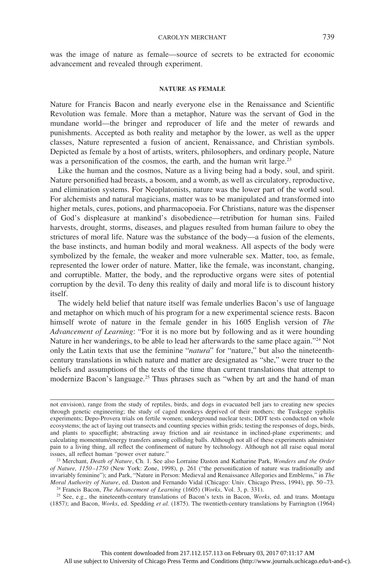was the image of nature as female—source of secrets to be extracted for economic advancement and revealed through experiment.

#### **NATURE AS FEMALE**

Nature for Francis Bacon and nearly everyone else in the Renaissance and Scientific Revolution was female. More than a metaphor, Nature was the servant of God in the mundane world—the bringer and reproducer of life and the meter of rewards and punishments. Accepted as both reality and metaphor by the lower, as well as the upper classes, Nature represented a fusion of ancient, Renaissance, and Christian symbols. Depicted as female by a host of artists, writers, philosophers, and ordinary people, Nature was a personification of the cosmos, the earth, and the human writ large.<sup>23</sup>

Like the human and the cosmos, Nature as a living being had a body, soul, and spirit. Nature personified had breasts, a bosom, and a womb, as well as circulatory, reproductive, and elimination systems. For Neoplatonists, nature was the lower part of the world soul. For alchemists and natural magicians, matter was to be manipulated and transformed into higher metals, cures, potions, and pharmacopoeia. For Christians, nature was the dispenser of God's displeasure at mankind's disobedience—retribution for human sins. Failed harvests, drought, storms, diseases, and plagues resulted from human failure to obey the strictures of moral life. Nature was the substance of the body—a fusion of the elements, the base instincts, and human bodily and moral weakness. All aspects of the body were symbolized by the female, the weaker and more vulnerable sex. Matter, too, as female, represented the lower order of nature. Matter, like the female, was inconstant, changing, and corruptible. Matter, the body, and the reproductive organs were sites of potential corruption by the devil. To deny this reality of daily and moral life is to discount history itself.

The widely held belief that nature itself was female underlies Bacon's use of language and metaphor on which much of his program for a new experimental science rests. Bacon himself wrote of nature in the female gender in his 1605 English version of *The Advancement of Learning*: "For it is no more but by following and as it were hounding Nature in her wanderings, to be able to lead her afterwards to the same place again."24 Not only the Latin texts that use the feminine "*natura*" for "nature," but also the nineteenthcentury translations in which nature and matter are designated as "she," were truer to the beliefs and assumptions of the texts of the time than current translations that attempt to modernize Bacon's language.<sup>25</sup> Thus phrases such as "when by art and the hand of man

not envision), range from the study of reptiles, birds, and dogs in evacuated bell jars to creating new species through genetic engineering; the study of caged monkeys deprived of their mothers; the Tuskegee syphilis experiments; Depo-Provera trials on fertile women; underground nuclear tests; DDT tests conducted on whole ecosystems; the act of laying out transects and counting species within grids; testing the responses of dogs, birds, and plants to spaceflight; abstracting away friction and air resistance in inclined-plane experiments; and calculating momentum/energy transfers among colliding balls. Although not all of these experiments administer pain to a living thing, all reflect the confinement of nature by technology. Although not all raise equal moral issues, all reflect human "power over nature."

<sup>23</sup> Merchant, *Death of Nature*, Ch. 1. See also Lorraine Daston and Katharine Park, *Wonders and the Order of Nature, 1150 –1750* (New York: Zone, 1998), p. 261 ("the personification of nature was traditionally and invariably feminine"); and Park, "Nature in Person: Medieval and Renaissance Allegories and Emblems," in *The Moral Authority of Nature*, ed. Daston and Fernando Vidal (Chicago: Univ. Chicago Press, 1994), pp. 50–73. <sup>24</sup> Francis Bacon, *The Advancement of Learning* (1605) (*Works*, Vol. 3, p. 331).

<sup>25</sup> See, e.g., the nineteenth-century translations of Bacon's texts in Bacon, *Works*, ed. and trans. Montagu

<sup>(1857);</sup> and Bacon, *Works*, ed. Spedding *et al.* (1875). The twentieth-century translations by Farrington (1964)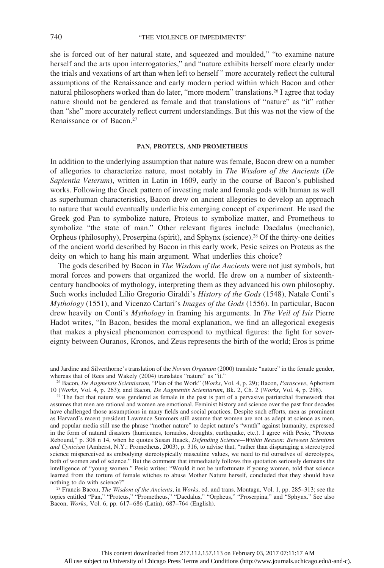she is forced out of her natural state, and squeezed and moulded," "to examine nature herself and the arts upon interrogatories," and "nature exhibits herself more clearly under the trials and vexations of art than when left to herself " more accurately reflect the cultural assumptions of the Renaissance and early modern period within which Bacon and other natural philosophers worked than do later, "more modern" translations.26 I agree that today nature should not be gendered as female and that translations of "nature" as "it" rather than "she" more accurately reflect current understandings. But this was not the view of the Renaissance or of Bacon.27

### **PAN, PROTEUS, AND PROMETHEUS**

In addition to the underlying assumption that nature was female, Bacon drew on a number of allegories to characterize nature, most notably in *The Wisdom of the Ancients* (*De Sapientia Veterum*), written in Latin in 1609, early in the course of Bacon's published works. Following the Greek pattern of investing male and female gods with human as well as superhuman characteristics, Bacon drew on ancient allegories to develop an approach to nature that would eventually underlie his emerging concept of experiment. He used the Greek god Pan to symbolize nature, Proteus to symbolize matter, and Prometheus to symbolize "the state of man." Other relevant figures include Daedalus (mechanic), Orpheus (philosophy), Proserpina (spirit), and Sphynx (science).28 Of the thirty-one deities of the ancient world described by Bacon in this early work, Pesic seizes on Proteus as the deity on which to hang his main argument. What underlies this choice?

The gods described by Bacon in *The Wisdom of the Ancients* were not just symbols, but moral forces and powers that organized the world. He drew on a number of sixteenthcentury handbooks of mythology, interpreting them as they advanced his own philosophy. Such works included Lilio Gregorio Giraldi's *History of the Gods* (1548), Natale Conti's *Mythology* (1551), and Vicenzo Cartari's *Images of the Gods* (1556). In particular, Bacon drew heavily on Conti's *Mythology* in framing his arguments. In *The Veil of Isis* Pierre Hadot writes, "In Bacon, besides the moral explanation, we find an allegorical exegesis that makes a physical phenomenon correspond to mythical figures: the fight for sovereignty between Ouranos, Kronos, and Zeus represents the birth of the world; Eros is prime

<sup>28</sup> Francis Bacon, *The Wisdom of the Ancients*, in *Works*, ed. and trans. Montagu, Vol. 1, pp. 285–313; see the topics entitled "Pan," "Proteus," "Prometheus," "Daedalus," "Orpheus," "Proserpina," and "Sphynx." See also Bacon, *Works*, Vol. 6, pp. 617–686 (Latin), 687–764 (English).

and Jardine and Silverthorne's translation of the *Novum Organum* (2000) translate "nature" in the female gender, whereas that of Rees and Wakely (2004) translates "nature" as "it."

<sup>26</sup> Bacon, *De Augmentis Scientiarum*, "Plan of the Work" (*Works*, Vol. 4, p. 29); Bacon, *Parasceve*, Aphorism 10 (*Works*, Vol. 4, p. 263); and Bacon, *De Augmentis Scientiarum*, Bk. 2, Ch. 2 (*Works*, Vol. 4, p. 298).

<sup>&</sup>lt;sup>27</sup> The fact that nature was gendered as female in the past is part of a pervasive patriarchal framework that assumes that men are rational and women are emotional. Feminist history and science over the past four decades have challenged those assumptions in many fields and social practices. Despite such efforts, men as prominent as Harvard's recent president Lawrence Summers still assume that women are not as adept at science as men, and popular media still use the phrase "mother nature" to depict nature's "wrath" against humanity, expressed in the form of natural disasters (hurricanes, tornados, droughts, earthquake, etc.). I agree with Pesic, "Proteus Rebound," p. 308 n 14, when he quotes Susan Haack, *Defending Science—Within Reason: Between Scientism and Cynicism* (Amherst, N.Y.: Prometheus, 2003), p. 316, to advise that, "rather than disparaging a stereotyped science misperceived as embodying stereotypically masculine values, we need to rid ourselves of stereotypes, both of women and of science." But the comment that immediately follows this quotation seriously demeans the intelligence of "young women." Pesic writes: "Would it not be unfortunate if young women, told that science learned from the torture of female witches to abuse Mother Nature herself, concluded that they should have nothing to do with science?"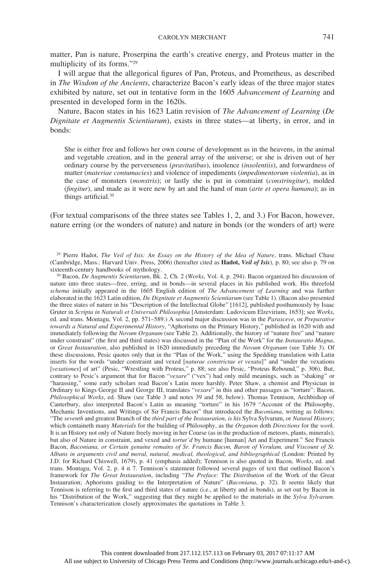matter, Pan is nature, Proserpina the earth's creative energy, and Proteus matter in the multiplicity of its forms."29

I will argue that the allegorical figures of Pan, Proteus, and Prometheus, as described in *The Wisdom of the Ancients*, characterize Bacon's early ideas of the three major states exhibited by nature, set out in tentative form in the 1605 *Advancement of Learning* and presented in developed form in the 1620s.

Nature, Bacon states in his 1623 Latin revision of *The Advancement of Learning* (*De Dignitate et Augmentis Scientiarum*), exists in three states—at liberty, in error, and in bonds:

She is either free and follows her own course of development as in the heavens, in the animal and vegetable creation, and in the general array of the universe; or she is driven out of her ordinary course by the perverseness (*pravitatibus*), insolence (*insolentiis*), and forwardness of matter (*materiae contumacies*) and violence of impediments (*impedimentorum violentia*), as in the case of monsters (*monstris*); or lastly she is put in constraint (*constringitur*), molded (*fingitur*), and made as it were new by art and the hand of man (*arte et opera humana*); as in things artificial.30

(For textual comparisons of the three states see Tables 1, 2, and 3.) For Bacon, however, nature erring (or the wonders of nature) and nature in bonds (or the wonders of art) were

<sup>29</sup> Pierre Hadot, *The Veil of Isis: An Essay on the History of the Idea of Nature*, trans. Michael Chase (Cambridge, Mass.: Harvard Univ. Press, 2006) (hereafter cited as **Hadot,** *Veil of Isis*), p. 80; see also p. 79 on sixteenth-century handbooks of mythology.

<sup>30</sup> Bacon, *De Augmentis Scientiarum*, Bk. 2, Ch. 2 (*Works*, Vol. 4, p. 294). Bacon organized his discussion of nature into three states—free, erring, and in bonds—in several places in his published work. His threefold *schema* initially appeared in the 1605 English edition of *The Advancement of Learning* and was further elaborated in the 1623 Latin edition, *De Dignitate et Augmentis Scientiarum* (see Table 1). (Bacon also presented the three states of nature in his "Description of the Intellectual Globe" [1612], published posthumously by Isaac Gruter in *Scripta in Naturali et Universali Philosophia* [Amsterdam: Ludovicum Elzevirium, 1653]; see *Works*, ed. and trans. Montagu, Vol. 2, pp. 571–589.) A second major discussion was in the *Parasceve*, or *Preparative towards a Natural and Experimental History*, "Aphorisms on the Primary History," published in 1620 with and immediately following the *Novum Organum* (see Table 2). Additionally, the history of "nature free" and "nature under constraint" (the first and third states) was discussed in the "Plan of the Work" for the *Instauratio Magna*, or *Great Instauration*, also published in 1620 immediately preceding the *Novum Organum* (see Table 3). Of these discussions, Pesic quotes only that in the "Plan of the Work," using the Spedding translation with Latin inserts for the words "under constraint and vexed [*naturae constrictae et vexata*]" and "under the vexations [*vexationes*] of art" (Pesic, "Wrestling with Proteus," p. 88; see also Pesic, "Proteus Rebound," p. 306). But, contrary to Pesic's argument that for Bacon "*vexare*" ("vex") had only mild meanings, such as "shaking" or "harassing," some early scholars read Bacon's Latin more harshly. Peter Shaw, a chemist and Physician in Ordinary to Kings George II and George III, translates "*vexare*" in this and other passages as "torture": Bacon, *Philosophical Works*, ed. Shaw (see Table 3 and notes 39 and 58, below). Thomas Tennison, Archbishop of Canterbury, also interpreted Bacon's Latin as meaning "torture" in his 1679 "Account of the Philosophy, Mechanic Inventions, and Writings of Sir Francis Bacon" that introduced the *Baconiana*, writing as follows: "The *seventh* and greatest Branch of the *third part of the Instauration*, *is his* Sylva Sylvarum, or *Natural History*; which containeth many *Materials* for the building of Philosophy, as the *Organon* doth *Directions* for the *work*. It is an History not only of Nature freely moving in her Course (as in the production of meteors, plants, minerals); but also of Nature in constraint, and vexed and *tortur'd* by humane [human] Art and Experiment." See Francis Bacon, *Baconiana, or Certain genuine remains of Sr. Francis Bacon, Baron of Verulam, and Viscount of St. Albans in arguments civil and moral, natural, medical, theological, and bibliographical* (London: Printed by J.D. for Richard Chiswell, 1679), p. 41 (emphasis added); Tennison is also quoted in Bacon, *Works*, ed. and trans. Montagu, Vol. 2, p. 4 n 7. Tennison's statement followed several pages of text that outlined Bacon's framework for *The Great Instauration*, including "*The Preface*: The *Distribution* of the Work of the Great Instauration; Aphorisms guiding to the Interpretation of Nature" (*Baconiana*, p. 32). It seems likely that Tennison is referring to the first and third states of nature (i.e., at liberty and in bonds), as set out by Bacon in his "Distribution of the Work," suggesting that they might be applied to the materials in the *Sylva Sylvarum*. Tennison's characterization closely approximates the quotations in Table 3.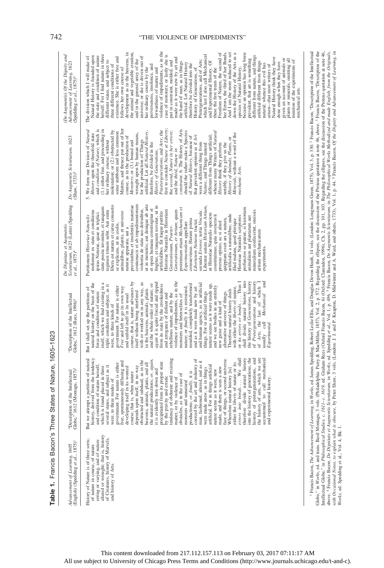Table 1. Francis Bacon's Three States of Nature, 1605-1623 **Table 1.** Francis Bacon's Three States of Nature, 1605–1623

| violence of impediments, as in the<br>development as in the heavens, in<br>Freedom of Nature, the second of<br>her Errors, the third of her Bonds.<br>And I am the more induced to set<br>down the History of the Arts as a<br>the animal and vegetable creation,<br>because an opinion has long been<br>case of monsters; or lastly she is<br>which last I also call Mechanical<br>the state and condition of nature<br>herself. For I find nature in three<br>different from nature, and things<br>Natural History is founded upon<br>universe; or she is driven out of<br>The division which I will make of<br>existence. She is either free and<br>Natural History think they have<br>made as it were new by art and<br>prevalent, that art is something<br>given an account of animals or<br>and in the general array of the<br>plants or minerals, omitting all<br>mention of the experiments of<br>different states, and subject to<br>Pretergenerations, and of Arts;<br>done enough when they have<br>put in constraint, molded, and<br>the hand of man; as in things<br>and Experimental History. Of<br>artificial different from things<br>artificial. Let Natural History<br>therefore be divided into the<br>natural; whence this evil has<br>three different conditions of<br>perverseness, insolence, and<br>arisen-that most writers of<br>species of Natural History,<br>follows her own course of<br>her ordinary course by the<br>these the first treats of the<br>History of Generations, of<br>forwardness of matter and<br>mechanical arts.<br>and condition of Nature; which is<br>Matters, and thence put out of her<br>first to consider Nature at Liberty<br>(1.) either free, and proceeding in<br>constraint. 6. The History of Arts<br>5. We form our Division of Natural<br>molestation; or (2.) obstructed by<br>Praetergenerations, and Arts; the<br>should the rather make a Species<br>the second, Nature in her errors;<br>artificial. Let all Natural History,<br>whence many Writers of Natural<br>some stubborn and less common<br>History upon the threefold state<br>wrought upon by human means,<br>for the production of Things<br>Minerals, without a word of the<br>of Natural History, because of<br>that prevalent opinion as if Art<br>different from Things artificial;<br>course, as in the production of<br>History of Animals, Plants, or<br>her ordinary course, without<br>Monsters; or (3.) bound and<br>therefore, be divided in the<br>notably, if they give us the<br>were a different thing from<br>Nature, and Things natural<br>History think they perform<br>and the third, Nature in<br>History of Generations,<br>mechanic Arts.<br>ibera est natura et cursu consueto<br>pravitatibus et insolentis materiae<br>contumacis et ab impedimentorum<br>violentia de statu suo detruditur,<br>ut in monstris; aut denique ab arte<br>fingitur, et tanquam novatur, ut in<br>Libenter autem Historiam Artium,<br>statu posita invenitur, et tanquam<br>perfunctos se putent, si historiam<br>postremam etiam Mechanicam et<br>et opera humana constringitur et<br>moliemur ex statu et conditione<br>Historiae Naturalis in Historiam<br>Generationum, et Artium; quam<br>regimen trinum subit. Aut enim<br>mineralium confecerint, omissis<br>secunda Errores; tertia Vincula.<br>animalibus, plantis, et universo<br>artificialibus. Sit itaque partitio<br>ipsius Naturae, quae in triplici<br>at Historiae Naturalis speciem<br>constituimus; quia inveteravit<br>artificialia a naturalibus; unde<br>Partitionem Historiae Naturalis<br>Historiae Naturalis scriptores<br>animalium aut plantarum aut<br>consuevimus. Harum prima<br>llud malum, quod plerique<br>quippiam esset ars a natura,<br>Libertatem Naturae tractat;<br>prorsus opinio, ac si aliud<br>Experimentalem appellare<br>se explicans, ut in coelis,<br>Generationum, Praeter-<br>naturae apparatu; aut a<br>artium mechanicarum<br>experimentis<br>shall divide natural history into<br>or its errors or bonds Thus I<br>violence of impediments, as in the<br>the history of Generations, history<br>Mechanical and<br>course, that is, nature advances by<br>of Pretergenerations and history<br>with or worked on in any way, as<br>tself, which we find existing in a<br><i>again</i> it is quite forced and ripped<br>natural history on the basis of the<br>and the whole order of nature; or<br>and human agency, as in artificial<br>from its state by the crookedness<br>of Arts, the last of which<br>nature seems as it were made up,<br>riple condition and subject, as it<br>moulded, completely transformed<br>government. For nature is either<br>and we see bodies in an entirely<br>with either the liberty of nature,<br>But I shall set up the partitions of<br>Free and left to go its own way<br>and unfold itself in its usual<br>nature; or finally it is restrained,<br>and as it were made new by art<br>in the heavens, animals, plants<br>Therefore natural history deals<br>itself without being interfered<br>force and condition of nature<br>things. For in artificial things<br>alternative universe of things.<br>and arrogance of defiant and<br>rebellious matter, and by the<br>monsters and heteroclites of<br>new guise and a kind of<br>were, to three kinds of<br>usually call<br>Experimental<br>But we attempt a partition of natural<br>errors into bonds We shall<br>into the history of generations, the<br>history, derived from the tendency<br>tendency of obdurate and resisting<br>coerced by the art and industry of<br>therefore divide natural history<br>pretergenerations, and<br>the history of arts, which we are<br>to call mechanical<br>face of things, or second universe<br>productions; or, again<br>man, fashioned, altered, and as it<br>obstructed and subdued, as in the<br>precipitated from its proper state<br>free, spontaneously diffusing and<br>either the liberty of nature or its<br>heavens, animals, plants, and all<br>government. For nature is either<br>and condition of nature herself,<br>depends upon itself, in no way<br>artificial. For in things artificial<br>nature seems as it were, new<br>several states, and subject as it<br>which is found placed in three<br>developing itself in its wonted<br>made, and there is seen a new<br>were made anew, as in things<br>Wherefore natural history [is]<br>it is evidently torn down and<br>productions; or, finally, it is<br>course, that is, when nature<br>obstacles, as in the case of<br>by the pravity and erratic<br>matter, or by violence of<br>and experimental history.<br>were, to three modes of<br>monsters and unnatural<br>accustomed<br>the natural<br>history of<br>altered or wrought; that is, history<br>of Creatures, history of Marvels,<br>History of Nature is of three sorts;<br>erring or varying, and of nature<br>of nature in course, of nature<br>and history of Arts. | (English) (Spedding et al., 1875) <sup>1</sup><br>Advancement of Learning, 1605 | $(Montagu, 1857)^2$<br>"Description of the Intellectual<br>Globe," 1612 | "Description of the Intellectual<br>Globe," 1612 (Rees, 1996) <sup>3</sup> | Scientiarum, 1623 (Latin) (Spedding<br>De Dignitate et Augmentis<br>et al., $1875)^4$ | De Augmentis Scientiarum, 1623<br>(Shaw, 1733) <sup>5</sup> | De Augmentis) Of the Dignity and<br>Advancement of Learning, 1623<br>(Spedding et al., 1875) <sup>6</sup> |
|-------------------------------------------------------------------------------------------------------------------------------------------------------------------------------------------------------------------------------------------------------------------------------------------------------------------------------------------------------------------------------------------------------------------------------------------------------------------------------------------------------------------------------------------------------------------------------------------------------------------------------------------------------------------------------------------------------------------------------------------------------------------------------------------------------------------------------------------------------------------------------------------------------------------------------------------------------------------------------------------------------------------------------------------------------------------------------------------------------------------------------------------------------------------------------------------------------------------------------------------------------------------------------------------------------------------------------------------------------------------------------------------------------------------------------------------------------------------------------------------------------------------------------------------------------------------------------------------------------------------------------------------------------------------------------------------------------------------------------------------------------------------------------------------------------------------------------------------------------------------------------------------------------------------------------------------------------------------------------------------------------------------------------------------------------------------------------------------------------------------------------------------------------------------------------------------------------------------------------------------------------------------------------------------------------------------------------------------------------------------------------------------------------------------------------------------------------------------------------------------------------------------------------------------------------------------------------------------------------------------------------------------------------------------------------------------------------------------------------------------------------------------------------------------------------------------------------------------------------------------------------------------------------------------------------------------------------------------------------------------------------------------------------------------------------------------------------------------------------------------------------------------------------------------------------------------------------------------------------------------------------------------------------------------------------------------------------------------------------------------------------------------------------------------------------------------------------------------------------------------------------------------------------------------------------------------------------------------------------------------------------------------------------------------------------------------------------------------------------------------------------------------------------------------------------------------------------------------------------------------------------------------------------------------------------------------------------------------------------------------------------------------------------------------------------------------------------------------------------------------------------------------------------------------------------------------------------------------------------------------------------------------------------------------------------------------------------------------------------------------------------------------------------------------------------------------------------------------------------------------------------------------------------------------------------------------------------------------------------------------------------------------------------------------------------------------------------------------------------------------------------------------------------------------------------------------------------------------------------------------------------------------------------------------------------------------------------------------------------------------------------------------------------------------------------------------------------------------------------------------------------------------------------------------------------------------------------------------------------------------------------------------------------------------------------------------------------------------------------------------------------------------------------------------------------------------------------------------------------------------------------------------------------------------------------------------------------------------------------------------------------------------------------------------------------------------------------------------------------------------------------------------------------------------------------------------------------------------------------------------------------------------------------------------------------------------------------------------------------------------------------------------------------------------------------------------------------------------------------------------------------------------------------------------------------------------------------------------------------------------------------------------------------------------------------------------------------------------------------------------------------------------------------------------------------------------------------------------------------------------------------------------------------------------------------------------------------------------------------------------------------------------------------------------------------------------------------------------------------------------------------------------------------------------------------------------------------------------------------------------------------------------------------------------------------------------------------------------------------------|---------------------------------------------------------------------------------|-------------------------------------------------------------------------|----------------------------------------------------------------------------|---------------------------------------------------------------------------------------|-------------------------------------------------------------|-----------------------------------------------------------------------------------------------------------|
|                                                                                                                                                                                                                                                                                                                                                                                                                                                                                                                                                                                                                                                                                                                                                                                                                                                                                                                                                                                                                                                                                                                                                                                                                                                                                                                                                                                                                                                                                                                                                                                                                                                                                                                                                                                                                                                                                                                                                                                                                                                                                                                                                                                                                                                                                                                                                                                                                                                                                                                                                                                                                                                                                                                                                                                                                                                                                                                                                                                                                                                                                                                                                                                                                                                                                                                                                                                                                                                                                                                                                                                                                                                                                                                                                                                                                                                                                                                                                                                                                                                                                                                                                                                                                                                                                                                                                                                                                                                                                                                                                                                                                                                                                                                                                                                                                                                                                                                                                                                                                                                                                                                                                                                                                                                                                                                                                                                                                                                                                                                                                                                                                                                                                                                                                                                                                                                                                                                                                                                                                                                                                                                                                                                                                                                                                                                                                                                                                                                                                                                                                                                                                                                                                                                                                                                                                                                                                                                                                                                     |                                                                                 |                                                                         |                                                                            |                                                                                       |                                                             |                                                                                                           |
|                                                                                                                                                                                                                                                                                                                                                                                                                                                                                                                                                                                                                                                                                                                                                                                                                                                                                                                                                                                                                                                                                                                                                                                                                                                                                                                                                                                                                                                                                                                                                                                                                                                                                                                                                                                                                                                                                                                                                                                                                                                                                                                                                                                                                                                                                                                                                                                                                                                                                                                                                                                                                                                                                                                                                                                                                                                                                                                                                                                                                                                                                                                                                                                                                                                                                                                                                                                                                                                                                                                                                                                                                                                                                                                                                                                                                                                                                                                                                                                                                                                                                                                                                                                                                                                                                                                                                                                                                                                                                                                                                                                                                                                                                                                                                                                                                                                                                                                                                                                                                                                                                                                                                                                                                                                                                                                                                                                                                                                                                                                                                                                                                                                                                                                                                                                                                                                                                                                                                                                                                                                                                                                                                                                                                                                                                                                                                                                                                                                                                                                                                                                                                                                                                                                                                                                                                                                                                                                                                                                     |                                                                                 |                                                                         |                                                                            |                                                                                       |                                                             |                                                                                                           |
|                                                                                                                                                                                                                                                                                                                                                                                                                                                                                                                                                                                                                                                                                                                                                                                                                                                                                                                                                                                                                                                                                                                                                                                                                                                                                                                                                                                                                                                                                                                                                                                                                                                                                                                                                                                                                                                                                                                                                                                                                                                                                                                                                                                                                                                                                                                                                                                                                                                                                                                                                                                                                                                                                                                                                                                                                                                                                                                                                                                                                                                                                                                                                                                                                                                                                                                                                                                                                                                                                                                                                                                                                                                                                                                                                                                                                                                                                                                                                                                                                                                                                                                                                                                                                                                                                                                                                                                                                                                                                                                                                                                                                                                                                                                                                                                                                                                                                                                                                                                                                                                                                                                                                                                                                                                                                                                                                                                                                                                                                                                                                                                                                                                                                                                                                                                                                                                                                                                                                                                                                                                                                                                                                                                                                                                                                                                                                                                                                                                                                                                                                                                                                                                                                                                                                                                                                                                                                                                                                                                     |                                                                                 |                                                                         |                                                                            |                                                                                       |                                                             |                                                                                                           |
|                                                                                                                                                                                                                                                                                                                                                                                                                                                                                                                                                                                                                                                                                                                                                                                                                                                                                                                                                                                                                                                                                                                                                                                                                                                                                                                                                                                                                                                                                                                                                                                                                                                                                                                                                                                                                                                                                                                                                                                                                                                                                                                                                                                                                                                                                                                                                                                                                                                                                                                                                                                                                                                                                                                                                                                                                                                                                                                                                                                                                                                                                                                                                                                                                                                                                                                                                                                                                                                                                                                                                                                                                                                                                                                                                                                                                                                                                                                                                                                                                                                                                                                                                                                                                                                                                                                                                                                                                                                                                                                                                                                                                                                                                                                                                                                                                                                                                                                                                                                                                                                                                                                                                                                                                                                                                                                                                                                                                                                                                                                                                                                                                                                                                                                                                                                                                                                                                                                                                                                                                                                                                                                                                                                                                                                                                                                                                                                                                                                                                                                                                                                                                                                                                                                                                                                                                                                                                                                                                                                     |                                                                                 |                                                                         |                                                                            |                                                                                       |                                                             |                                                                                                           |
|                                                                                                                                                                                                                                                                                                                                                                                                                                                                                                                                                                                                                                                                                                                                                                                                                                                                                                                                                                                                                                                                                                                                                                                                                                                                                                                                                                                                                                                                                                                                                                                                                                                                                                                                                                                                                                                                                                                                                                                                                                                                                                                                                                                                                                                                                                                                                                                                                                                                                                                                                                                                                                                                                                                                                                                                                                                                                                                                                                                                                                                                                                                                                                                                                                                                                                                                                                                                                                                                                                                                                                                                                                                                                                                                                                                                                                                                                                                                                                                                                                                                                                                                                                                                                                                                                                                                                                                                                                                                                                                                                                                                                                                                                                                                                                                                                                                                                                                                                                                                                                                                                                                                                                                                                                                                                                                                                                                                                                                                                                                                                                                                                                                                                                                                                                                                                                                                                                                                                                                                                                                                                                                                                                                                                                                                                                                                                                                                                                                                                                                                                                                                                                                                                                                                                                                                                                                                                                                                                                                     |                                                                                 |                                                                         |                                                                            |                                                                                       |                                                             |                                                                                                           |
|                                                                                                                                                                                                                                                                                                                                                                                                                                                                                                                                                                                                                                                                                                                                                                                                                                                                                                                                                                                                                                                                                                                                                                                                                                                                                                                                                                                                                                                                                                                                                                                                                                                                                                                                                                                                                                                                                                                                                                                                                                                                                                                                                                                                                                                                                                                                                                                                                                                                                                                                                                                                                                                                                                                                                                                                                                                                                                                                                                                                                                                                                                                                                                                                                                                                                                                                                                                                                                                                                                                                                                                                                                                                                                                                                                                                                                                                                                                                                                                                                                                                                                                                                                                                                                                                                                                                                                                                                                                                                                                                                                                                                                                                                                                                                                                                                                                                                                                                                                                                                                                                                                                                                                                                                                                                                                                                                                                                                                                                                                                                                                                                                                                                                                                                                                                                                                                                                                                                                                                                                                                                                                                                                                                                                                                                                                                                                                                                                                                                                                                                                                                                                                                                                                                                                                                                                                                                                                                                                                                     |                                                                                 |                                                                         |                                                                            |                                                                                       |                                                             |                                                                                                           |
|                                                                                                                                                                                                                                                                                                                                                                                                                                                                                                                                                                                                                                                                                                                                                                                                                                                                                                                                                                                                                                                                                                                                                                                                                                                                                                                                                                                                                                                                                                                                                                                                                                                                                                                                                                                                                                                                                                                                                                                                                                                                                                                                                                                                                                                                                                                                                                                                                                                                                                                                                                                                                                                                                                                                                                                                                                                                                                                                                                                                                                                                                                                                                                                                                                                                                                                                                                                                                                                                                                                                                                                                                                                                                                                                                                                                                                                                                                                                                                                                                                                                                                                                                                                                                                                                                                                                                                                                                                                                                                                                                                                                                                                                                                                                                                                                                                                                                                                                                                                                                                                                                                                                                                                                                                                                                                                                                                                                                                                                                                                                                                                                                                                                                                                                                                                                                                                                                                                                                                                                                                                                                                                                                                                                                                                                                                                                                                                                                                                                                                                                                                                                                                                                                                                                                                                                                                                                                                                                                                                     |                                                                                 |                                                                         |                                                                            |                                                                                       |                                                             |                                                                                                           |
|                                                                                                                                                                                                                                                                                                                                                                                                                                                                                                                                                                                                                                                                                                                                                                                                                                                                                                                                                                                                                                                                                                                                                                                                                                                                                                                                                                                                                                                                                                                                                                                                                                                                                                                                                                                                                                                                                                                                                                                                                                                                                                                                                                                                                                                                                                                                                                                                                                                                                                                                                                                                                                                                                                                                                                                                                                                                                                                                                                                                                                                                                                                                                                                                                                                                                                                                                                                                                                                                                                                                                                                                                                                                                                                                                                                                                                                                                                                                                                                                                                                                                                                                                                                                                                                                                                                                                                                                                                                                                                                                                                                                                                                                                                                                                                                                                                                                                                                                                                                                                                                                                                                                                                                                                                                                                                                                                                                                                                                                                                                                                                                                                                                                                                                                                                                                                                                                                                                                                                                                                                                                                                                                                                                                                                                                                                                                                                                                                                                                                                                                                                                                                                                                                                                                                                                                                                                                                                                                                                                     |                                                                                 |                                                                         |                                                                            |                                                                                       |                                                             |                                                                                                           |
|                                                                                                                                                                                                                                                                                                                                                                                                                                                                                                                                                                                                                                                                                                                                                                                                                                                                                                                                                                                                                                                                                                                                                                                                                                                                                                                                                                                                                                                                                                                                                                                                                                                                                                                                                                                                                                                                                                                                                                                                                                                                                                                                                                                                                                                                                                                                                                                                                                                                                                                                                                                                                                                                                                                                                                                                                                                                                                                                                                                                                                                                                                                                                                                                                                                                                                                                                                                                                                                                                                                                                                                                                                                                                                                                                                                                                                                                                                                                                                                                                                                                                                                                                                                                                                                                                                                                                                                                                                                                                                                                                                                                                                                                                                                                                                                                                                                                                                                                                                                                                                                                                                                                                                                                                                                                                                                                                                                                                                                                                                                                                                                                                                                                                                                                                                                                                                                                                                                                                                                                                                                                                                                                                                                                                                                                                                                                                                                                                                                                                                                                                                                                                                                                                                                                                                                                                                                                                                                                                                                     |                                                                                 |                                                                         |                                                                            |                                                                                       |                                                             |                                                                                                           |
|                                                                                                                                                                                                                                                                                                                                                                                                                                                                                                                                                                                                                                                                                                                                                                                                                                                                                                                                                                                                                                                                                                                                                                                                                                                                                                                                                                                                                                                                                                                                                                                                                                                                                                                                                                                                                                                                                                                                                                                                                                                                                                                                                                                                                                                                                                                                                                                                                                                                                                                                                                                                                                                                                                                                                                                                                                                                                                                                                                                                                                                                                                                                                                                                                                                                                                                                                                                                                                                                                                                                                                                                                                                                                                                                                                                                                                                                                                                                                                                                                                                                                                                                                                                                                                                                                                                                                                                                                                                                                                                                                                                                                                                                                                                                                                                                                                                                                                                                                                                                                                                                                                                                                                                                                                                                                                                                                                                                                                                                                                                                                                                                                                                                                                                                                                                                                                                                                                                                                                                                                                                                                                                                                                                                                                                                                                                                                                                                                                                                                                                                                                                                                                                                                                                                                                                                                                                                                                                                                                                     |                                                                                 |                                                                         |                                                                            |                                                                                       |                                                             |                                                                                                           |
|                                                                                                                                                                                                                                                                                                                                                                                                                                                                                                                                                                                                                                                                                                                                                                                                                                                                                                                                                                                                                                                                                                                                                                                                                                                                                                                                                                                                                                                                                                                                                                                                                                                                                                                                                                                                                                                                                                                                                                                                                                                                                                                                                                                                                                                                                                                                                                                                                                                                                                                                                                                                                                                                                                                                                                                                                                                                                                                                                                                                                                                                                                                                                                                                                                                                                                                                                                                                                                                                                                                                                                                                                                                                                                                                                                                                                                                                                                                                                                                                                                                                                                                                                                                                                                                                                                                                                                                                                                                                                                                                                                                                                                                                                                                                                                                                                                                                                                                                                                                                                                                                                                                                                                                                                                                                                                                                                                                                                                                                                                                                                                                                                                                                                                                                                                                                                                                                                                                                                                                                                                                                                                                                                                                                                                                                                                                                                                                                                                                                                                                                                                                                                                                                                                                                                                                                                                                                                                                                                                                     |                                                                                 |                                                                         |                                                                            |                                                                                       |                                                             |                                                                                                           |
|                                                                                                                                                                                                                                                                                                                                                                                                                                                                                                                                                                                                                                                                                                                                                                                                                                                                                                                                                                                                                                                                                                                                                                                                                                                                                                                                                                                                                                                                                                                                                                                                                                                                                                                                                                                                                                                                                                                                                                                                                                                                                                                                                                                                                                                                                                                                                                                                                                                                                                                                                                                                                                                                                                                                                                                                                                                                                                                                                                                                                                                                                                                                                                                                                                                                                                                                                                                                                                                                                                                                                                                                                                                                                                                                                                                                                                                                                                                                                                                                                                                                                                                                                                                                                                                                                                                                                                                                                                                                                                                                                                                                                                                                                                                                                                                                                                                                                                                                                                                                                                                                                                                                                                                                                                                                                                                                                                                                                                                                                                                                                                                                                                                                                                                                                                                                                                                                                                                                                                                                                                                                                                                                                                                                                                                                                                                                                                                                                                                                                                                                                                                                                                                                                                                                                                                                                                                                                                                                                                                     |                                                                                 |                                                                         |                                                                            |                                                                                       |                                                             |                                                                                                           |
|                                                                                                                                                                                                                                                                                                                                                                                                                                                                                                                                                                                                                                                                                                                                                                                                                                                                                                                                                                                                                                                                                                                                                                                                                                                                                                                                                                                                                                                                                                                                                                                                                                                                                                                                                                                                                                                                                                                                                                                                                                                                                                                                                                                                                                                                                                                                                                                                                                                                                                                                                                                                                                                                                                                                                                                                                                                                                                                                                                                                                                                                                                                                                                                                                                                                                                                                                                                                                                                                                                                                                                                                                                                                                                                                                                                                                                                                                                                                                                                                                                                                                                                                                                                                                                                                                                                                                                                                                                                                                                                                                                                                                                                                                                                                                                                                                                                                                                                                                                                                                                                                                                                                                                                                                                                                                                                                                                                                                                                                                                                                                                                                                                                                                                                                                                                                                                                                                                                                                                                                                                                                                                                                                                                                                                                                                                                                                                                                                                                                                                                                                                                                                                                                                                                                                                                                                                                                                                                                                                                     |                                                                                 |                                                                         |                                                                            |                                                                                       |                                                             |                                                                                                           |
|                                                                                                                                                                                                                                                                                                                                                                                                                                                                                                                                                                                                                                                                                                                                                                                                                                                                                                                                                                                                                                                                                                                                                                                                                                                                                                                                                                                                                                                                                                                                                                                                                                                                                                                                                                                                                                                                                                                                                                                                                                                                                                                                                                                                                                                                                                                                                                                                                                                                                                                                                                                                                                                                                                                                                                                                                                                                                                                                                                                                                                                                                                                                                                                                                                                                                                                                                                                                                                                                                                                                                                                                                                                                                                                                                                                                                                                                                                                                                                                                                                                                                                                                                                                                                                                                                                                                                                                                                                                                                                                                                                                                                                                                                                                                                                                                                                                                                                                                                                                                                                                                                                                                                                                                                                                                                                                                                                                                                                                                                                                                                                                                                                                                                                                                                                                                                                                                                                                                                                                                                                                                                                                                                                                                                                                                                                                                                                                                                                                                                                                                                                                                                                                                                                                                                                                                                                                                                                                                                                                     |                                                                                 |                                                                         |                                                                            |                                                                                       |                                                             |                                                                                                           |
|                                                                                                                                                                                                                                                                                                                                                                                                                                                                                                                                                                                                                                                                                                                                                                                                                                                                                                                                                                                                                                                                                                                                                                                                                                                                                                                                                                                                                                                                                                                                                                                                                                                                                                                                                                                                                                                                                                                                                                                                                                                                                                                                                                                                                                                                                                                                                                                                                                                                                                                                                                                                                                                                                                                                                                                                                                                                                                                                                                                                                                                                                                                                                                                                                                                                                                                                                                                                                                                                                                                                                                                                                                                                                                                                                                                                                                                                                                                                                                                                                                                                                                                                                                                                                                                                                                                                                                                                                                                                                                                                                                                                                                                                                                                                                                                                                                                                                                                                                                                                                                                                                                                                                                                                                                                                                                                                                                                                                                                                                                                                                                                                                                                                                                                                                                                                                                                                                                                                                                                                                                                                                                                                                                                                                                                                                                                                                                                                                                                                                                                                                                                                                                                                                                                                                                                                                                                                                                                                                                                     |                                                                                 |                                                                         |                                                                            |                                                                                       |                                                             |                                                                                                           |
|                                                                                                                                                                                                                                                                                                                                                                                                                                                                                                                                                                                                                                                                                                                                                                                                                                                                                                                                                                                                                                                                                                                                                                                                                                                                                                                                                                                                                                                                                                                                                                                                                                                                                                                                                                                                                                                                                                                                                                                                                                                                                                                                                                                                                                                                                                                                                                                                                                                                                                                                                                                                                                                                                                                                                                                                                                                                                                                                                                                                                                                                                                                                                                                                                                                                                                                                                                                                                                                                                                                                                                                                                                                                                                                                                                                                                                                                                                                                                                                                                                                                                                                                                                                                                                                                                                                                                                                                                                                                                                                                                                                                                                                                                                                                                                                                                                                                                                                                                                                                                                                                                                                                                                                                                                                                                                                                                                                                                                                                                                                                                                                                                                                                                                                                                                                                                                                                                                                                                                                                                                                                                                                                                                                                                                                                                                                                                                                                                                                                                                                                                                                                                                                                                                                                                                                                                                                                                                                                                                                     |                                                                                 |                                                                         |                                                                            |                                                                                       |                                                             |                                                                                                           |
|                                                                                                                                                                                                                                                                                                                                                                                                                                                                                                                                                                                                                                                                                                                                                                                                                                                                                                                                                                                                                                                                                                                                                                                                                                                                                                                                                                                                                                                                                                                                                                                                                                                                                                                                                                                                                                                                                                                                                                                                                                                                                                                                                                                                                                                                                                                                                                                                                                                                                                                                                                                                                                                                                                                                                                                                                                                                                                                                                                                                                                                                                                                                                                                                                                                                                                                                                                                                                                                                                                                                                                                                                                                                                                                                                                                                                                                                                                                                                                                                                                                                                                                                                                                                                                                                                                                                                                                                                                                                                                                                                                                                                                                                                                                                                                                                                                                                                                                                                                                                                                                                                                                                                                                                                                                                                                                                                                                                                                                                                                                                                                                                                                                                                                                                                                                                                                                                                                                                                                                                                                                                                                                                                                                                                                                                                                                                                                                                                                                                                                                                                                                                                                                                                                                                                                                                                                                                                                                                                                                     |                                                                                 |                                                                         |                                                                            |                                                                                       |                                                             |                                                                                                           |
|                                                                                                                                                                                                                                                                                                                                                                                                                                                                                                                                                                                                                                                                                                                                                                                                                                                                                                                                                                                                                                                                                                                                                                                                                                                                                                                                                                                                                                                                                                                                                                                                                                                                                                                                                                                                                                                                                                                                                                                                                                                                                                                                                                                                                                                                                                                                                                                                                                                                                                                                                                                                                                                                                                                                                                                                                                                                                                                                                                                                                                                                                                                                                                                                                                                                                                                                                                                                                                                                                                                                                                                                                                                                                                                                                                                                                                                                                                                                                                                                                                                                                                                                                                                                                                                                                                                                                                                                                                                                                                                                                                                                                                                                                                                                                                                                                                                                                                                                                                                                                                                                                                                                                                                                                                                                                                                                                                                                                                                                                                                                                                                                                                                                                                                                                                                                                                                                                                                                                                                                                                                                                                                                                                                                                                                                                                                                                                                                                                                                                                                                                                                                                                                                                                                                                                                                                                                                                                                                                                                     |                                                                                 |                                                                         |                                                                            |                                                                                       |                                                             |                                                                                                           |
|                                                                                                                                                                                                                                                                                                                                                                                                                                                                                                                                                                                                                                                                                                                                                                                                                                                                                                                                                                                                                                                                                                                                                                                                                                                                                                                                                                                                                                                                                                                                                                                                                                                                                                                                                                                                                                                                                                                                                                                                                                                                                                                                                                                                                                                                                                                                                                                                                                                                                                                                                                                                                                                                                                                                                                                                                                                                                                                                                                                                                                                                                                                                                                                                                                                                                                                                                                                                                                                                                                                                                                                                                                                                                                                                                                                                                                                                                                                                                                                                                                                                                                                                                                                                                                                                                                                                                                                                                                                                                                                                                                                                                                                                                                                                                                                                                                                                                                                                                                                                                                                                                                                                                                                                                                                                                                                                                                                                                                                                                                                                                                                                                                                                                                                                                                                                                                                                                                                                                                                                                                                                                                                                                                                                                                                                                                                                                                                                                                                                                                                                                                                                                                                                                                                                                                                                                                                                                                                                                                                     |                                                                                 |                                                                         |                                                                            |                                                                                       |                                                             |                                                                                                           |
|                                                                                                                                                                                                                                                                                                                                                                                                                                                                                                                                                                                                                                                                                                                                                                                                                                                                                                                                                                                                                                                                                                                                                                                                                                                                                                                                                                                                                                                                                                                                                                                                                                                                                                                                                                                                                                                                                                                                                                                                                                                                                                                                                                                                                                                                                                                                                                                                                                                                                                                                                                                                                                                                                                                                                                                                                                                                                                                                                                                                                                                                                                                                                                                                                                                                                                                                                                                                                                                                                                                                                                                                                                                                                                                                                                                                                                                                                                                                                                                                                                                                                                                                                                                                                                                                                                                                                                                                                                                                                                                                                                                                                                                                                                                                                                                                                                                                                                                                                                                                                                                                                                                                                                                                                                                                                                                                                                                                                                                                                                                                                                                                                                                                                                                                                                                                                                                                                                                                                                                                                                                                                                                                                                                                                                                                                                                                                                                                                                                                                                                                                                                                                                                                                                                                                                                                                                                                                                                                                                                     |                                                                                 |                                                                         |                                                                            |                                                                                       |                                                             |                                                                                                           |
|                                                                                                                                                                                                                                                                                                                                                                                                                                                                                                                                                                                                                                                                                                                                                                                                                                                                                                                                                                                                                                                                                                                                                                                                                                                                                                                                                                                                                                                                                                                                                                                                                                                                                                                                                                                                                                                                                                                                                                                                                                                                                                                                                                                                                                                                                                                                                                                                                                                                                                                                                                                                                                                                                                                                                                                                                                                                                                                                                                                                                                                                                                                                                                                                                                                                                                                                                                                                                                                                                                                                                                                                                                                                                                                                                                                                                                                                                                                                                                                                                                                                                                                                                                                                                                                                                                                                                                                                                                                                                                                                                                                                                                                                                                                                                                                                                                                                                                                                                                                                                                                                                                                                                                                                                                                                                                                                                                                                                                                                                                                                                                                                                                                                                                                                                                                                                                                                                                                                                                                                                                                                                                                                                                                                                                                                                                                                                                                                                                                                                                                                                                                                                                                                                                                                                                                                                                                                                                                                                                                     |                                                                                 |                                                                         |                                                                            |                                                                                       |                                                             |                                                                                                           |
|                                                                                                                                                                                                                                                                                                                                                                                                                                                                                                                                                                                                                                                                                                                                                                                                                                                                                                                                                                                                                                                                                                                                                                                                                                                                                                                                                                                                                                                                                                                                                                                                                                                                                                                                                                                                                                                                                                                                                                                                                                                                                                                                                                                                                                                                                                                                                                                                                                                                                                                                                                                                                                                                                                                                                                                                                                                                                                                                                                                                                                                                                                                                                                                                                                                                                                                                                                                                                                                                                                                                                                                                                                                                                                                                                                                                                                                                                                                                                                                                                                                                                                                                                                                                                                                                                                                                                                                                                                                                                                                                                                                                                                                                                                                                                                                                                                                                                                                                                                                                                                                                                                                                                                                                                                                                                                                                                                                                                                                                                                                                                                                                                                                                                                                                                                                                                                                                                                                                                                                                                                                                                                                                                                                                                                                                                                                                                                                                                                                                                                                                                                                                                                                                                                                                                                                                                                                                                                                                                                                     |                                                                                 |                                                                         |                                                                            |                                                                                       |                                                             |                                                                                                           |
|                                                                                                                                                                                                                                                                                                                                                                                                                                                                                                                                                                                                                                                                                                                                                                                                                                                                                                                                                                                                                                                                                                                                                                                                                                                                                                                                                                                                                                                                                                                                                                                                                                                                                                                                                                                                                                                                                                                                                                                                                                                                                                                                                                                                                                                                                                                                                                                                                                                                                                                                                                                                                                                                                                                                                                                                                                                                                                                                                                                                                                                                                                                                                                                                                                                                                                                                                                                                                                                                                                                                                                                                                                                                                                                                                                                                                                                                                                                                                                                                                                                                                                                                                                                                                                                                                                                                                                                                                                                                                                                                                                                                                                                                                                                                                                                                                                                                                                                                                                                                                                                                                                                                                                                                                                                                                                                                                                                                                                                                                                                                                                                                                                                                                                                                                                                                                                                                                                                                                                                                                                                                                                                                                                                                                                                                                                                                                                                                                                                                                                                                                                                                                                                                                                                                                                                                                                                                                                                                                                                     |                                                                                 |                                                                         |                                                                            |                                                                                       |                                                             |                                                                                                           |
|                                                                                                                                                                                                                                                                                                                                                                                                                                                                                                                                                                                                                                                                                                                                                                                                                                                                                                                                                                                                                                                                                                                                                                                                                                                                                                                                                                                                                                                                                                                                                                                                                                                                                                                                                                                                                                                                                                                                                                                                                                                                                                                                                                                                                                                                                                                                                                                                                                                                                                                                                                                                                                                                                                                                                                                                                                                                                                                                                                                                                                                                                                                                                                                                                                                                                                                                                                                                                                                                                                                                                                                                                                                                                                                                                                                                                                                                                                                                                                                                                                                                                                                                                                                                                                                                                                                                                                                                                                                                                                                                                                                                                                                                                                                                                                                                                                                                                                                                                                                                                                                                                                                                                                                                                                                                                                                                                                                                                                                                                                                                                                                                                                                                                                                                                                                                                                                                                                                                                                                                                                                                                                                                                                                                                                                                                                                                                                                                                                                                                                                                                                                                                                                                                                                                                                                                                                                                                                                                                                                     |                                                                                 |                                                                         |                                                                            |                                                                                       |                                                             |                                                                                                           |
|                                                                                                                                                                                                                                                                                                                                                                                                                                                                                                                                                                                                                                                                                                                                                                                                                                                                                                                                                                                                                                                                                                                                                                                                                                                                                                                                                                                                                                                                                                                                                                                                                                                                                                                                                                                                                                                                                                                                                                                                                                                                                                                                                                                                                                                                                                                                                                                                                                                                                                                                                                                                                                                                                                                                                                                                                                                                                                                                                                                                                                                                                                                                                                                                                                                                                                                                                                                                                                                                                                                                                                                                                                                                                                                                                                                                                                                                                                                                                                                                                                                                                                                                                                                                                                                                                                                                                                                                                                                                                                                                                                                                                                                                                                                                                                                                                                                                                                                                                                                                                                                                                                                                                                                                                                                                                                                                                                                                                                                                                                                                                                                                                                                                                                                                                                                                                                                                                                                                                                                                                                                                                                                                                                                                                                                                                                                                                                                                                                                                                                                                                                                                                                                                                                                                                                                                                                                                                                                                                                                     |                                                                                 |                                                                         |                                                                            |                                                                                       |                                                             |                                                                                                           |
|                                                                                                                                                                                                                                                                                                                                                                                                                                                                                                                                                                                                                                                                                                                                                                                                                                                                                                                                                                                                                                                                                                                                                                                                                                                                                                                                                                                                                                                                                                                                                                                                                                                                                                                                                                                                                                                                                                                                                                                                                                                                                                                                                                                                                                                                                                                                                                                                                                                                                                                                                                                                                                                                                                                                                                                                                                                                                                                                                                                                                                                                                                                                                                                                                                                                                                                                                                                                                                                                                                                                                                                                                                                                                                                                                                                                                                                                                                                                                                                                                                                                                                                                                                                                                                                                                                                                                                                                                                                                                                                                                                                                                                                                                                                                                                                                                                                                                                                                                                                                                                                                                                                                                                                                                                                                                                                                                                                                                                                                                                                                                                                                                                                                                                                                                                                                                                                                                                                                                                                                                                                                                                                                                                                                                                                                                                                                                                                                                                                                                                                                                                                                                                                                                                                                                                                                                                                                                                                                                                                     |                                                                                 |                                                                         |                                                                            |                                                                                       |                                                             |                                                                                                           |
|                                                                                                                                                                                                                                                                                                                                                                                                                                                                                                                                                                                                                                                                                                                                                                                                                                                                                                                                                                                                                                                                                                                                                                                                                                                                                                                                                                                                                                                                                                                                                                                                                                                                                                                                                                                                                                                                                                                                                                                                                                                                                                                                                                                                                                                                                                                                                                                                                                                                                                                                                                                                                                                                                                                                                                                                                                                                                                                                                                                                                                                                                                                                                                                                                                                                                                                                                                                                                                                                                                                                                                                                                                                                                                                                                                                                                                                                                                                                                                                                                                                                                                                                                                                                                                                                                                                                                                                                                                                                                                                                                                                                                                                                                                                                                                                                                                                                                                                                                                                                                                                                                                                                                                                                                                                                                                                                                                                                                                                                                                                                                                                                                                                                                                                                                                                                                                                                                                                                                                                                                                                                                                                                                                                                                                                                                                                                                                                                                                                                                                                                                                                                                                                                                                                                                                                                                                                                                                                                                                                     |                                                                                 |                                                                         |                                                                            |                                                                                       |                                                             |                                                                                                           |
|                                                                                                                                                                                                                                                                                                                                                                                                                                                                                                                                                                                                                                                                                                                                                                                                                                                                                                                                                                                                                                                                                                                                                                                                                                                                                                                                                                                                                                                                                                                                                                                                                                                                                                                                                                                                                                                                                                                                                                                                                                                                                                                                                                                                                                                                                                                                                                                                                                                                                                                                                                                                                                                                                                                                                                                                                                                                                                                                                                                                                                                                                                                                                                                                                                                                                                                                                                                                                                                                                                                                                                                                                                                                                                                                                                                                                                                                                                                                                                                                                                                                                                                                                                                                                                                                                                                                                                                                                                                                                                                                                                                                                                                                                                                                                                                                                                                                                                                                                                                                                                                                                                                                                                                                                                                                                                                                                                                                                                                                                                                                                                                                                                                                                                                                                                                                                                                                                                                                                                                                                                                                                                                                                                                                                                                                                                                                                                                                                                                                                                                                                                                                                                                                                                                                                                                                                                                                                                                                                                                     |                                                                                 |                                                                         |                                                                            |                                                                                       |                                                             |                                                                                                           |
|                                                                                                                                                                                                                                                                                                                                                                                                                                                                                                                                                                                                                                                                                                                                                                                                                                                                                                                                                                                                                                                                                                                                                                                                                                                                                                                                                                                                                                                                                                                                                                                                                                                                                                                                                                                                                                                                                                                                                                                                                                                                                                                                                                                                                                                                                                                                                                                                                                                                                                                                                                                                                                                                                                                                                                                                                                                                                                                                                                                                                                                                                                                                                                                                                                                                                                                                                                                                                                                                                                                                                                                                                                                                                                                                                                                                                                                                                                                                                                                                                                                                                                                                                                                                                                                                                                                                                                                                                                                                                                                                                                                                                                                                                                                                                                                                                                                                                                                                                                                                                                                                                                                                                                                                                                                                                                                                                                                                                                                                                                                                                                                                                                                                                                                                                                                                                                                                                                                                                                                                                                                                                                                                                                                                                                                                                                                                                                                                                                                                                                                                                                                                                                                                                                                                                                                                                                                                                                                                                                                     |                                                                                 |                                                                         |                                                                            |                                                                                       |                                                             |                                                                                                           |
|                                                                                                                                                                                                                                                                                                                                                                                                                                                                                                                                                                                                                                                                                                                                                                                                                                                                                                                                                                                                                                                                                                                                                                                                                                                                                                                                                                                                                                                                                                                                                                                                                                                                                                                                                                                                                                                                                                                                                                                                                                                                                                                                                                                                                                                                                                                                                                                                                                                                                                                                                                                                                                                                                                                                                                                                                                                                                                                                                                                                                                                                                                                                                                                                                                                                                                                                                                                                                                                                                                                                                                                                                                                                                                                                                                                                                                                                                                                                                                                                                                                                                                                                                                                                                                                                                                                                                                                                                                                                                                                                                                                                                                                                                                                                                                                                                                                                                                                                                                                                                                                                                                                                                                                                                                                                                                                                                                                                                                                                                                                                                                                                                                                                                                                                                                                                                                                                                                                                                                                                                                                                                                                                                                                                                                                                                                                                                                                                                                                                                                                                                                                                                                                                                                                                                                                                                                                                                                                                                                                     |                                                                                 |                                                                         |                                                                            |                                                                                       |                                                             |                                                                                                           |
|                                                                                                                                                                                                                                                                                                                                                                                                                                                                                                                                                                                                                                                                                                                                                                                                                                                                                                                                                                                                                                                                                                                                                                                                                                                                                                                                                                                                                                                                                                                                                                                                                                                                                                                                                                                                                                                                                                                                                                                                                                                                                                                                                                                                                                                                                                                                                                                                                                                                                                                                                                                                                                                                                                                                                                                                                                                                                                                                                                                                                                                                                                                                                                                                                                                                                                                                                                                                                                                                                                                                                                                                                                                                                                                                                                                                                                                                                                                                                                                                                                                                                                                                                                                                                                                                                                                                                                                                                                                                                                                                                                                                                                                                                                                                                                                                                                                                                                                                                                                                                                                                                                                                                                                                                                                                                                                                                                                                                                                                                                                                                                                                                                                                                                                                                                                                                                                                                                                                                                                                                                                                                                                                                                                                                                                                                                                                                                                                                                                                                                                                                                                                                                                                                                                                                                                                                                                                                                                                                                                     |                                                                                 |                                                                         |                                                                            |                                                                                       |                                                             |                                                                                                           |
|                                                                                                                                                                                                                                                                                                                                                                                                                                                                                                                                                                                                                                                                                                                                                                                                                                                                                                                                                                                                                                                                                                                                                                                                                                                                                                                                                                                                                                                                                                                                                                                                                                                                                                                                                                                                                                                                                                                                                                                                                                                                                                                                                                                                                                                                                                                                                                                                                                                                                                                                                                                                                                                                                                                                                                                                                                                                                                                                                                                                                                                                                                                                                                                                                                                                                                                                                                                                                                                                                                                                                                                                                                                                                                                                                                                                                                                                                                                                                                                                                                                                                                                                                                                                                                                                                                                                                                                                                                                                                                                                                                                                                                                                                                                                                                                                                                                                                                                                                                                                                                                                                                                                                                                                                                                                                                                                                                                                                                                                                                                                                                                                                                                                                                                                                                                                                                                                                                                                                                                                                                                                                                                                                                                                                                                                                                                                                                                                                                                                                                                                                                                                                                                                                                                                                                                                                                                                                                                                                                                     |                                                                                 |                                                                         |                                                                            |                                                                                       |                                                             |                                                                                                           |
|                                                                                                                                                                                                                                                                                                                                                                                                                                                                                                                                                                                                                                                                                                                                                                                                                                                                                                                                                                                                                                                                                                                                                                                                                                                                                                                                                                                                                                                                                                                                                                                                                                                                                                                                                                                                                                                                                                                                                                                                                                                                                                                                                                                                                                                                                                                                                                                                                                                                                                                                                                                                                                                                                                                                                                                                                                                                                                                                                                                                                                                                                                                                                                                                                                                                                                                                                                                                                                                                                                                                                                                                                                                                                                                                                                                                                                                                                                                                                                                                                                                                                                                                                                                                                                                                                                                                                                                                                                                                                                                                                                                                                                                                                                                                                                                                                                                                                                                                                                                                                                                                                                                                                                                                                                                                                                                                                                                                                                                                                                                                                                                                                                                                                                                                                                                                                                                                                                                                                                                                                                                                                                                                                                                                                                                                                                                                                                                                                                                                                                                                                                                                                                                                                                                                                                                                                                                                                                                                                                                     |                                                                                 |                                                                         |                                                                            |                                                                                       |                                                             |                                                                                                           |
|                                                                                                                                                                                                                                                                                                                                                                                                                                                                                                                                                                                                                                                                                                                                                                                                                                                                                                                                                                                                                                                                                                                                                                                                                                                                                                                                                                                                                                                                                                                                                                                                                                                                                                                                                                                                                                                                                                                                                                                                                                                                                                                                                                                                                                                                                                                                                                                                                                                                                                                                                                                                                                                                                                                                                                                                                                                                                                                                                                                                                                                                                                                                                                                                                                                                                                                                                                                                                                                                                                                                                                                                                                                                                                                                                                                                                                                                                                                                                                                                                                                                                                                                                                                                                                                                                                                                                                                                                                                                                                                                                                                                                                                                                                                                                                                                                                                                                                                                                                                                                                                                                                                                                                                                                                                                                                                                                                                                                                                                                                                                                                                                                                                                                                                                                                                                                                                                                                                                                                                                                                                                                                                                                                                                                                                                                                                                                                                                                                                                                                                                                                                                                                                                                                                                                                                                                                                                                                                                                                                     |                                                                                 |                                                                         |                                                                            |                                                                                       |                                                             |                                                                                                           |
|                                                                                                                                                                                                                                                                                                                                                                                                                                                                                                                                                                                                                                                                                                                                                                                                                                                                                                                                                                                                                                                                                                                                                                                                                                                                                                                                                                                                                                                                                                                                                                                                                                                                                                                                                                                                                                                                                                                                                                                                                                                                                                                                                                                                                                                                                                                                                                                                                                                                                                                                                                                                                                                                                                                                                                                                                                                                                                                                                                                                                                                                                                                                                                                                                                                                                                                                                                                                                                                                                                                                                                                                                                                                                                                                                                                                                                                                                                                                                                                                                                                                                                                                                                                                                                                                                                                                                                                                                                                                                                                                                                                                                                                                                                                                                                                                                                                                                                                                                                                                                                                                                                                                                                                                                                                                                                                                                                                                                                                                                                                                                                                                                                                                                                                                                                                                                                                                                                                                                                                                                                                                                                                                                                                                                                                                                                                                                                                                                                                                                                                                                                                                                                                                                                                                                                                                                                                                                                                                                                                     |                                                                                 |                                                                         |                                                                            |                                                                                       |                                                             |                                                                                                           |
|                                                                                                                                                                                                                                                                                                                                                                                                                                                                                                                                                                                                                                                                                                                                                                                                                                                                                                                                                                                                                                                                                                                                                                                                                                                                                                                                                                                                                                                                                                                                                                                                                                                                                                                                                                                                                                                                                                                                                                                                                                                                                                                                                                                                                                                                                                                                                                                                                                                                                                                                                                                                                                                                                                                                                                                                                                                                                                                                                                                                                                                                                                                                                                                                                                                                                                                                                                                                                                                                                                                                                                                                                                                                                                                                                                                                                                                                                                                                                                                                                                                                                                                                                                                                                                                                                                                                                                                                                                                                                                                                                                                                                                                                                                                                                                                                                                                                                                                                                                                                                                                                                                                                                                                                                                                                                                                                                                                                                                                                                                                                                                                                                                                                                                                                                                                                                                                                                                                                                                                                                                                                                                                                                                                                                                                                                                                                                                                                                                                                                                                                                                                                                                                                                                                                                                                                                                                                                                                                                                                     |                                                                                 |                                                                         |                                                                            |                                                                                       |                                                             |                                                                                                           |
|                                                                                                                                                                                                                                                                                                                                                                                                                                                                                                                                                                                                                                                                                                                                                                                                                                                                                                                                                                                                                                                                                                                                                                                                                                                                                                                                                                                                                                                                                                                                                                                                                                                                                                                                                                                                                                                                                                                                                                                                                                                                                                                                                                                                                                                                                                                                                                                                                                                                                                                                                                                                                                                                                                                                                                                                                                                                                                                                                                                                                                                                                                                                                                                                                                                                                                                                                                                                                                                                                                                                                                                                                                                                                                                                                                                                                                                                                                                                                                                                                                                                                                                                                                                                                                                                                                                                                                                                                                                                                                                                                                                                                                                                                                                                                                                                                                                                                                                                                                                                                                                                                                                                                                                                                                                                                                                                                                                                                                                                                                                                                                                                                                                                                                                                                                                                                                                                                                                                                                                                                                                                                                                                                                                                                                                                                                                                                                                                                                                                                                                                                                                                                                                                                                                                                                                                                                                                                                                                                                                     |                                                                                 |                                                                         |                                                                            |                                                                                       |                                                             |                                                                                                           |
|                                                                                                                                                                                                                                                                                                                                                                                                                                                                                                                                                                                                                                                                                                                                                                                                                                                                                                                                                                                                                                                                                                                                                                                                                                                                                                                                                                                                                                                                                                                                                                                                                                                                                                                                                                                                                                                                                                                                                                                                                                                                                                                                                                                                                                                                                                                                                                                                                                                                                                                                                                                                                                                                                                                                                                                                                                                                                                                                                                                                                                                                                                                                                                                                                                                                                                                                                                                                                                                                                                                                                                                                                                                                                                                                                                                                                                                                                                                                                                                                                                                                                                                                                                                                                                                                                                                                                                                                                                                                                                                                                                                                                                                                                                                                                                                                                                                                                                                                                                                                                                                                                                                                                                                                                                                                                                                                                                                                                                                                                                                                                                                                                                                                                                                                                                                                                                                                                                                                                                                                                                                                                                                                                                                                                                                                                                                                                                                                                                                                                                                                                                                                                                                                                                                                                                                                                                                                                                                                                                                     |                                                                                 |                                                                         |                                                                            |                                                                                       |                                                             |                                                                                                           |
|                                                                                                                                                                                                                                                                                                                                                                                                                                                                                                                                                                                                                                                                                                                                                                                                                                                                                                                                                                                                                                                                                                                                                                                                                                                                                                                                                                                                                                                                                                                                                                                                                                                                                                                                                                                                                                                                                                                                                                                                                                                                                                                                                                                                                                                                                                                                                                                                                                                                                                                                                                                                                                                                                                                                                                                                                                                                                                                                                                                                                                                                                                                                                                                                                                                                                                                                                                                                                                                                                                                                                                                                                                                                                                                                                                                                                                                                                                                                                                                                                                                                                                                                                                                                                                                                                                                                                                                                                                                                                                                                                                                                                                                                                                                                                                                                                                                                                                                                                                                                                                                                                                                                                                                                                                                                                                                                                                                                                                                                                                                                                                                                                                                                                                                                                                                                                                                                                                                                                                                                                                                                                                                                                                                                                                                                                                                                                                                                                                                                                                                                                                                                                                                                                                                                                                                                                                                                                                                                                                                     |                                                                                 |                                                                         |                                                                            |                                                                                       |                                                             |                                                                                                           |

Intellectual Globe," in Philosophical Studies, c. 1611-c. 1619, ed. Graham Ress (Oxford Francis Bacon, Ó) (Oxford: Clarendon, 1996), Ch. 2, pp. 101, 103. Regarding the ellipses, see the discussion of the Proteus quotation <sup>1</sup> Francis Bacon, *The Advancement of Lecrning*, in Works, ed. James Spedding, Robert Leslie Elis, and Douglas Devon Heath, 14 vols. (London: Longmans Green, 1875), Vol. 3, p. 330. <sup>2</sup> Francis Bacon, "Description of the I Francis Bacon, The Advancement of Learning, in Works, ed. James Spedding, Robert Leslie Ellis, and Douglas Devon Heath, 14 vols. (London: Longmans Green, 1875), Vol. 3, p. 330. <sup>2</sup> Francis Bacon, "Description of the Intell Globe," in Works, ed. and trans. Basil Montagu, 3 vols. (Philadelphia: Parry & MacMillan, 1857), Vol. 2, p. 572. Regarding the ellipses, see the discussion of the Prote as quotation at note 46, above. <sup>3</sup> Francis Bacon, "D Intellectual Globe," in Philosophical Studies, c. 1611-c. 1619, ed. Graham Rees (Oxford Francis Bacon, 6) (Oxford: Clarendon, 1996), Ch. 2, pp. 101, 103. Regarding the ellipses, see the discussion of the Proteus quotation with Occasional Notes, to explain what is obscure, by Peter Shaw, 3 vols. (London: J. J. and P. Knapton, D. Midwinter and A. Ward, and others, 1733), Vol. 1, p. 44. 6 Francis Bacon, Of the Dignity and Advancement of Learni above. 4 Francis Bacon, De Dignitate et Augmentis Scientiarum, in Works, ed. Speeding et al., Vol. 1, p. 496. 5 Francis Bacon, De Augmentis Scientiarum, in The Philosophical Works Methodized and made English, from the Orig *Works,* ed. Spedding et al., Vol. 4, Bk. 1.

## 742 "THE VIOLENCE OF IMPEDIMENTS"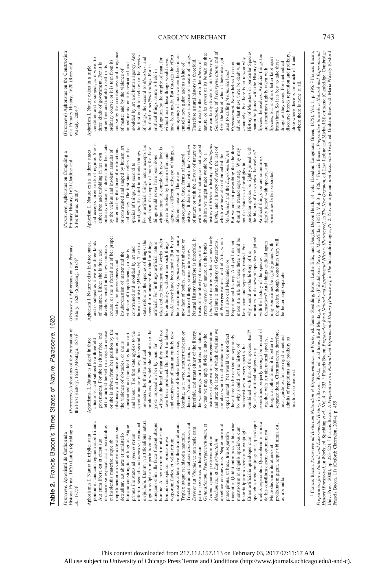(Parasceve) Aphorisms on the Construction (*Parasceve*) Aphorisms on the Construction *Generations*, of *Pretergenerations* and of History of Monsters in particular Species course by the crookedness and arrogance course by the crookedness and arrogance moulded by art and human agency. And Generations, of Pretergenerations and of History of Monsters in particular Species moulded by art and human agency. And nature, or its errors or its bonds; so that nature, or *its errors* or its *bonds*; so that Species themselves. Artificial things too discourse breeds repetition and prolixity. discourse breeds repetition and prolixity, the first condition relates to the Species have been made. But through the effort and agency of man we see bodies in an and agency of man we see bodies in an alternative universe or theatre of things. alternative universe or theatre of things. Species themselves. Artificial things too like where there is too much of it and the first condition relates to the *Species* have been made. But through the effort alike where there is too much of it and condition and is subject, as it were, to of things; the second to Monsters; and subjugation by the empire of man, for without man these things would never Arts, the last of which I have also got Species, but at others better kept apart condition and is subject, as it were, to of things; the second to *Monsters*; and subjugation by the empire of man, for without man these things would never we can fairly divide it into History of separately. For there is no reason why separately. For there is no reason why Species, but at others better kept apart ordinary course; or it is tom from its Therefore natural history is threefold. For it deals either with the liberty of we can fairly divide it into *History of Arts*, the last of which I have also got rom them. So it is best to take these Therefore natural history is threefold. cannot be joined with the History of from them. So it is best to take these ordinary course; or it is torn from its For it deals either with the *liberty* of Experimental. Nevertheless I do not advise that these three be dealt with cannot be joined with the History of hings as they come. For methodical of a Primary History, 1620 (Rees and three kinds of government. For it is impediments; or it is restrained and entirely new guise and as a kind of things as they come. For methodical three kinds of government. For it is *Experimental*. Nevertheless I do not advise that these three be dealt with of a Primary History, 1620 (Rees and impediments; or it is restrained and the third to artificial things. For in entirely new guise and as a kind of sphorism I. Nature exists in a triple sither free and unfolds itself in its the third to *artificial things*. For in either free and unfolds itself in its Aphorism I. Nature exists in a triple of matter and by the violence of artificial things nature is held in are sometimes rightly taken with of matter and by the violence of are sometimes rightly taken with used to calling Mechanical and artificial things nature is held in used to calling *Mechanical and* where there is none at all. where there is none at all. Wakely, 2004)<sup>5</sup> Wakely, 2004)<sup>5</sup> and accepts three kinds of regime. She is and accepts three kinds of regime. She is ordinary course, or driven from her state history. It deals either with the Freedom of nature or with the Errors of nature or with the Bonds of nature; so that a good history of Births, a history of Prodigious history of *Births*, a history of *Prodigious* But we are not prescribing that the three ordinary course, or driven from her state For in artificial things nature accepts the For in artificial things nature accepts the history. It deals either with the *Freedom* of nature or with the *Errors* of nature or with the *Bonds* of nature; so that a good But we are not prescribing that the three or constrained and shaped by human art or constrained and shaped by human art agency, a different universe of things, a particular species be rightly joined with matter and by the force of obstructions, matter and by the force of obstructions, and agency. The first state refers to the yoke from the empire of man; for these yoke from the empire of man; for these without man. A completely new face is without man. A completely new face is agency, a different universe of things, a Births, and a history of Arts; the last of *Births*, and a history of *Arts*; the last of should be treated separately. Why may particular species be rightly joined with by the vicious and insolent assaults of and agency. The first state refers to the should be treated separately. Why may phorism I. Nature exists in three states by the vicious and insolent assaults of Mechanical and the Experimental Art. the history of the species themselves? Aphorism I. Nature exists in three states *Mechanical* and the *Experimental Art*. Parasceve) Aphorisms on Compiling a prodigies, the third to artificial things. prodigies, the third to artificial things. the history of the species themselves? (*Parasceve*) Aphorisms on Compiling a either free and unfolding in her own given to bodies by human effort and consequently, three forms of natural division we might make would be a either free and unfolding in her own things would never have been done given to bodies by human effort and which we have also often called the consequently, three forms of natural division we might make would be a which we have also often called the things would never have been done Artificial things too are sometimes Artificial things too are sometimes Primary History, 1620 (Jardine and Primary History, 1620 (Jardine and species of things, the second to not the histories of prodigies in rightly joined with species, and species of things, the second to not the histories of prodigies in rightly joined with species, and different theatre. There are, different theatre. There are, cometimes better separated. sometimes better separated. Silverthorne, 2000)<sup>4</sup> Silverthorne, 2000)<sup>4</sup> course; or she is forced out of her proper course; or she is forced out of her proper would never have been made. But by the help and ministry (ministerium) of man a help and ministry (*ministerium*) of man a (*vincula*) of nature: so that we may fairly would never have been made. But by the (vincula) of nature: so that we may fairly monsters in the several species be joined monsters in the several species be joined Natural History therefore is threefold. It of Pretergenerations, and of Arts; which make it a rule that these three should be make it a rule that these three should be takes orders from man and works under takes orders from man and works under new face of bodies, another universe or Natural History therefore is threefold. It of Pretergenerations, and of Arts; which the species, though sometimes they will<br>be better kept separate. the species, though sometimes they will state refers to the species of things; the new face of bodies, another universe or distribute it into history of Generations, distribute it into history of Generations, Experimental history. And yet I do not and is subject as it were to three kinds state refers to the species of things; the his authority: without man such things Experimental history. And yet I do not sphorism I. Nature exists in three states, Aphorism I. Nature exists in three states, and is subject as it were to three kinds human ministry (Ministerio). The first second to monsters; the third to things second to monsters; the third to things artificial. For in things artificial nature his authority: without man such things kept apart and separately treated. For themselves? And things artificial again themselves? And things artificial again may sometimes be rightly joined with human ministry (*Ministerio*). The first artificial. For in things artificial nature errors (errors) of nature, or the bonds errors (*errors*) of nature, or the bonds may sometimes be rightly joined with develops herself in her own ordinary (Parasceve) Aphorisms on the Primary develops herself in her own ordinary treats of the liberty of nature, or the kept apart and separately treated. For (*Parasceve*) Aphorisms on the Primary constrained and moulded by art and constrained and moulded by art and treats of the liberty of nature, or the violence of impediments; or she is theatre of things, comes into view. of regimen. Either she is free, and of regimen. Either she is free, and violence of impediments; or she is theatre of things, comes into view. why should not the history of the insubordination of matter and the insubordination of matter and the why should not the history of the History, 1620 (Spedding, 1875)<sup>3</sup> last I also call Mechanical or with the history of the species History, 1620 (Spedding, 1875)3 state by the perverseness and with the history of the species last I also call Mechanical or state by the perverseness and be better kept separate. (Parasceve) Aphorisms of the Formation of (*Parasceve*) Aphorisms of the Formation of have been produced. But from the labour have been produced. But from the labour or she is driven from her position by the or she is driven from her position by the productions, in which she submits to the without the hand of man they would not threefold, and treats either of the liberty, and arts; the latter of which divisions we and arts; the latter of which divisions we combined with that of the species itself? sometimes properly enough be treated of sometimes properly enough be treated of eft to unfold herself in a regular course left to unfold herself in a regular course, and labour. The first state applies to the specific nature of bodies; the second to productions, in which she submits to the without the hand of man they would not forming, as it were, another universe or threefold, and treats either of the liberty, histories of generation, pretergeneration, histories of generation, pretergeneration, combined with that of the species itself? eparate them. Circumstances, therefore, separate them. Circumstances, therefore, and labour. The first state applies to the and contrivance of man an entirely new and contrivance of man an entirely new forming, as it were, another universe or the wanderings, or the fetters of nature; government. For she is either free, and obstinacy and resistance of matter, and constrained and moulded by human art specific nature of bodies; the second to the wanderings, or the fetters of nature; experimental. Yet would we not direct the First History, 1620 (Montagu, 1857)<sup>2</sup> the First History, 1620 (Montagu, 1857)<sup>2</sup> government. For she is either free, and obstinacy and resistance of matter, and constrained and moulded by human art so that we may aptly divide it into the these three to be carried on separately, so that we may aptly divide it into the experimental. Yet would we not direct these three to be carried on separately, nust guide us, for too rigid a method must guide us, for too rigid a method Aphorisms. I. Nature is placed in three together with certain natural species, dmits of repetitions and prolixity as situations, and subject to a threefold hough, at other times, it is better to admits of repetitions and prolixity as Aphorisms. I. Nature is placed in three situations, and subject to a threefold the violence of obstacles, or she is together with certain natural species, though, at other times, it is better to appearance of bodies takes its rise, the violence of obstacles, or she is yoke imposed on her by man, for appearance of bodies takes its rise, are also wont to call mechanic or for why should not the history of monstrosities in every species be yoke imposed on her by man, for theatre. Natural history, then, is are also wont to call mechanic or for why should not the history of monstrosities in every species be So, also, artificial subjects may monsters; the third to artificial theatre. Natural history, then, is So, also, artificial subjects may monsters; the third to artificial nuch as no method. much as no method. ponitur et tanquam regimen subit trinum. artificialia. Etenim in artificialibus natura *artificialia*. Etenim in artificialibus natura speciebus recte conjunguntur, quandoque ponitur et tanquam regimen subit trinum. refertur, secundus ad monstra, tertius ad nunquam enim illa facta fuissent absque universitas altera, sive theatrum alterum. speciebus recte conjunguntur, quandoque melius separantur. Quamobrem e re nata melius separantur. Quamobrem e re nata refertur, secundus ad *monstra*, tertius ad nunquam enim illa facta fuissent absque universitas altera, sive theatrum alterum. Tractat enim aut naturae Libertatem, aut Tractat enim aut naturae *Libertatem*, aut Generationum, Praetergenerationum, et appellare consuevimus. Neque tamen id tractentur. Quidni enim possint historiae tractentur. Quidni enim possint historiae Historia Prima, 1620 (Latin) (Spedding et impedimentorum violentia de statu suo humano constringitur et fingitur. Atque *Generationum*, *Praetergenerationum*, et appellare consuevimus. Neque tamen id prolixitatem gignit, aeque ubi nimia est, prolixitatem gignit, aeque ubi nimia est, Historia Prima, 1620 (Latin) (Spedding *et* ordinario se explicat, aut a pravitatibus humano constringitur et fingitur. Atque ordinario se explicat, aut a pravitatibus impedimentorum violentia de statu suo homine. At per operam et ministerium Errores aut Vincula; ut non male eam monstrorum in singulis speciebus cum homine. At per operam et ministerium *Errores* aut *Vincula*; ut non male eam monstrorum in singulis speciebus cum historia ipsarum specierum conjungi? de his consilium capere optimum est. historia ipsarum specierum conjungi? de his consilium capere optimum est. praecipimus, ut haec. tria separatim detruditur, aut ab arte et ministerio Triplex itaque est historia naturalis. primus ille status ad species rerum praecipimus, ut haec. tria separatim Parasceve, Aphorismi de Conficienda *Parasceve,* Aphorismi de Conficienda Aphorismus I. Natura in triplici statu jugum recipit ab imperio hominis; Triplex itaque est historia naturalis. Aphorismus I. Natura in triplici statu detruditur, aut ab arte et ministerio primus ille status ad *species* rerum Artium; quarum postremam etiam jugum recipit ab imperio hominis; hominis conspicitur prorsus nova *Artium*; quarum postremam etiam Etiam artificialia quandoque cum Aut enim libera est et cursu suo et insolentiis materiae, atque ab hominis conspicitur prorsus nova corporum facies, et veluti rerum Mechanicam et Experimentalem Etiam artificialia quandoque cum Aut enim libera est et cursu suo corporum facies, et veluti rerum *Mechanicam* et *Experimentalem* et insolentiis materiae, atque ab partiri possimus in historiam Methodus enim iterationes et Methodus enim iterationes et partiri possimus in historiam ac ubi nulla. ac ubi nulla *al.*, 1875)1

**Table 2.** Francis Bacon's Three States of Nature, *Parasceve*, 1620

Table 2. Francis Bacon's Three States of Nature, Parasceve, 1620

History [Paraccere], in Works, ed. Spedding et al., Vol. 4, p. 253. 4 Francis Bacon, Perparation for a diantal History [Paraccere], in The New Organon, ed. Lisa Jardine and Michael Silverthorne (Cambridge: Cambridge)<br>Univ. <sup>1</sup> Francis Bacon, Parasceve ad Historiam Naturalem et Experimentalem, in Works, ed. James Spedding, Robert Leslie Ellis, and Douglas Devon Heath, 14 vols. (London: Longmans Green, 1875), Vol. 1, p. 395. <sup>2</sup> Francis Bacon, Preparation for a Natural and Experimental History, in Bacon, Works, ed. and trans. Bassil Montagen, 3 vols. (Philadelphia: Parry & MacMillan, 1857), Vol. 3, p. 426. <sup>3</sup> Francis Bacon, *Preparative towards a Natural and Ex* History [Parasceve], in Works, ed. Spedding et al., Vol. 4, p. 253.4 Francis Bacon, Pepperatural and Experimental History [Parasceve], in The New Organon, ed. Lisa Jardine and Michael Silverthorne (Cambridge: Cambridge Univ. Press, 2000), pp. 223-224. <sup>5</sup> Francis Bacon, *A Preparative to a Naural and Experimental History [Parasceve], in The Instauratio magna, Pt. 2: Novum organum <i>and Associated Texts*, ed. Graham Rees with Maria Wakely Francis Bacon, Parazceve ad Historiam Naturalem et Experimentalem, in Works, ed. James Spedding, Robert Leslie Ellis, and Douglas Devon Heath, 14 vols. (London: Longmans Green, 1875), Vol. 1, p. 395. <sup>2</sup> Francis Bacon Peparation for a Natural and Experimental History, in Bacon, Works, ed. and trans. Basil Montagu, 3 vols. (Philadelphia: Parry & MacMillan, 1857), Vol. 3, p. 426. 3 Francis Bacon, Preparative towards a Maural and Experimen Francis Bacon, 11) (Oxford: Clarendon, 2004), p. 455. Francis Bacon, 11) (Oxford: Clarendon, 2004), p. 455.

## CAROLYN MERCHANT 743

This content downloaded from 217.112.157.113 on February 03, 2017 07:11:17 AM All use subject to University of Chicago Press Terms and Conditions (http://www.journals.uchicago.edu/t-and-c).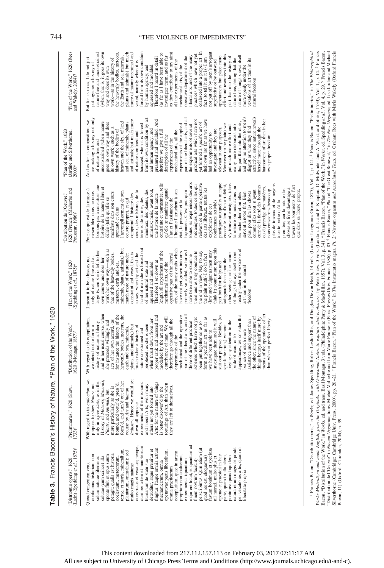| 1620                       |
|----------------------------|
|                            |
|                            |
| "Plan of the"              |
| Bacon's History of Nature. |
|                            |
|                            |
| - room ou<br>$\frac{1}{2}$ |
| ო<br>ო<br>)<br>2<br>2      |

| Latin) (Spedding et al., 1875) <sup>1</sup><br>'Distributio operis," 1620 | "Preliminaries," 1620 (Shaw,<br>$1733)^2$                                                     | "Distribution of the Work,"<br>1620 (Montagu, 1857) <sup>3</sup> | "Plan of the Work," $1620$<br>(Spedding <i>et al.</i> , $1875$ ) <sup>4</sup> | 1620 (French) (Malherbe and<br>"Distribution de l'Oeuvre,"<br>Pousseur, 1986) <sup>5</sup> | 'Plan of the Work," 1620<br>Jardine and Silverthorne,<br>2000) <sup>6</sup> | "Plan of the Work," 1620 (Rees<br>and Wakely, 2004)7       |
|---------------------------------------------------------------------------|-----------------------------------------------------------------------------------------------|------------------------------------------------------------------|-------------------------------------------------------------------------------|--------------------------------------------------------------------------------------------|-----------------------------------------------------------------------------|------------------------------------------------------------|
| Ouoad congeriem vero,                                                     | With regard to its collection; we                                                             | With regard to its compilation,                                  | I mean it to be a history not                                                 | Pour ce qui est de la masse à                                                              | And as for its composition, we                                              | But for its mass, I do not just                            |
| conficimus historiam non                                                  | propose to shew Nature not                                                                    | we intend not to form a                                          | only of nature free and at                                                    | rassembler, nous ne nous                                                                   | are making a history not only                                               | put together a history of                                  |
| solum naturae liberae ac                                                  | only in a <i>free state</i> , as in the                                                       | history of nature at liberty                                     | large (when she is left to her                                                | bornons pas à constituer une                                                               | of nature free and                                                          | nature free and unconstrained                              |
| sponte fluit et opus suum<br>solutae (cum scilicet illa                   | History of Meteors, Minerals,<br>Plants, and Animals, but                                     | and in her usual course, when<br>she proceeds willingly and      | work her own way)-such as<br>own course and does her                          | histoire de la nature libre et<br>déliée (telle qu'elle se                                 | unconstrained (when nature<br>goes its own way and does                     | (when, that is, it goes its own<br>way and does its own    |
|                                                                           |                                                                                               |                                                                  |                                                                               |                                                                                            |                                                                             |                                                            |
| peragit; qualis est historia<br>coelestium, meteororum,                   | bound, and tortur'd, press'd,<br>more particularly as she is                                  | or instance the history of the<br>acts of her own accord, (as    | that of the heavenly bodies,<br>meteors, earth and sea,                       | manifeste dans son cours<br>spontané et dans                                               | its own work), such as a<br>history of the bodies of                        | the heavenly bodies, meteors,<br>work-as in the history of |
| terrae, et maris, mineralium,                                             | form'd, and turn'd out of her                                                                 | heavenly bodies, meteors, the                                    | minerals, plants, animals,) but                                               | 'accomplissement de son                                                                    | heaven and the sky, of land                                                 | the Earth and sea, minerals,                               |
| plantarum, animalium); sed                                                | course by Art and human                                                                       | earth and sea, minerals,                                         | much more of nature under                                                     | between propre), et qui                                                                    | and sea, of minerals, plants                                                | plants and animals) but much                               |
| multo magis naturae                                                       | Industry. Hence we would set                                                                  | plants, and animals,) but                                        | constraint and vexed, that is                                                 | comprend: l'histoire des                                                                   | and animals; but much more                                                  | more of nature restrained and                              |
| constrictae et vexatae; nempe,                                            | down all apposite                                                                             | nuch rather a history of                                         | to say, when by art and the                                                   | cieux, des météores, de la                                                                 | of nature confined and                                                      | vexed, namely when it is                                   |
| cum per artem et ministerium                                              | experiments of the mechanic                                                                   | nature constrained and                                           | hand of man she is forced out                                                 | terre et de la mer, des                                                                    | harassed, when it is forced                                                 | forced from its own condition                              |
| humanum de statu suo                                                      | and liberal Arts; with many                                                                   | perplexed, as she is seen                                        | of her natural state and                                                      | minéraux, des plantes, des                                                                 | from its own condition by art                                               | by human agency; and                                       |
| detruditur, atque premitur et                                             | others not yet formed into                                                                    | when thrust down from her                                        | squeezed and moulded.                                                         | animaux; mais, avant tout,                                                                 | and human agency, and                                                       | squeezed and moulded.                                      |
| fingitur. Itaque onnia artium                                             | Arts: for the nature of things<br>is better discover'd by the<br>torturings of Art, than when | proper rank and harassed and                                     | Therefore I set down at                                                       | une historie de la nature                                                                  | pressured and moulded. And                                                  | Therefore I record in detail                               |
| mechanicarum, omnia                                                       |                                                                                               | modelled by the art and                                          | length all experiments of the                                                 | contrainte et tourmentée, telle                                                            | herefore we give a full                                                     | as far as I have been able to                              |
| operativae partis liberalium,                                             | torturings of Art,                                                                            | contrivance of man. We will                                      | mechanical arts, of the                                                       | qu'elle se manifeste quand                                                                 | description of all the                                                      | investigate them, and as far                               |
| omnia practicarum                                                         | hey are left to themselves.                                                                   | therefore go through all the<br>experiments of the               | operative part of the liberal                                                 | 'art et l'assistance de                                                                    | experiments of the                                                          | as they contribute to my aim)                              |
| complurium, quae in artem                                                 |                                                                                               |                                                                  | arts, of the many crafts which                                                | 'homme l'arrachent à son                                                                   | mechanical arts, all the                                                    | all the experiments of the                                 |
| propriam non coalucrunt,                                                  |                                                                                               | mechanical and the operative                                     | nave not yet grown into arts                                                  | état, la pressent et la                                                                    | experiments of the applied                                                  | mechanical arts, of the                                    |
| experimenta, (quantum                                                     |                                                                                               | part of the liberal arts, and all                                | properly so called, so far as I                                               | façonnent. C'est pourquoi                                                                  | part of the liberal arts, and all                                           | operative department of the                                |
| inquirere licuit, et quantum ad                                           |                                                                                               | hose of different practical                                      | ave been able to examine                                                      | toutes les expériences des arts                                                            | the experiments of several                                                  | liberal arts, and of the many                              |
| finem nostrum faciunt)                                                    |                                                                                               | schemes which have not yet                                       | them and as they conduce to                                                   | mécaniques, toutes celles qui                                                              | practical arts which have not                                               | practices which have not yet                               |
| perscribimus. Quin etiam                                                  |                                                                                               | been put together so as to                                       | he end in view. Nay (to say                                                   | relèvant de la partie opérative                                                            | yet formed a specific art of                                                | coalesced into a proper art. In                            |
| quod res est, eloquamur)                                                  |                                                                                               | form a peculiar art; as far as                                   | the plain truth) I do in fact                                                 | des arts libéraux, toutes les                                                              | heir own (so far as we have                                                 | fact (to tell it as it is) I am                            |
| fastum hominum et speciosa                                                |                                                                                               | we have been able to                                             | low and vulgar as men may                                                     | expériences de ces                                                                         | ad an opportunity to                                                        | not put off by men's arrogant                              |
| nil morati, multo plus et                                                 |                                                                                               | nvestigate them and it will                                      | think it) count more upon this                                                | nombreuses activités                                                                       | investigate and they are                                                    | superiority or by outward                                  |
| operae et praesidii in hac                                                |                                                                                               | suit our purpose. Besides, (to                                   | part both for helps and                                                       | practiques auxquelles manque                                                               | relevant to our purpose)                                                    | appearances but place more                                 |
| parte, quam in illa altera.                                               |                                                                                               | speak the truth.) without                                        | safeguards than upon the                                                      | encore le lien d'un art défini,                                                            | Moreover (to be plain) we                                                   | effort and resources into this                             |
| ponimus: quandoquidem                                                     |                                                                                               | paying any attention to the                                      | other, seeing that the nature                                                 | s'y trouvent consignées (dans                                                              | put much more effort and                                                    | part than into the history of                              |
| natura rerum magis se prodit                                              |                                                                                               | pride of man, or to                                              | of things betrays itself more                                                 | la mesure où nous avons pu                                                                 | many more resources into                                                    | nature free, seeing that the                               |
| per vexationes artis, quam in                                             |                                                                                               | appearances, we consider this                                    | readily under the vexations of                                                | les rechercher et où elles                                                                 | this part than into the other,                                              | nature of things shows itself                              |
| iberatate propria.                                                        |                                                                                               | branch of much more                                              | art than in its natural                                                       | servent à notre fin). Bien                                                                 | and pay no attention to men's                                               | more openly under the                                      |
|                                                                           |                                                                                               | assistance and support than                                      | reedom                                                                        | plus, pour dire les choses                                                                 | disgust or what they find                                                   | vexations of art than in its                               |
|                                                                           |                                                                                               | the other; since the nature of                                   |                                                                               | comme elles sont: n'ayant                                                                  | attractive, since nature reveals                                            | natural freedom                                            |
|                                                                           |                                                                                               | things betrays itself more by                                    |                                                                               | cure de la fierté des hommes                                                               | herself more through the                                                    |                                                            |
|                                                                           |                                                                                               | means of the operations of art                                   |                                                                               | ou du prestige des matières,                                                               | narassment of art than in her                                               |                                                            |
|                                                                           |                                                                                               | than when at perfect liberty.                                    |                                                                               | plus de travaux et de moyens<br>nous consacrons beaucoup                                   | own proper freedom                                                          |                                                            |
|                                                                           |                                                                                               |                                                                  |                                                                               | à cette partie qu'à la                                                                     |                                                                             |                                                            |
|                                                                           |                                                                                               |                                                                  |                                                                               | première; car la nature des                                                                |                                                                             |                                                            |
|                                                                           |                                                                                               |                                                                  |                                                                               | choses se livre davantage à                                                                |                                                                             |                                                            |
|                                                                           |                                                                                               |                                                                  |                                                                               | travers les tourments de l'art                                                             |                                                                             |                                                            |
|                                                                           |                                                                                               |                                                                  |                                                                               | que dans sa liberté propre.                                                                |                                                                             |                                                            |

<sup>1</sup> Francis Bacon, "Distributio operis," in Works, ed. James Spedding, Robert Leslie Ellis, and Douglas Devon Heath, 14 vols. (London: Longmans Green, 1875), Vol. 1, p. 141.2 Francis Bacon, "Preliminaries," in The Philosop Bacon, "Distribution of the Work", in Works, ed. and trans. Basil Montagu, 3 vols. (Philadelphia: Parry & MacMillan, 1857), Vol. 3, p.341. 4 Francis Bacon, "Plan of the Works, ed. Spedding et al., Vol. 4, p. 29.5 Francis B Francis Bacon, "Distributio operis," in Works, ed. James Spedding, Robert Leslie Ellis, and Douglas Devon Heath, 14 vols. (London: Longmans Green, 1875), Vol. 1, p. 141. 2 Francis Bacon, "Preliminaries," in The Philosophic Works Methodized and made English, from the Originals, with Occasional Notes, to explain what is obscure, by Peter Shaw, 3 vols. (London: J. J. and P. Knapton, D. Midwinter and A. Ward, and others, 1733), Vol. 1, p. 14. 3 Bacon, "Distribution of the Work," in Works, ed. and trans. Basil Montagu, 3 vols. (Philadelphia: Parry & MacMillan, 1857), Vol. 3, p. 341. <sup>4</sup> Francis Bacon, "Plan of the Work," in Works, ed. Spedding et al., No.1, 4, p. "Distribution de l'Oeuvre" in Novum Organum, trans. Michel Malherbe and Jean'e Pousseur (Paris: Presses Univ. France, 1986), p. 83.6 Francis Bacon, "Plan of The Great Renewal,"" in The New Organon, ed. Lisa Jardine and Mic Silverthorne (Cambridge Univ. Press, 2000), pp. 20-21. 7 Francis Bacon, "Plan of the Work," in The Instauratio magna, Pt. 2: Novum organum and Associated Texts, ed. Graham Rees with Maria Wakely (Oxford Francis Bacon, 11) (Oxford: Clarendon, 2004), p. 39.

## 744 "THE VIOLENCE OF IMPEDIMENTS"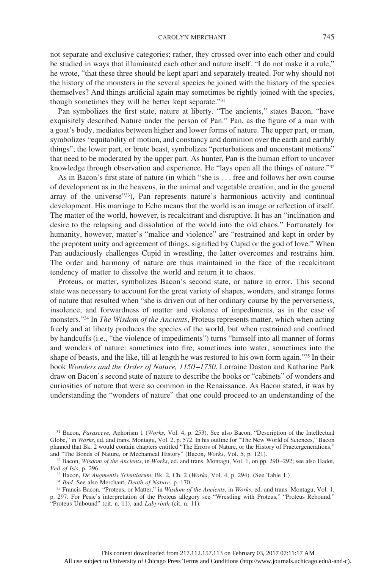not separate and exclusive categories; rather, they crossed over into each other and could be studied in ways that illuminated each other and nature itself. "I do not make it a rule," he wrote, "that these three should be kept apart and separately treated. For why should not the history of the monsters in the several species be joined with the history of the species themselves? And things artificial again may sometimes be rightly joined with the species, though sometimes they will be better kept separate."31

Pan symbolizes the first state, nature at liberty. "The ancients," states Bacon, "have exquisitely described Nature under the person of Pan." Pan, as the figure of a man with a goat's body, mediates between higher and lower forms of nature. The upper part, or man, symbolizes "equitability of motion, and constancy and dominion over the earth and earthly things"; the lower part, or brute beast, symbolizes "perturbations and unconstant motions" that need to be moderated by the upper part. As hunter, Pan is the human effort to uncover knowledge through observation and experience. He "lays open all the things of nature."32

As in Bacon's first state of nature (in which "she is . . . free and follows her own course of development as in the heavens, in the animal and vegetable creation, and in the general array of the universe"33), Pan represents nature's harmonious activity and continual development. His marriage to Echo means that the world is an image or reflection of itself. The matter of the world, however, is recalcitrant and disruptive. It has an "inclination and desire to the relapsing and dissolution of the world into the old chaos." Fortunately for humanity, however, matter's "malice and violence" are "restrained and kept in order by the prepotent unity and agreement of things, signified by Cupid or the god of love." When Pan audaciously challenges Cupid in wrestling, the latter overcomes and restrains him. The order and harmony of nature are thus maintained in the face of the recalcitrant tendency of matter to dissolve the world and return it to chaos.

Proteus, or matter, symbolizes Bacon's second state, or nature in error. This second state was necessary to account for the great variety of shapes, wonders, and strange forms of nature that resulted when "she is driven out of her ordinary course by the perverseness, insolence, and forwardness of matter and violence of impediments, as in the case of monsters."34 In *The Wisdom of the Ancients*, Proteus represents matter, which when acting freely and at liberty produces the species of the world, but when restrained and confined by handcuffs (i.e., "the violence of impediments") turns "himself into all manner of forms and wonders of nature: sometimes into fire, sometimes into water, sometimes into the shape of beasts, and the like, till at length he was restored to his own form again."35 In their book *Wonders and the Order of Nature, 1150 –1750*, Lorraine Daston and Katharine Park draw on Bacon's second state of nature to describe the books or "cabinets" of wonders and curiosities of nature that were so common in the Renaissance. As Bacon stated, it was by understanding the "wonders of nature" that one could proceed to an understanding of the

<sup>35</sup> Francis Bacon, "Proteus, or Matter," in *Wisdom of the Ancients*, in *Works*, ed. and trans. Montagu, Vol. 1, p. 297. For Pesic's interpretation of the Proteus allegory see "Wrestling with Proteus," "Proteus Rebound," "Proteus Unbound" (cit. n. 11), and *Labyrinth* (cit. n. 11).

<sup>31</sup> Bacon, *Parasceve*, Aphorism 1 (*Works*, Vol. 4, p. 253). See also Bacon, "Description of the Intellectual Globe," in *Works*, ed. and trans. Montagu, Vol. 2, p. 572. In his outline for "The New World of Sciences," Bacon planned that Bk. 2 would contain chapters entitled "The Errors of Nature, or the History of Praetergenerations," and "The Bonds of Nature, or Mechanical History" (Bacon, *Works*, Vol. 5, p. 121).

<sup>32</sup> Bacon, *Wisdom of the Ancients*, in *Works*, ed. and trans. Montagu, Vol. 1, on pp. 290–292; see also Hadot, *Veil of Isis*, p. 296.

<sup>33</sup> Bacon, *De Augmentis Scientiarum*, Bk. 2, Ch. 2 (*Works*, Vol. 4, p. 294). (See Table 1.)

<sup>34</sup> *Ibid.* See also Merchant, *Death of Nature*, p. 170.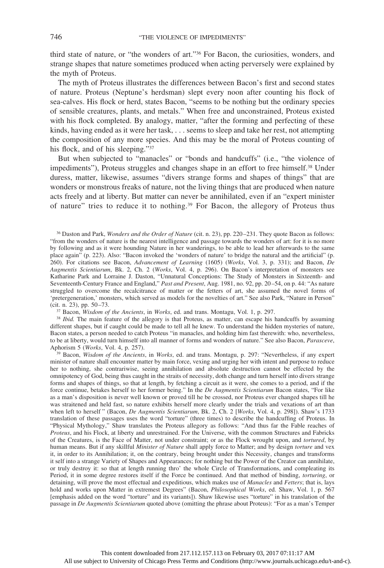third state of nature, or "the wonders of art."36 For Bacon, the curiosities, wonders, and strange shapes that nature sometimes produced when acting perversely were explained by the myth of Proteus.

The myth of Proteus illustrates the differences between Bacon's first and second states of nature. Proteus (Neptune's herdsman) slept every noon after counting his flock of sea-calves. His flock or herd, states Bacon, "seems to be nothing but the ordinary species of sensible creatures, plants, and metals." When free and unconstrained, Proteus existed with his flock completed. By analogy, matter, "after the forming and perfecting of these kinds, having ended as it were her task, . . . seems to sleep and take her rest, not attempting the composition of any more species. And this may be the moral of Proteus counting of his flock, and of his sleeping."37

But when subjected to "manacles" or "bonds and handcuffs" (i.e., "the violence of impediments"), Proteus struggles and changes shape in an effort to free himself.38 Under duress, matter, likewise, assumes "divers strange forms and shapes of things" that are wonders or monstrous freaks of nature, not the living things that are produced when nature acts freely and at liberty. But matter can never be annihilated, even if an "expert minister of nature" tries to reduce it to nothing.<sup>39</sup> For Bacon, the allegory of Proteus thus

<sup>37</sup> Bacon, *Wisdom of the Ancients*, in *Works*, ed. and trans. Montagu, Vol. 1, p. 297.

<sup>38</sup> *Ibid.* The main feature of the allegory is that Proteus, as matter, can escape his handcuffs by assuming different shapes, but if caught could be made to tell all he knew. To understand the hidden mysteries of nature, Bacon states, a person needed to catch Proteus "in manacles, and holding him fast therewith: who, nevertheless, to be at liberty, would turn himself into all manner of forms and wonders of nature." See also Bacon, *Parasceve*, Aphorism 5 (*Works*, Vol. 4, p. 257).

<sup>39</sup> Bacon, *Wisdom of the Ancients*, in *Works*, ed. and trans. Montagu, p. 297: "Nevertheless, if any expert minister of nature shall encounter matter by main force, vexing and urging her with intent and purpose to reduce her to nothing, she contrariwise, seeing annihilation and absolute destruction cannot be effected by the omnipotency of God, being thus caught in the straits of necessity, doth change and turn herself into divers strange forms and shapes of things, so that at length, by fetching a circuit as it were, she comes to a period, and if the force continue, betakes herself to her former being." In the *De Augmentis Scientiarum* Bacon states, "For like as a man's disposition is never well known or proved till he be crossed, nor Proteus ever changed shapes till he was straitened and held fast, so nature exhibits herself more clearly under the trials and vexations of art than when left to herself " (Bacon, *De Augmentis Scientiarum*, Bk. 2, Ch. 2 [*Works*, Vol. 4, p. 298]). Shaw's 1733 translation of these passages uses the word "torture" (three times) to describe the handcuffing of Proteus. In "Physical Mythology," Shaw translates the Proteus allegory as follows: "And thus far the Fable reaches of *Proteus*, and his Flock, at liberty and unrestrained. For the Universe, with the common Structures and Fabricks of the Creatures, is the Face of Matter, not under constraint; or as the Flock wrought upon, and *tortured*, by human means. But if any skillful *Minister of Nature* shall apply force to Matter; and by design *torture* and vex it, in order to its Annihilation; it, on the contrary, being brought under this Necessity, changes and transforms it self into a strange Variety of Shapes and Appearances; for nothing but the Power of the Creator can annihilate, or truly destroy it: so that at length running thro' the whole Circle of Transformations, and compleating its Period, it in some degree restores itself if the Force be continued. And that method of binding, *torturing*, or detaining, will prove the most effectual and expeditious, which makes use of *Manacles* and *Fetters*; that is, lays hold and works upon Matter in extremest Degrees" (Bacon, *Philosophical Works*, ed. Shaw, Vol. 1, p. 567 [emphasis added on the word "torture" and its variants]). Shaw likewise uses "torture" in his translation of the passage in *De Augmentis Scientiarum* quoted above (omitting the phrase about Proteus): "For as a man's Temper

<sup>36</sup> Daston and Park, *Wonders and the Order of Nature* (cit. n. 23), pp. 220–231. They quote Bacon as follows: "from the wonders of nature is the nearest intelligence and passage towards the wonders of art: for it is no more by following and as it were hounding Nature in her wanderings, to be able to lead her afterwards to the same place again" (p. 223). Also: "Bacon invoked the 'wonders of nature' to bridge the natural and the artificial" (p. 260). For citations see Bacon, *Advancement of Learning* (1605) (*Works*, Vol. 3, p. 331); and Bacon, *De Augmentis Scientiarum*, Bk. 2, Ch. 2 (*Works*, Vol. 4, p. 296). On Bacon's interpretation of monsters see Katharine Park and Lorraine J. Daston, "Unnatural Conceptions: The Study of Monsters in Sixteenth- and Seventeenth-Century France and England," *Past and Present*, Aug. 1981, no. 92, pp. 20–54, on p. 44: "As nature struggled to overcome the recalcitrance of matter or the fetters of art, she assumed the novel forms of 'pretergeneration,' monsters, which served as models for the novelties of art." See also Park, "Nature in Person" (cit. n. 23), pp. 50–73.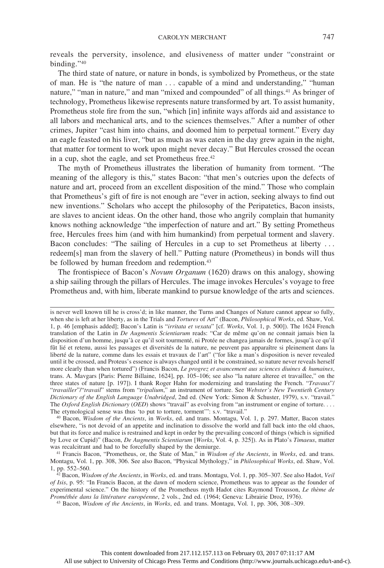reveals the perversity, insolence, and elusiveness of matter under "constraint or binding."40

The third state of nature, or nature in bonds, is symbolized by Prometheus, or the state of man. He is "the nature of man . . . capable of a mind and understanding," "human nature," "man in nature," and man "mixed and compounded" of all things.41 As bringer of technology, Prometheus likewise represents nature transformed by art. To assist humanity, Prometheus stole fire from the sun, "which [in] infinite ways affords aid and assistance to all labors and mechanical arts, and to the sciences themselves." After a number of other crimes, Jupiter "cast him into chains, and doomed him to perpetual torment." Every day an eagle feasted on his liver, "but as much as was eaten in the day grew again in the night, that matter for torment to work upon might never decay." But Hercules crossed the ocean in a cup, shot the eagle, and set Prometheus free.<sup>42</sup>

The myth of Prometheus illustrates the liberation of humanity from torment. "The meaning of the allegory is this," states Bacon: "that men's outcries upon the defects of nature and art, proceed from an excellent disposition of the mind." Those who complain that Prometheus's gift of fire is not enough are "ever in action, seeking always to find out new inventions." Scholars who accept the philosophy of the Peripatetics, Bacon insists, are slaves to ancient ideas. On the other hand, those who angrily complain that humanity knows nothing acknowledge "the imperfection of nature and art." By setting Prometheus free, Hercules frees him (and with him humankind) from perpetual torment and slavery. Bacon concludes: "The sailing of Hercules in a cup to set Prometheus at liberty . . . redeem[s] man from the slavery of hell." Putting nature (Prometheus) in bonds will thus be followed by human freedom and redemption.<sup>43</sup>

The frontispiece of Bacon's *Novum Organum* (1620) draws on this analogy, showing a ship sailing through the pillars of Hercules. The image invokes Hercules's voyage to free Prometheus and, with him, liberate mankind to pursue knowledge of the arts and sciences.

<sup>40</sup> Bacon, *Wisdom of the Ancients*, in *Works*, ed. and trans. Montagu, Vol. 1, p. 297. Matter, Bacon states elsewhere, "is not devoid of an appetite and inclination to dissolve the world and fall back into the old chaos, but that its force and malice is restrained and kept in order by the prevailing concord of things (which is signified by Love or Cupid)" (Bacon, *De Augmentis Scientiarum* [*Works*, Vol. 4, p. 325]). As in Plato's *Timaeus*, matter was recalcitrant and had to be forcefully shaped by the demiurge.

<sup>41</sup> Francis Bacon, "Prometheus, or, the State of Man," in *Wisdom of the Ancients*, in *Works*, ed. and trans. Montagu, Vol. 1, pp. 308, 306. See also Bacon, "Physical Mythology," in *Philosophical Works*, ed. Shaw, Vol. 1, pp. 552–560.

<sup>42</sup> Bacon, *Wisdom of the Ancients*, in *Works*, ed. and trans. Montagu, Vol. 1, pp. 305–307. See also Hadot, *Veil of Isis*, p. 95: "In Francis Bacon, at the dawn of modern science, Prometheus was to appear as the founder of experimental science." On the history of the Prometheus myth Hadot cites Raymond Trousson, *Le thème de Prome´the´e dans la litte´rature europe´enne*, 2 vols., 2nd ed. (1964; Geneva: Librairie Droz, 1976).

<sup>43</sup> Bacon, *Wisdom of the Ancients*, in *Works*, ed. and trans. Montagu, Vol. 1, pp. 306, 308–309.

is never well known till he is cross'd; in like manner, the Turns and Changes of Nature cannot appear so fully, when she is left at her liberty, as in the Trials and *Tortures* of Art" (Bacon, *Philosophical Works*, ed. Shaw, Vol. 1, p. 46 [emphasis added]; Bacon's Latin is "*irritata et vexata*" [cf. *Works*, Vol. 1, p. 500]). The 1624 French translation of the Latin in *De Augmentis Scientiarum* reads: "Car de même qu'on ne connait jamais bien la disposition d'un homme, jusqu'à ce qu'il soit tourmenté, ni Protée ne changea jamais de formes, jusqu'à ce qu'il fût lié et retenu, aussi les passages et diversités de la nature, ne peuvent pas apparaître si pleinement dans la liberté de la nature, comme dans les essais et travaux de l'art" ("for like a man's disposition is never revealed until it be crossed, and Proteus's essence is always changed until it be constrained, so nature never reveals herself more clearly than when tortured") (Francis Bacon, *Le progrez et avancement aus sciences diuines & humaines*, trans. A. Mavgars [Paris: Pierre Billaine, 1624], pp. 105–106; see also "la nature alteree et travaillee," on the three states of nature [p. 197]). I thank Roger Hahn for modernizing and translating the French. "*Travaux*"/ "*travailler*"/"*travail*" stems from "*tripalium*," an instrument of torture. See *Webster's New Twentieth Century Dictionary of the English Language Unabridged*, 2nd ed. (New York: Simon & Schuster, 1979), s.v. "travail." The *Oxford English Dictionary* (*OED*) shows "travail" as evolving from "an instrument or engine of torture.... The etymological sense was thus 'to put to torture, torment'": s.v. "travail."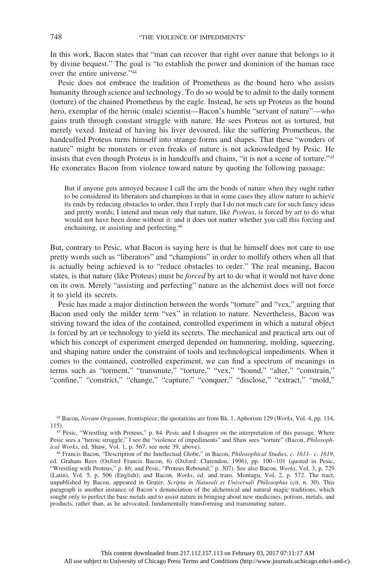In this work, Bacon states that "man can recover that right over nature that belongs to it by divine bequest." The goal is "to establish the power and dominion of the human race over the entire universe."44

Pesic does not embrace the tradition of Prometheus as the bound hero who assists humanity through science and technology. To do so would be to admit to the daily torment (torture) of the chained Prometheus by the eagle. Instead, he sets up Proteus as the bound hero, exemplar of the heroic (male) scientist—Bacon's humble "servant of nature"—who gains truth through constant struggle with nature. He sees Proteus not as tortured, but merely vexed. Instead of having his liver devoured, like the suffering Prometheus, the handcuffed Proteus turns himself into strange forms and shapes. That these "wonders of nature" might be monsters or even freaks of nature is not acknowledged by Pesic. He insists that even though Proteus is in handcuffs and chains, "it is not a scene of torture."45 He exonerates Bacon from violence toward nature by quoting the following passage:

But if anyone gets annoyed because I call the arts the bonds of nature when they ought rather to be considered its liberators and champions in that in some cases they allow nature to achieve its ends by reducing obstacles to order, then I reply that I do not much care for such fancy ideas and pretty words; I intend and mean only that nature, like *Proteus*, is forced by art to do what would not have been done without it: and it does not matter whether you call this forcing and enchaining, or assisting and perfecting.46

But, contrary to Pesic, what Bacon is saying here is that he himself does not care to use pretty words such as "liberators" and "champions" in order to mollify others when all that is actually being achieved is to "reduce obstacles to order." The real meaning, Bacon states, is that nature (like Proteus) must be *forced* by art to do what it would not have done on its own. Merely "assisting and perfecting" nature as the alchemist does will not force it to yield its secrets.

Pesic has made a major distinction between the words "torture" and "vex," arguing that Bacon used only the milder term "vex" in relation to nature. Nevertheless, Bacon was striving toward the idea of the contained, controlled experiment in which a natural object is forced by art or technology to yield its secrets. The mechanical and practical arts out of which his concept of experiment emerged depended on hammering, molding, squeezing, and shaping nature under the constraint of tools and technological impediments. When it comes to the contained, controlled experiment, we can find a spectrum of meanings in terms such as "torment," "transmute," "torture," "vex," "hound," "alter," "constrain," "confine," "constrict," "change," "capture," "conquer," "disclose," "extract," "mold,"

<sup>44</sup> Bacon, *Novum Organum*, frontispiece; the quotations are from Bk. 1, Aphorism 129 (*Works*, Vol. 4, pp. 114, 115).

<sup>45</sup> Pesic, "Wrestling with Proteus," p. 84. Pesic and I disagree on the interpretation of this passage. Where Pesic sees a "heroic struggle," I see the "violence of impediments" and Shaw sees "torture" (Bacon, *Philosophical Works*, ed. Shaw, Vol. 1, p. 567; see note 39, above).

<sup>46</sup> Francis Bacon*,* "Description of the Intellectual Globe," in Bacon, *Philosophical Studies, c. 1611– c. 1619*, ed. Graham Rees (Oxford Francis Bacon, 6) (Oxford: Clarendon, 1996), pp. 100–101 (quoted in Pesic, "Wrestling with Proteus," p. 86; and Pesic, "Proteus Rebound," p. 307). See also Bacon, *Works*, Vol. 3, p. 729 (Latin), Vol. 5, p. 506 (English); and Bacon, *Works*, ed. and trans. Montagu, Vol. 2, p. 572. The tract, unpublished by Bacon, appeared in Gruter, *Scripta in Naturali et Universali Philosophia* (cit. n. 30). This paragraph is another instance of Bacon's denunciation of the alchemical and natural magic traditions, which sought only to perfect the base metals and to assist nature in bringing about new medicines, potions, metals, and products, rather than, as he advocated, fundamentally transforming and transmuting nature.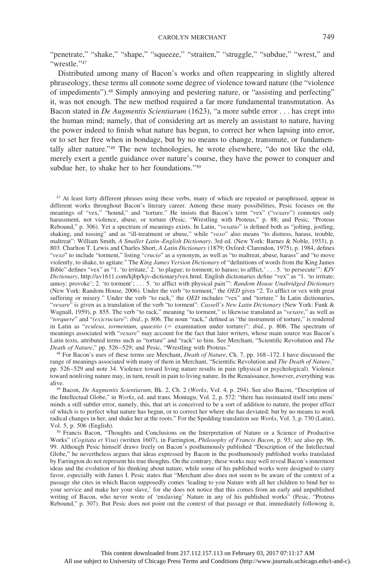"penetrate," "shake," "shape," "squeeze," "straiten," "struggle," "subdue," "wrest," and "wrestle."47

Distributed among many of Bacon's works and often reappearing in slightly altered phraseology, these terms all connote some degree of violence toward nature (the "violence of impediments").48 Simply annoying and pestering nature, or "assisting and perfecting" it, was not enough. The new method required a far more fundamental transmutation. As Bacon stated in *De Augmentis Scientiarum* (1623), "a more subtle error . . . has crept into the human mind; namely, that of considering art as merely an assistant to nature, having the power indeed to finish what nature has begun, to correct her when lapsing into error, or to set her free when in bondage, but by no means to change, transmute, or fundamentally alter nature."49 The new technologies, he wrote elsewhere, "do not like the old, merely exert a gentle guidance over nature's course, they have the power to conquer and subdue her, to shake her to her foundations."50

<sup>47</sup> At least forty different phrases using these verbs, many of which are repeated or paraphrased, appear in different works throughout Bacon's literary career. Among these many possibilities, Pesic focuses on the meanings of "vex," "hound," and "torture." He insists that Bacon's term "vex" ("*vexare*") connotes only harassment, not violence, abuse, or torture (Pesic, "Wrestling with Proteus," p. 88; and Pesic, "Proteus Rebound," p. 306). Yet a spectrum of meanings exists. In Latin, "*vexatio*" is defined both as "jolting, jostling, shaking, and tossing" and as "ill-treatment or abuse," while "*vexo*" also means "to distress, harass, trouble, maltreat": William Smith, *A Smaller Latin–English Dictionary*, 3rd ed. (New York: Barnes & Noble, 1933), p. 803. Charlton T. Lewis and Charles Short, *A Latin Dictionary* (1879; Oxford: Clarendon, 1975), p. 1984, defines "*vexo*" to include "torment," listing "*crucio*" as a synonym, as well as "to maltreat, abuse, harass" and "to move violently, to shake, to agitate." The *King James Version Dictionary* of "definitions of words from the King James Bible" defines "vex" as "1. 'to irritate,' 2. 'to plague; to torment; to harass; to afflict,' . . . 5. 'to persecute'": *KJV Dictionary*, http://av1611.com/kjbp/kjv-dictionary/vex.html. English dictionaries define "vex" as "1. 'to irritate; annoy; provoke'; 2. 'to torment'; . . . 5. 'to afflict with physical pain'": *Random House Unabridged Dictionary* (New York: Random House, 2006). Under the verb "to torment," the *OED* gives "2. To afflict or vex with great suffering or misery." Under the verb "to rack," the *OED* includes "vex" and "torture." In Latin dictionaries, "*vexare*" is given as a translation of the verb "to torment": *Cassell's New Latin Dictionary* (New York: Funk & Wagnall, 1959), p. 855. The verb "to rack," meaning "to torment," is likewise translated as "*vexare*," as well as "*torquere*" and "*(ex)cruciare*": *ibid.*, p. 806. The noun "rack," defined as "the instrument of torture," is rendered in Latin as "*eculeus*, *tormentum*, *quaestio* (= examination under torture)": *ibid.*, p. 806. The spectrum of meanings associated with "*vexare*" may account for the fact that later writers, whose main source was Bacon's Latin texts, attributed terms such as "torture" and "rack" to him. See Merchant, "Scientific Revolution and *The Death of Nature*," pp. 526–529; and Pesic, "Wrestling with Proteus."

<sup>48</sup> For Bacon's uses of these terms see Merchant, *Death of Nature*, Ch. 7, pp. 168–172. I have discussed the range of meanings associated with many of them in Merchant, "Scientific Revolution and *The Death of Nature*," pp. 526–529 and note 34. Violence toward living nature results in pain (physical or psychological). Violence toward nonliving nature may, in turn, result in pain to living nature. In the Renaissance, however, everything was alive.

<sup>49</sup> Bacon, *De Augmentis Scientiarum*, Bk. 2, Ch. 2 (*Works*, Vol. 4, p. 294). See also Bacon, "Description of the Intellectual Globe," in *Works*, ed. and trans. Montagu, Vol. 2, p. 572: "there has insinuated itself into mens' minds a still subtler error, namely, this, that art is conceived to be a sort of addition to nature, the proper effect of which is to perfect what nature has begun, or to correct her where she has deviated; but by no means to work radical changes in her, and shake her at the roots." For the Spedding translation see *Works*, Vol. 3, p. 730 (Latin), Vol. 5, p. 506 (English).

<sup>50</sup> Francis Bacon, "Thoughts and Conclusions on the Interpretation of Nature or a Science of Productive Works" (*Cogitata et Visa*) (written 1607), in Farrington, *Philosophy of Francis Bacon*, p. 93; see also pp. 96, 99. Although Pesic himself draws freely on Bacon's posthumously published "Description of the Intellectual Globe," he nevertheless argues that ideas expressed by Bacon in the posthumously published works translated by Farrington do not represent his true thoughts. On the contrary, these works may well reveal Bacon's innermost ideas and the evolution of his thinking about nature, while some of his published works were designed to curry favor, especially with James I. Pesic states that "Merchant also does not seem to be aware of the context of a passage she cites in which Bacon supposedly comes 'leading to you Nature with all her children to bind her to your service and make her your slave,' for she does not notice that this comes from an early and unpublished writing of Bacon, who never wrote of 'enslaving' Nature in any of his published works" (Pesic, "Proteus Rebound," p. 307). But Pesic does not point out the context of that passage or that, immediately following it,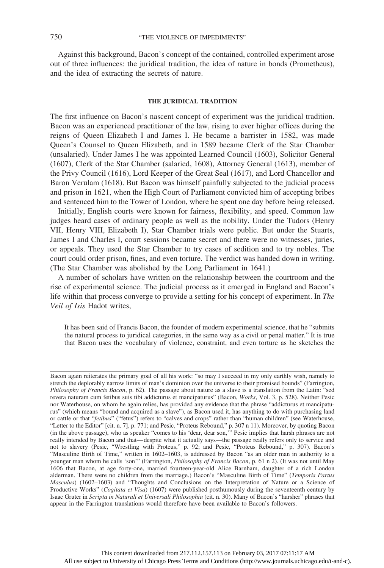Against this background, Bacon's concept of the contained, controlled experiment arose out of three influences: the juridical tradition, the idea of nature in bonds (Prometheus), and the idea of extracting the secrets of nature.

## **THE JURIDICAL TRADITION**

The first influence on Bacon's nascent concept of experiment was the juridical tradition. Bacon was an experienced practitioner of the law, rising to ever higher offices during the reigns of Queen Elizabeth I and James I. He became a barrister in 1582, was made Queen's Counsel to Queen Elizabeth, and in 1589 became Clerk of the Star Chamber (unsalaried). Under James I he was appointed Learned Council (1603), Solicitor General (1607), Clerk of the Star Chamber (salaried, 1608), Attorney General (1613), member of the Privy Council (1616), Lord Keeper of the Great Seal (1617), and Lord Chancellor and Baron Verulam (1618). But Bacon was himself painfully subjected to the judicial process and prison in 1621, when the High Court of Parliament convicted him of accepting bribes and sentenced him to the Tower of London, where he spent one day before being released.

Initially, English courts were known for fairness, flexibility, and speed. Common law judges heard cases of ordinary people as well as the nobility. Under the Tudors (Henry VII, Henry VIII, Elizabeth I), Star Chamber trials were public. But under the Stuarts, James I and Charles I, court sessions became secret and there were no witnesses, juries, or appeals. They used the Star Chamber to try cases of sedition and to try nobles. The court could order prison, fines, and even torture. The verdict was handed down in writing. (The Star Chamber was abolished by the Long Parliament in 1641.)

A number of scholars have written on the relationship between the courtroom and the rise of experimental science. The judicial process as it emerged in England and Bacon's life within that process converge to provide a setting for his concept of experiment. In *The Veil of Isis* Hadot writes,

It has been said of Francis Bacon, the founder of modern experimental science, that he "submits the natural process to juridical categories, in the same way as a civil or penal matter." It is true that Bacon uses the vocabulary of violence, constraint, and even torture as he sketches the

Bacon again reiterates the primary goal of all his work: "so may I succeed in my only earthly wish, namely to stretch the deplorably narrow limits of man's dominion over the universe to their promised bounds" (Farrington, *Philosophy of Francis Bacon*, p. 62). The passage about nature as a slave is a translation from the Latin: "sed revera naturam cum fetibus suis tibi addicturus et mancipaturus" (Bacon, *Works*, Vol. 3, p. 528). Neither Pesic nor Waterhouse, on whom he again relies, has provided any evidence that the phrase "addicturus et mancipaturus" (which means "bound and acquired as a slave"), as Bacon used it, has anything to do with purchasing land or cattle or that "*fetibus*" ("fetus") refers to "calves and crops" rather than "human children" (see Waterhouse, "Letter to the Editor" [cit. n. 7], p. 771; and Pesic, "Proteus Rebound," p. 307 n 11). Moreover, by quoting Bacon (in the above passage), who as speaker "comes to his 'dear, dear son,'" Pesic implies that harsh phrases are not really intended by Bacon and that—despite what it actually says—the passage really refers only to service and not to slavery (Pesic, "Wrestling with Proteus," p. 92; and Pesic, "Proteus Rebound," p. 307). Bacon's "Masculine Birth of Time," written in 1602–1603, is addressed by Bacon "as an older man in authority to a younger man whom he calls 'son'" (Farrington, *Philosophy of Francis Bacon*, p. 61 n 2). (It was not until May 1606 that Bacon, at age forty-one, married fourteen-year-old Alice Barnham, daughter of a rich London alderman. There were no children from the marriage.) Bacon's "Masculine Birth of Time" (*Temporis Partus Masculus*) (1602–1603) and "Thoughts and Conclusions on the Interpretation of Nature or a Science of Productive Works" (*Cogitata et Visa*) (1607) were published posthumously during the seventeenth century by Isaac Gruter in *Scripta in Naturali et Universali Philosophia* (cit. n. 30). Many of Bacon's "harsher" phrases that appear in the Farrington translations would therefore have been available to Bacon's followers.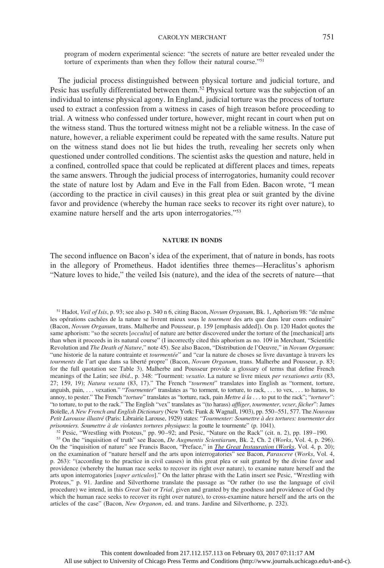## CAROLYN MERCHANT 751

program of modern experimental science: "the secrets of nature are better revealed under the torture of experiments than when they follow their natural course."51

The judicial process distinguished between physical torture and judicial torture, and Pesic has usefully differentiated between them.52 Physical torture was the subjection of an individual to intense physical agony. In England, judicial torture was the process of torture used to extract a confession from a witness in cases of high treason before proceeding to trial. A witness who confessed under torture, however, might recant in court when put on the witness stand. Thus the tortured witness might not be a reliable witness. In the case of nature, however, a reliable experiment could be repeated with the same results. Nature put on the witness stand does not lie but hides the truth, revealing her secrets only when questioned under controlled conditions. The scientist asks the question and nature, held in a confined, controlled space that could be replicated at different places and times, repeats the same answers. Through the judicial process of interrogatories, humanity could recover the state of nature lost by Adam and Eve in the Fall from Eden. Bacon wrote, "I mean (according to the practice in civil causes) in this great plea or suit granted by the divine favor and providence (whereby the human race seeks to recover its right over nature), to examine nature herself and the arts upon interrogatories."53

#### **NATURE IN BONDS**

The second influence on Bacon's idea of the experiment, that of nature in bonds, has roots in the allegory of Prometheus. Hadot identifies three themes—Heraclitus's aphorism "Nature loves to hide," the veiled Isis (nature), and the idea of the secrets of nature—that

<sup>51</sup> Hadot, *Veil of Isis*, p. 93; see also p. 340 n 6, citing Bacon, *Novum Organum*, Bk. 1, Aphorism 98: "de meˆme les opérations cachées de la nature se livrent mieux sous le *tourment* des arts que dans leur cours ordinaire" (Bacon, *Novum Organum*, trans. Malherbe and Pousseur, p. 159 [emphasis added]). On p. 120 Hadot quotes the same aphorism: "so the secrets [*occulta*] of nature are better discovered under the torture of the [mechanical] arts than when it proceeds in its natural course" (I incorrectly cited this aphorism as no. 109 in Merchant, "Scientific Revolution and *The Death of Nature*," note 45). See also Bacon, "Distribution de l'Oeuvre," in *Novum Organum*: "une historie de la nature contrainte et *tourmentée*" and "car la nature de choses se livre davantage à travers les *tourments* de l'art que dans sa liberté propre" (Bacon, *Novum Organum*, trans. Malherbe and Pousseur, p. 83; for the full quotation see Table 3). Malherbe and Pousseur provide a glossary of terms that define French meanings of the Latin; see *ibid.*, p. 348: "Tourment: *vexatio*. La nature se livre mieux *per vexationes artis* (83, 27; 159, 19); *Natura vexata* (83, 17)." The French "*tourment*" translates into English as "torment, torture, anguish, pain, . . . vexation." "*Tourmenter*" translates as "to torment, to torture, to rack, . . . to vex, . . . to harass, to annoy, to pester." The French "*torture*" translates as "torture, rack, pain *Mettre a´ la* . . . to put to the rack"; "*torturer*": "to torture, to put to the rack." The English "vex" translates as "(to harass) *affliger*, *tourmenter*, *vexer*, *fa¨cher*": James Boïelle, *A New French and English Dictionary* (New York: Funk & Wagnall, 1903), pp. 550–551, 577. The *Nouveau Petit Larousse illustre´* (Paris: Librairie Larouse, 1929) states: "*Tourmenter: Soumettre a` des tortures: tourmenter des prisonniers. Soumettre a` de violantes tortures physiques*: la goutte le tourmente" (p. 1041).

<sup>52</sup> Pesic, "Wrestling with Proteus," pp. 90–92; and Pesic, "Nature on the Rack" (cit. n. 2), pp. 189–190. <sup>53</sup> On the "inquisition of truth" see Bacon, *De Augmentis Scientiarum*, Bk. 2, Ch. 2 (*Works*, Vol. 4, p. 296). On the "inquisition of nature" see Francis Bacon, "Preface," in *[The Great Instauration](http://www.journals.uchicago.edu/action/showLinks?crossref=10.1017%2FCBO9781139164030.001)* (*Works*, Vol. 4, p. 20); on the examination of "nature herself and the arts upon interrogatories" see Bacon, *Parasceve* (*Works*, Vol. 4, p. 263): "(according to the practice in civil causes) in this great plea or suit granted by the divine favor and providence (whereby the human race seeks to recover its right over nature), to examine nature herself and the arts upon interrogatories [*super articulos*]." On the latter phrase with the Latin insert see Pesic, "Wrestling with Proteus," p. 91. Jardine and Silverthorne translate the passage as "Or rather (to use the language of civil procedure) we intend, in this *Great Suit* or *Trial*, given and granted by the goodness and providence of God (by which the human race seeks to recover its right over nature), to cross-examine nature herself and the arts on the articles of the case" (Bacon, *New Organon*, ed. and trans. Jardine and Silverthorne, p. 232).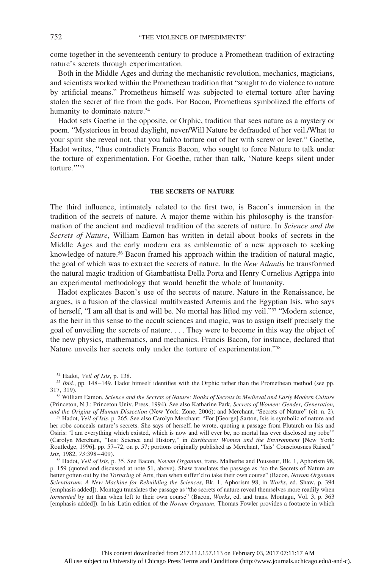come together in the seventeenth century to produce a Promethean tradition of extracting nature's secrets through experimentation.

Both in the Middle Ages and during the mechanistic revolution, mechanics, magicians, and scientists worked within the Promethean tradition that "sought to do violence to nature by artificial means." Prometheus himself was subjected to eternal torture after having stolen the secret of fire from the gods. For Bacon, Prometheus symbolized the efforts of humanity to dominate nature.<sup>54</sup>

Hadot sets Goethe in the opposite, or Orphic, tradition that sees nature as a mystery or poem. "Mysterious in broad daylight, never/Will Nature be defrauded of her veil./What to your spirit she reveal not, that you fail/to torture out of her with screw or lever." Goethe, Hadot writes, "thus contradicts Francis Bacon, who sought to force Nature to talk under the torture of experimentation. For Goethe, rather than talk, 'Nature keeps silent under torture.""55

#### **THE SECRETS OF NATURE**

The third influence, intimately related to the first two, is Bacon's immersion in the tradition of the secrets of nature. A major theme within his philosophy is the transformation of the ancient and medieval tradition of the secrets of nature. In *Science and the Secrets of Nature*, William Eamon has written in detail about books of secrets in the Middle Ages and the early modern era as emblematic of a new approach to seeking knowledge of nature.56 Bacon framed his approach within the tradition of natural magic, the goal of which was to extract the secrets of nature. In the *New Atlantis* he transformed the natural magic tradition of Giambattista Della Porta and Henry Cornelius Agrippa into an experimental methodology that would benefit the whole of humanity.

Hadot explicates Bacon's use of the secrets of nature. Nature in the Renaissance, he argues, is a fusion of the classical multibreasted Artemis and the Egyptian Isis, who says of herself, "I am all that is and will be. No mortal has lifted my veil."57 "Modern science, as the heir in this sense to the occult sciences and magic, was to assign itself precisely the goal of unveiling the secrets of nature. . . . They were to become in this way the object of the new physics, mathematics, and mechanics. Francis Bacon, for instance, declared that Nature unveils her secrets only under the torture of experimentation."58

<sup>54</sup> Hadot, *Veil of Isis*, p. 138.

<sup>56</sup> William Eamon, *Science and the Secrets of Nature: Books of Secrets in Medieval and Early Modern Culture* (Princeton, N.J.: Princeton Univ. Press, 1994). See also Katharine Park, *Secrets of Women: Gender, Generation, and the Origins of Human Dissection* (New York: Zone, 2006); and Merchant, "Secrets of Nature" (cit. n. 2).

<sup>57</sup> Hadot, *Veil of Isis*, p. 265. See also Carolyn Merchant: "For [George] Sarton, Isis is symbolic of nature and her robe conceals nature's secrets. She says of herself, he wrote, quoting a passage from Plutarch on Isis and Osiris: 'I am everything which existed, which is now and will ever be, no mortal has ever disclosed my robe'" (Carolyn Merchant, "Isis: Science and History," in *Earthcare: Women and the Environment* [New York: Routledge, 1996], pp. 57–72, on p. 57; portions originally published as Merchant, "Isis' Consciousnes Raised," *Isis,* 1982, *73*:398–409).

<sup>58</sup> Hadot, *Veil of Isis*, p. 35. See Bacon, *Novum Organum*, trans. Malherbe and Pousseur, Bk. 1, Aphorism 98, p. 159 (quoted and discussed at note 51, above). Shaw translates the passage as "so the Secrets of Nature are better gotten out by the *Torturing* of Arts, than when suffer'd to take their own course" (Bacon, *Novum Organum Scientiarum: A New Machine for Rebuilding the Sciences*, Bk. 1, Aphorism 98, in *Works*, ed. Shaw, p. 394 [emphasis added]). Montagu translates the passage as "the secrets of nature reveal themselves more readily when *tormented* by art than when left to their own course" (Bacon, *Works*, ed. and trans. Montagu, Vol. 3, p. 363 [emphasis added]). In his Latin edition of the *Novum Organum*, Thomas Fowler provides a footnote in which

<sup>55</sup> *Ibid.*, pp. 148–149. Hadot himself identifies with the Orphic rather than the Promethean method (see pp. 317, 319).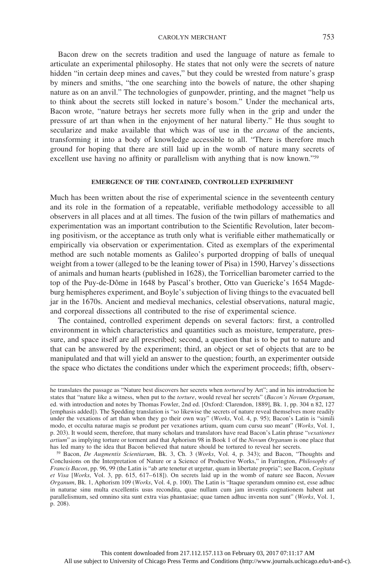## CAROLYN MERCHANT 753

Bacon drew on the secrets tradition and used the language of nature as female to articulate an experimental philosophy. He states that not only were the secrets of nature hidden "in certain deep mines and caves," but they could be wrested from nature's grasp by miners and smiths, "the one searching into the bowels of nature, the other shaping nature as on an anvil." The technologies of gunpowder, printing, and the magnet "help us to think about the secrets still locked in nature's bosom." Under the mechanical arts, Bacon wrote, "nature betrays her secrets more fully when in the grip and under the pressure of art than when in the enjoyment of her natural liberty." He thus sought to secularize and make available that which was of use in the *arcana* of the ancients, transforming it into a body of knowledge accessible to all. "There is therefore much ground for hoping that there are still laid up in the womb of nature many secrets of excellent use having no affinity or parallelism with anything that is now known."59

## **EMERGENCE OF THE CONTAINED, CONTROLLED EXPERIMENT**

Much has been written about the rise of experimental science in the seventeenth century and its role in the formation of a repeatable, verifiable methodology accessible to all observers in all places and at all times. The fusion of the twin pillars of mathematics and experimentation was an important contribution to the Scientific Revolution, later becoming positivism, or the acceptance as truth only what is verifiable either mathematically or empirically via observation or experimentation. Cited as exemplars of the experimental method are such notable moments as Galileo's purported dropping of balls of unequal weight from a tower (alleged to be the leaning tower of Pisa) in 1590, Harvey's dissections of animals and human hearts (published in 1628), the Torricellian barometer carried to the top of the Puy-de-Dôme in 1648 by Pascal's brother, Otto van Guericke's 1654 Magdeburg hemispheres experiment, and Boyle's subjection of living things to the evacuated bell jar in the 1670s. Ancient and medieval mechanics, celestial observations, natural magic, and corporeal dissections all contributed to the rise of experimental science.

The contained, controlled experiment depends on several factors: first, a controlled environment in which characteristics and quantities such as moisture, temperature, pressure, and space itself are all prescribed; second, a question that is to be put to nature and that can be answered by the experiment; third, an object or set of objects that are to be manipulated and that will yield an answer to the question; fourth, an experimenter outside the space who dictates the conditions under which the experiment proceeds; fifth, observ-

he translates the passage as "Nature best discovers her secrets when *tortured* by Art"; and in his introduction he states that "nature like a witness, when put to the *torture*, would reveal her secrets" (*Bacon's Novum Organum*, ed. with introduction and notes by Thomas Fowler, 2nd ed. [Oxford: Clarendon, 1889], Bk. 1, pp. 304 n 82, 127 [emphasis added]). The Spedding translation is "so likewise the secrets of nature reveal themselves more readily under the vexations of art than when they go their own way" (*Works*, Vol. 4, p. 95); Bacon's Latin is "simili modo, et occulta naturae magis se produnt per vexationes artium, quam cum cursu suo meant" (*Works*, Vol. 1, p. 203). It would seem, therefore, that many scholars and translators have read Bacon's Latin phrase "*vexationes artium*" as implying torture or torment and that Aphorism 98 in Book 1 of the *Novum Organum* is one place that has led many to the idea that Bacon believed that nature should be tortured to reveal her secrets.

<sup>59</sup> Bacon, *De Augmentis Scientiarum*, Bk. 3, Ch. 3 (*Works*, Vol. 4, p. 343); and Bacon, "Thoughts and Conclusions on the Interpretation of Nature or a Science of Productive Works," in Farrington, *Philosophy of Francis Bacon*, pp. 96, 99 (the Latin is "ab arte tenetur et urgetur, quam in libertate propria"; see Bacon, *Cogitata et Visa* [*Works*, Vol. 3, pp. 615, 617–618]). On secrets laid up in the womb of nature see Bacon, *Novum Organum*, Bk. 1, Aphorism 109 (*Works*, Vol. 4, p. 100). The Latin is "Itaque sperandum omnino est, esse adhuc in naturae sinu multa excellentis usus recondita, quae nullam cum jam inventis cognationem habent aut parallelismum, sed omnino sita sunt extra vias phantasiae; quae tamen adhuc inventa non sunt" (*Works*, Vol. 1, p. 208).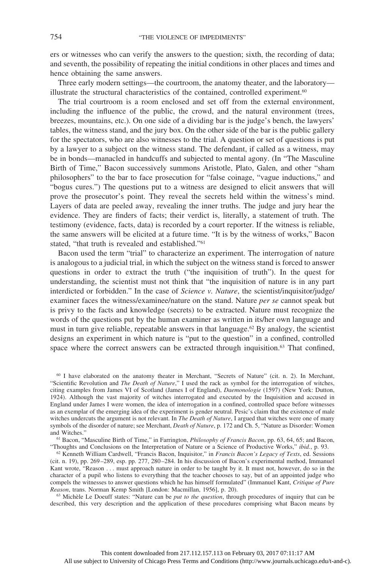ers or witnesses who can verify the answers to the question; sixth, the recording of data; and seventh, the possibility of repeating the initial conditions in other places and times and hence obtaining the same answers.

Three early modern settings—the courtroom, the anatomy theater, and the laboratory illustrate the structural characteristics of the contained, controlled experiment.<sup>60</sup>

The trial courtroom is a room enclosed and set off from the external environment, including the influence of the public, the crowd, and the natural environment (trees, breezes, mountains, etc.). On one side of a dividing bar is the judge's bench, the lawyers' tables, the witness stand, and the jury box. On the other side of the bar is the public gallery for the spectators, who are also witnesses to the trial. A question or set of questions is put by a lawyer to a subject on the witness stand. The defendant, if called as a witness, may be in bonds—manacled in handcuffs and subjected to mental agony. (In "The Masculine Birth of Time," Bacon successively summons Aristotle, Plato, Galen, and other "sham philosophers" to the bar to face prosecution for "false coinage, "vague inductions," and "bogus cures.") The questions put to a witness are designed to elicit answers that will prove the prosecutor's point. They reveal the secrets held within the witness's mind. Layers of data are peeled away, revealing the inner truths. The judge and jury hear the evidence. They are finders of facts; their verdict is, literally, a statement of truth. The testimony (evidence, facts, data) is recorded by a court reporter. If the witness is reliable, the same answers will be elicited at a future time. "It is by the witness of works," Bacon stated, "that truth is revealed and established."61

Bacon used the term "trial" to characterize an experiment. The interrogation of nature is analogous to a judicial trial, in which the subject on the witness stand is forced to answer questions in order to extract the truth ("the inquisition of truth"). In the quest for understanding, the scientist must not think that "the inquisition of nature is in any part interdicted or forbidden." In the case of *Science v. Nature*, the scientist/inquisitor/judge/ examiner faces the witness/examinee/nature on the stand. Nature *per se* cannot speak but is privy to the facts and knowledge (secrets) to be extracted. Nature must recognize the words of the questions put by the human examiner as written in its/her own language and must in turn give reliable, repeatable answers in that language.<sup> $62$ </sup> By analogy, the scientist designs an experiment in which nature is "put to the question" in a confined, controlled space where the correct answers can be extracted through inquisition.<sup>63</sup> That confined,

<sup>60</sup> I have elaborated on the anatomy theater in Merchant, "Secrets of Nature" (cit. n. 2). In Merchant, "Scientific Revolution and *The Death of Nature*," I used the rack as symbol for the interrogation of witches, citing examples from James VI of Scotland (James I of England), *Daemonologie* (1597) (New York: Dutton, 1924). Although the vast majority of witches interrogated and executed by the Inquisition and accused in England under James I were women, the idea of interrogation in a confined, controlled space before witnesses as an exemplar of the emerging idea of the experiment is gender neutral. Pesic's claim that the existence of male witches undercuts the argument is not relevant. In *The Death of Nature*, I argued that witches were one of many symbols of the disorder of nature; see Merchant, *Death of Nature*, p. 172 and Ch. 5, "Nature as Disorder: Women and Witches."

<sup>61</sup> Bacon, "Masculine Birth of Time," in Farrington, *Philosophy of Francis Bacon*, pp. 63, 64, 65; and Bacon, "Thoughts and Conclusions on the Interpretation of Nature or a Science of Productive Works," *ibid.*, p. 93.

<sup>62</sup> Kenneth William Cardwell, "Francis Bacon, Inquisitor," in *Francis Bacon's Legacy of Texts*, ed. Sessions (cit. n. 19), pp. 269–289, esp. pp. 277, 280–284. In his discussion of Bacon's experimental method, Immanuel Kant wrote, "Reason . . . must approach nature in order to be taught by it. It must not, however, do so in the character of a pupil who listens to everything that the teacher chooses to say, but of an appointed judge who compels the witnesses to answer questions which he has himself formulated" (Immanuel Kant, *Critique of Pure Reason*, trans. Norman Kemp Smith [London: Macmillan, 1956], p. 20).

<sup>63</sup> Michèle Le Doeuff states: "Nature can be *put to the question*, through procedures of inquiry that can be described, this very description and the application of these procedures comprising what Bacon means by

This content downloaded from 217.112.157.113 on February 03, 2017 07:11:17 AM All use subject to University of Chicago Press Terms and Conditions (http://www.journals.uchicago.edu/t-and-c).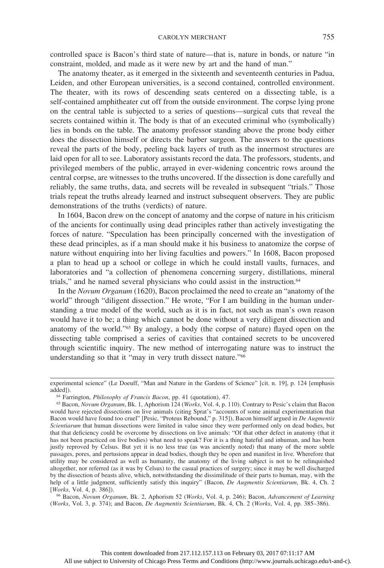controlled space is Bacon's third state of nature—that is, nature in bonds, or nature "in constraint, molded, and made as it were new by art and the hand of man."

The anatomy theater, as it emerged in the sixteenth and seventeenth centuries in Padua, Leiden, and other European universities, is a second contained, controlled environment. The theater, with its rows of descending seats centered on a dissecting table, is a self-contained amphitheater cut off from the outside environment. The corpse lying prone on the central table is subjected to a series of questions—surgical cuts that reveal the secrets contained within it. The body is that of an executed criminal who (symbolically) lies in bonds on the table. The anatomy professor standing above the prone body either does the dissection himself or directs the barber surgeon. The answers to the questions reveal the parts of the body, peeling back layers of truth as the innermost structures are laid open for all to see. Laboratory assistants record the data. The professors, students, and privileged members of the public, arrayed in ever-widening concentric rows around the central corpse, are witnesses to the truths uncovered. If the dissection is done carefully and reliably, the same truths, data, and secrets will be revealed in subsequent "trials." Those trials repeat the truths already learned and instruct subsequent observers. They are public demonstrations of the truths (verdicts) of nature.

In 1604, Bacon drew on the concept of anatomy and the corpse of nature in his criticism of the ancients for continually using dead principles rather than actively investigating the forces of nature. "Speculation has been principally concerned with the investigation of these dead principles, as if a man should make it his business to anatomize the corpse of nature without enquiring into her living faculties and powers." In 1608, Bacon proposed a plan to head up a school or college in which he could install vaults, furnaces, and laboratories and "a collection of phenomena concerning surgery, distillations, mineral trials," and he named several physicians who could assist in the instruction.<sup>64</sup>

In the *Novum Organum* (1620), Bacon proclaimed the need to create an "anatomy of the world" through "diligent dissection." He wrote, "For I am building in the human understanding a true model of the world, such as it is in fact, not such as man's own reason would have it to be; a thing which cannot be done without a very diligent dissection and anatomy of the world."65 By analogy, a body (the corpse of nature) flayed open on the dissecting table comprised a series of cavities that contained secrets to be uncovered through scientific inquiry. The new method of interrogating nature was to instruct the understanding so that it "may in very truth dissect nature."66

<sup>66</sup> Bacon, *Novum Organum*, Bk. 2, Aphorism 52 (*Works*, Vol. 4, p. 246); Bacon, *Advancement of Learning* (*Works*, Vol. 3, p. 374); and Bacon, *De Augmentis Scientiarum*, Bk. 4, Ch. 2 (*Works*, Vol. 4, pp. 385–386).

experimental science" (Le Doeuff, "Man and Nature in the Gardens of Science" [cit. n. 19], p. 124 [emphasis added]).

<sup>64</sup> Farrington, *Philosophy of Francis Bacon*, pp. 41 (quotation), 47.

<sup>65</sup> Bacon, *Novum Organum*, Bk. 1, Aphorism 124 (*Works*, Vol. 4, p. 110). Contrary to Pesic's claim that Bacon would have rejected dissections on live animals (citing Sprat's "accounts of some animal experimentation that Bacon would have found too cruel" [Pesic, "Proteus Rebound," p. 315]), Bacon himself argued in *De Augmentis Scientiarum* that human dissections were limited in value since they were performed only on dead bodies, but that that deficiency could be overcome by dissections on live animals: "Of that other defect in anatomy (that it has not been practiced on live bodies) what need to speak? For it is a thing hateful and inhuman, and has been justly reproved by Celsus. But yet it is no less true (as was anciently noted) that many of the more subtle passages, pores, and pertusions appear in dead bodies, though they be open and manifest in live. Wherefore that utility may be considered as well as humanity, the anatomy of the living subject is not to be relinquished altogether, nor referred (as it was by Celsus) to the casual practices of surgery; since it may be well discharged by the dissection of beasts alive, which, notwithstanding the dissimilitude of their parts to human, may, with the help of a little judgment, sufficiently satisfy this inquiry" (Bacon, *De Augmentis Scientiarum*, Bk. 4, Ch. 2 [*Works*, Vol. 4, p. 386]).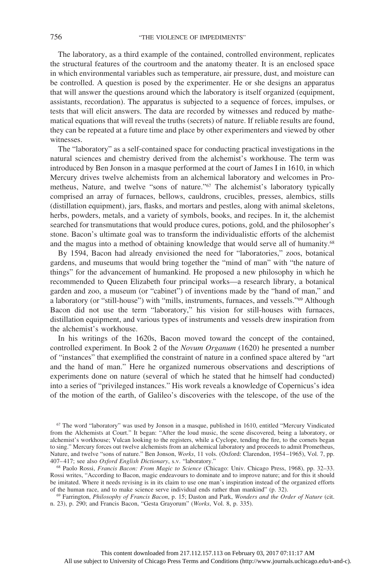The laboratory, as a third example of the contained, controlled environment, replicates the structural features of the courtroom and the anatomy theater. It is an enclosed space in which environmental variables such as temperature, air pressure, dust, and moisture can be controlled. A question is posed by the experimenter. He or she designs an apparatus that will answer the questions around which the laboratory is itself organized (equipment, assistants, recordation). The apparatus is subjected to a sequence of forces, impulses, or tests that will elicit answers. The data are recorded by witnesses and reduced by mathematical equations that will reveal the truths (secrets) of nature. If reliable results are found, they can be repeated at a future time and place by other experimenters and viewed by other witnesses.

The "laboratory" as a self-contained space for conducting practical investigations in the natural sciences and chemistry derived from the alchemist's workhouse. The term was introduced by Ben Jonson in a masque performed at the court of James I in 1610, in which Mercury drives twelve alchemists from an alchemical laboratory and welcomes in Prometheus, Nature, and twelve "sons of nature."67 The alchemist's laboratory typically comprised an array of furnaces, bellows, cauldrons, crucibles, presses, alembics, stills (distillation equipment), jars, flasks, and mortars and pestles, along with animal skeletons, herbs, powders, metals, and a variety of symbols, books, and recipes. In it, the alchemist searched for transmutations that would produce cures, potions, gold, and the philosopher's stone. Bacon's ultimate goal was to transform the individualistic efforts of the alchemist and the magus into a method of obtaining knowledge that would serve all of humanity.68

By 1594, Bacon had already envisioned the need for "laboratories," zoos, botanical gardens, and museums that would bring together the "mind of man" with "the nature of things" for the advancement of humankind. He proposed a new philosophy in which he recommended to Queen Elizabeth four principal works—a research library, a botanical garden and zoo, a museum (or "cabinet") of inventions made by the "hand of man," and a laboratory (or "still-house") with "mills, instruments, furnaces, and vessels."69 Although Bacon did not use the term "laboratory," his vision for still-houses with furnaces, distillation equipment, and various types of instruments and vessels drew inspiration from the alchemist's workhouse.

In his writings of the 1620s, Bacon moved toward the concept of the contained, controlled experiment. In Book 2 of the *Novum Organum* (1620) he presented a number of "instances" that exemplified the constraint of nature in a confined space altered by "art and the hand of man." Here he organized numerous observations and descriptions of experiments done on nature (several of which he stated that he himself had conducted) into a series of "privileged instances." His work reveals a knowledge of Copernicus's idea of the motion of the earth, of Galileo's discoveries with the telescope, of the use of the

<sup>69</sup> Farrington, *Philosophy of Francis Bacon*, p. 15; Daston and Park, *Wonders and the Order of Nature* (cit. n. 23), p. 290; and Francis Bacon, "Gesta Grayorum" (*Works*, Vol. 8, p. 335).

<sup>67</sup> The word "laboratory" was used by Jonson in a masque, published in 1610, entitled "Mercury Vindicated from the Alchemists at Court." It began: "After the loud music, the scene discovered, being a laboratory, or alchemist's workhouse; Vulcan looking to the registers, while a Cyclope, tending the fire, to the cornets began to sing." Mercury forces out twelve alchemists from an alchemical laboratory and proceeds to admit Prometheus, Nature, and twelve "sons of nature." Ben Jonson, *Works*, 11 vols. (Oxford: Clarendon, 1954–1965), Vol. 7, pp. 407–417; see also *Oxford English Dictionary*, s.v. "laboratory."

<sup>68</sup> Paolo Rossi, *Francis Bacon: From Magic to Science* (Chicago: Univ. Chicago Press, 1968), pp. 32–33. Rossi writes, "According to Bacon, magic endeavours to dominate and to improve nature; and for this it should be imitated. Where it needs revising is in its claim to use one man's inspiration instead of the organized efforts of the human race, and to make science serve individual ends rather than mankind" (p. 32).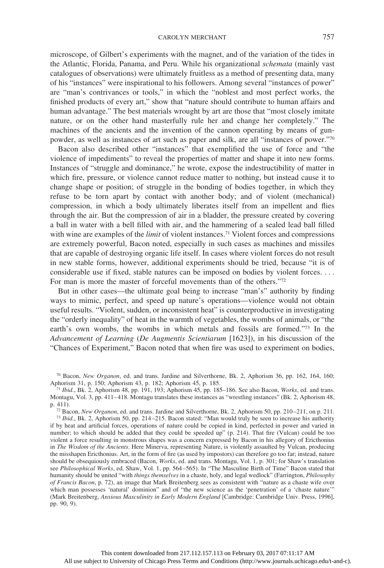microscope, of Gilbert's experiments with the magnet, and of the variation of the tides in the Atlantic, Florida, Panama, and Peru. While his organizational *schemata* (mainly vast catalogues of observations) were ultimately fruitless as a method of presenting data, many of his "instances" were inspirational to his followers. Among several "instances of power" are "man's contrivances or tools," in which the "noblest and most perfect works, the finished products of every art," show that "nature should contribute to human affairs and human advantage." The best materials wrought by art are those that "most closely imitate nature, or on the other hand masterfully rule her and change her completely." The machines of the ancients and the invention of the cannon operating by means of gunpowder, as well as instances of art such as paper and silk, are all "instances of power."70

Bacon also described other "instances" that exemplified the use of force and "the violence of impediments" to reveal the properties of matter and shape it into new forms. Instances of "struggle and dominance," he wrote, expose the indestructibility of matter in which fire, pressure, or violence cannot reduce matter to nothing, but instead cause it to change shape or position; of struggle in the bonding of bodies together, in which they refuse to be torn apart by contact with another body; and of violent (mechanical) compression, in which a body ultimately liberates itself from an impellent and flies through the air. But the compression of air in a bladder, the pressure created by covering a ball in water with a bell filled with air, and the hammering of a sealed lead ball filled with wine are examples of the *limit* of violent instances.<sup>71</sup> Violent forces and compressions are extremely powerful, Bacon noted, especially in such cases as machines and missiles that are capable of destroying organic life itself. In cases where violent forces do not result in new stable forms, however, additional experiments should be tried, because "it is of considerable use if fixed, stable natures can be imposed on bodies by violent forces. . . . For man is more the master of forceful movements than of the others."72

But in other cases—the ultimate goal being to increase "man's" authority by finding ways to mimic, perfect, and speed up nature's operations—violence would not obtain useful results. "Violent, sudden, or inconsistent heat" is counterproductive in investigating the "orderly inequality" of heat in the warmth of vegetables, the wombs of animals, or "the earth's own wombs, the wombs in which metals and fossils are formed."73 In the *Advancement of Learning* (*De Augmentis Scientiarum* [1623]), in his discussion of the "Chances of Experiment," Bacon noted that when fire was used to experiment on bodies,

<sup>70</sup> Bacon, *New Organon*, ed. and trans. Jardine and Silverthorne, Bk. 2, Aphorism 36, pp. 162, 164, 160; Aphorism 31, p. 150; Aphorism 43, p. 182; Aphorism 45, p. 185.

<sup>72</sup> Bacon, *New Organon*, ed. and trans. Jardine and Silverthorne, Bk. 2, Aphorism 50, pp. 210–211, on p. 211. <sup>73</sup> *Ibid.*, Bk. 2, Aphorism 50, pp. 214–215. Bacon stated: "Man would truly be seen to increase his authority if by heat and artificial forces, operations of nature could be copied in kind, perfected in power and varied in number; to which should be added that they could be speeded up" (p. 214). That fire (Vulcan) could be too violent a force resulting in monstrous shapes was a concern expressed by Bacon in his allegory of Ericthonius in *The Wisdom of the Ancients*. Here Minerva, representing Nature, is violently assaulted by Vulcan, producing the misshapen Ericthonius. Art, in the form of fire (as used by impostors) can therefore go too far; instead, nature should be obsequiously embraced (Bacon, *Works*, ed. and trans. Montagu, Vol. 1, p. 301; for Shaw's translation see *Philosophical Works*, ed. Shaw, Vol. 1, pp. 564–565). In "The Masculine Birth of Time" Bacon stated that humanity should be united "with *things themselves* in a chaste, holy, and legal wedlock" (Farrington, *Philosophy of Francis Bacon*, p. 72), an image that Mark Breitenberg sees as consistent with "nature as a chaste wife over which man possesses 'natural' dominion" and of "the new science as the 'penetration' of a 'chaste nature'" (Mark Breitenberg, *Anxious Masculinity in Early Modern England* [Cambridge: Cambridge Univ. Press, 1996], pp. 90, 9).

<sup>71</sup> *Ibid.*, Bk. 2, Aphorism 48, pp. 191, 193; Aphorism 45, pp. 185–186. See also Bacon, *Works*, ed. and trans. Montagu, Vol. 3, pp. 411–418. Montagu translates these instances as "wrestling instances" (Bk. 2, Aphorism 48, p. 411).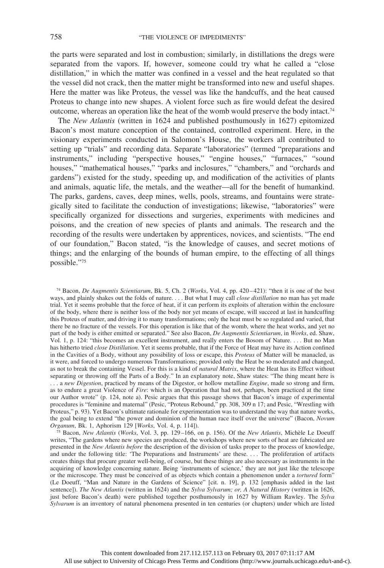the parts were separated and lost in combustion; similarly, in distillations the dregs were separated from the vapors. If, however, someone could try what he called a "close distillation," in which the matter was confined in a vessel and the heat regulated so that the vessel did not crack, then the matter might be transformed into new and useful shapes. Here the matter was like Proteus, the vessel was like the handcuffs, and the heat caused Proteus to change into new shapes. A violent force such as fire would defeat the desired outcome, whereas an operation like the heat of the womb would preserve the body intact.74

The *New Atlantis* (written in 1624 and published posthumously in 1627) epitomized Bacon's most mature conception of the contained, controlled experiment. Here, in the visionary experiments conducted in Salomon's House, the workers all contributed to setting up "trials" and recording data. Separate "laboratories" (termed "preparations and instruments," including "perspective houses," "engine houses," "furnaces," "sound houses," "mathematical houses," "parks and inclosures," "chambers," and "orchards and gardens") existed for the study, speeding up, and modification of the activities of plants and animals, aquatic life, the metals, and the weather—all for the benefit of humankind. The parks, gardens, caves, deep mines, wells, pools, streams, and fountains were strategically sited to facilitate the conduction of investigations; likewise, "laboratories" were specifically organized for dissections and surgeries, experiments with medicines and poisons, and the creation of new species of plants and animals. The research and the recording of the results were undertaken by apprentices, novices, and scientists. "The end of our foundation," Bacon stated, "is the knowledge of causes, and secret motions of things; and the enlarging of the bounds of human empire, to the effecting of all things possible."75

<sup>74</sup> Bacon, *De Augmentis Scientiarum*, Bk. 5, Ch. 2 (*Works*, Vol. 4, pp. 420–421): "then it is one of the best ways, and plainly shakes out the folds of nature. . . . But what I may call *close distillation* no man has yet made trial. Yet it seems probable that the force of heat, if it can perform its exploits of alteration within the enclosure of the body, where there is neither loss of the body nor yet means of escape, will succeed at last in handcuffing this Proteus of matter, and driving it to many transformations; only the heat must be so regulated and varied, that there be no fracture of the vessels. For this operation is like that of the womb, where the heat works, and yet no part of the body is either emitted or separated." See also Bacon, *De Augmentis Scientiarum*, in *Works*, ed. Shaw, Vol. 1, p. 124: "this becomes an excellent instrument, and really enters the Bosom of Nature. . . . But no Man has hitherto tried *close Distillation*. Yet it seems probable, that if the Force of Heat may have its Action confined in the Cavities of a Body, without any possibility of loss or escape, this *Proteus* of Matter will be manacled, as it were, and forced to undergo numerous Transformations; provided only the Heat be so moderated and changed, as not to break the containing Vessel. For this is a kind of *natural Matrix*, where the Heat has its Effect without separating or throwing off the Parts of a Body*.*" In an explanatory note, Shaw states: "The thing meant here is ...a *new Digestion*, practiced by means of the Digestor, or hollow metalline *Engine*, made so strong and firm, as to endure a great Violence of *Fire*: which is an Operation that had not, perhaps, been practiced at the time our Author wrote" (p. 124, note a). Pesic argues that this passage shows that Bacon's image of experimental procedures is "feminine and maternal" (Pesic, "Proteus Rebound," pp. 308, 309 n 17; and Pesic, "Wrestling with Proteus," p. 93). Yet Bacon's ultimate rationale for experimentation was to understand the way that nature works, the goal being to extend "the power and dominion of the human race itself over the universe" (Bacon, *Novum Organum*, Bk. 1, Aphorism 129 [*Works*, Vol. 4, p. 114]).

<sup>75</sup> Bacon, *New Atlantis* (*Works*, Vol. 3, pp. 129–166, on p. 156). Of the *New Atlantis*, Michèle Le Doeuff writes, "The gardens where new species are produced, the workshops where new sorts of heat are fabricated are presented in the *New Atlantis before* the description of the division of tasks proper to the process of knowledge, and under the following title: 'The Preparations and Instruments' are these. . . . The proliferation of artifacts creates things that procure greater well-being, of course, but these things are also necessary as instruments in the acquiring of knowledge concerning nature. Being 'instruments of science,' they are not just like the telescope or the microscope. They must be conceived of as objects which contain a phenomenon under a *tortured* form" (Le Doeuff, "Man and Nature in the Gardens of Science" [cit. n. 19], p. 132 [emphasis added in the last sentence]). *The New Atlantis* (written in 1624) and the *Sylva Sylvarum; or, A Natural History* (written in 1626, just before Bacon's death) were published together posthumously in 1627 by William Rawley. The *Sylva Sylvarum* is an inventory of natural phenomena presented in ten centuries (or chapters) under which are listed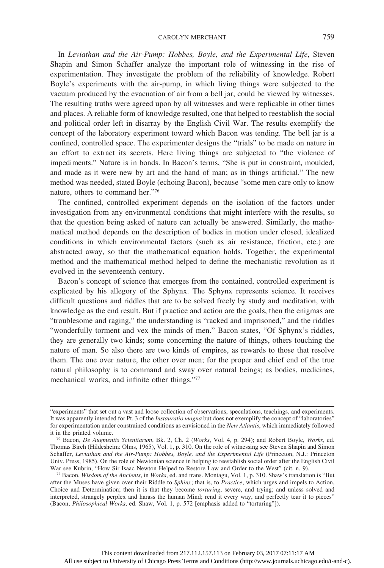## CAROLYN MERCHANT 759

In *Leviathan and the Air-Pump: Hobbes, Boyle, and the Experimental Life*, Steven Shapin and Simon Schaffer analyze the important role of witnessing in the rise of experimentation. They investigate the problem of the reliability of knowledge. Robert Boyle's experiments with the air-pump, in which living things were subjected to the vacuum produced by the evacuation of air from a bell jar, could be viewed by witnesses. The resulting truths were agreed upon by all witnesses and were replicable in other times and places. A reliable form of knowledge resulted, one that helped to reestablish the social and political order left in disarray by the English Civil War. The results exemplify the concept of the laboratory experiment toward which Bacon was tending. The bell jar is a confined, controlled space. The experimenter designs the "trials" to be made on nature in an effort to extract its secrets. Here living things are subjected to "the violence of impediments." Nature is in bonds. In Bacon's terms, "She is put in constraint, moulded, and made as it were new by art and the hand of man; as in things artificial." The new method was needed, stated Boyle (echoing Bacon), because "some men care only to know nature, others to command her."76

The confined, controlled experiment depends on the isolation of the factors under investigation from any environmental conditions that might interfere with the results, so that the question being asked of nature can actually be answered. Similarly, the mathematical method depends on the description of bodies in motion under closed, idealized conditions in which environmental factors (such as air resistance, friction, etc.) are abstracted away, so that the mathematical equation holds. Together, the experimental method and the mathematical method helped to define the mechanistic revolution as it evolved in the seventeenth century.

Bacon's concept of science that emerges from the contained, controlled experiment is explicated by his allegory of the Sphynx. The Sphynx represents science. It receives difficult questions and riddles that are to be solved freely by study and meditation, with knowledge as the end result. But if practice and action are the goals, then the enigmas are "troublesome and raging," the understanding is "racked and imprisoned," and the riddles "wonderfully torment and vex the minds of men." Bacon states, "Of Sphynx's riddles, they are generally two kinds; some concerning the nature of things, others touching the nature of man. So also there are two kinds of empires, as rewards to those that resolve them. The one over nature, the other over men; for the proper and chief end of the true natural philosophy is to command and sway over natural beings; as bodies, medicines, mechanical works, and infinite other things."77

<sup>&</sup>quot;experiments" that set out a vast and loose collection of observations, speculations, teachings, and experiments. It was apparently intended for Pt. 3 of the *Instauratio magna* but does not exemplify the concept of "laboratories" for experimentation under constrained conditions as envisioned in the *New Atlantis*, which immediately followed it in the printed volume.

<sup>76</sup> Bacon, *De Augmentis Scientiarum*, Bk. 2, Ch. 2 (*Works*, Vol. 4, p. 294); and Robert Boyle, *Works*, ed. Thomas Birch (Hildesheim: Olms, 1965), Vol. 1, p. 310. On the role of witnessing see Steven Shapin and Simon Schaffer, *Leviathan and the Air-Pump: Hobbes, Boyle, and the Experimental Life* (Princeton, N.J.: Princeton Univ. Press, 1985). On the role of Newtonian science in helping to reestablish social order after the English Civil War see Kubrin, "How Sir Isaac Newton Helped to Restore Law and Order to the West" (cit. n. 9).

<sup>77</sup> Bacon, *Wisdom of the Ancients*, in *Works*, ed. and trans. Montagu, Vol. 1, p. 310. Shaw's translation is "But after the Muses have given over their Riddle to *Sphinx*; that is, to *Practice*, which urges and impels to Action, Choice and Determination; then it is that they become *torturing*, severe, and trying; and unless solved and interpreted, strangely perplex and harass the human Mind; rend it every way, and perfectly tear it to pieces" (Bacon, *Philosophical Works*, ed. Shaw, Vol. 1, p. 572 [emphasis added to "torturing"]).